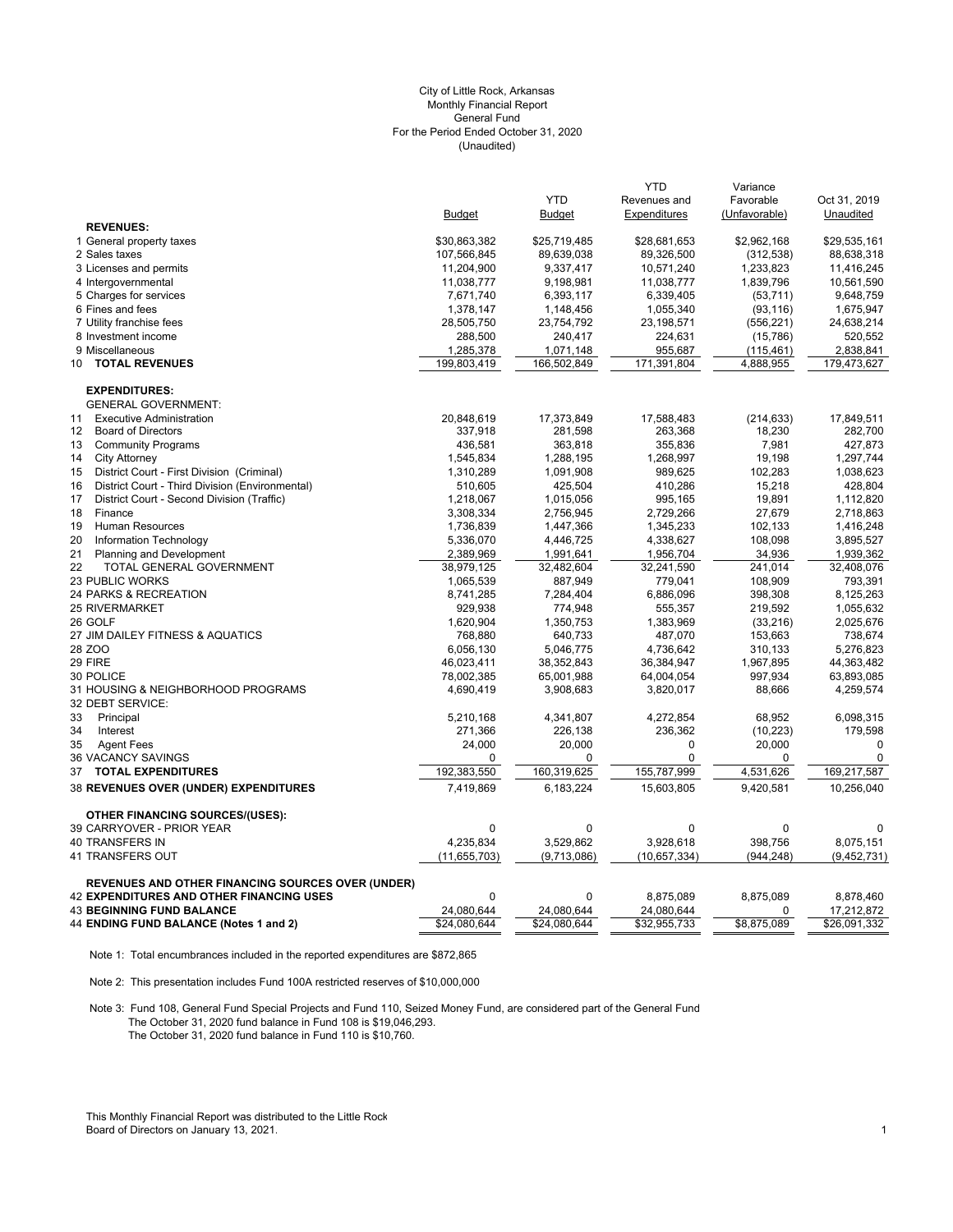# (Unaudited) City of Little Rock, Arkansas Monthly Financial Report General Fund For the Period Ended October 31, 2020

|                                                          |                |               | <b>YTD</b>   | Variance      |               |
|----------------------------------------------------------|----------------|---------------|--------------|---------------|---------------|
|                                                          |                | <b>YTD</b>    | Revenues and | Favorable     | Oct 31, 2019  |
|                                                          | <b>Budget</b>  | <b>Budget</b> | Expenditures | (Unfavorable) | Unaudited     |
| <b>REVENUES:</b>                                         |                |               |              |               |               |
| 1 General property taxes                                 | \$30,863,382   | \$25,719,485  | \$28,681,653 | \$2,962,168   | \$29,535,161  |
| 2 Sales taxes                                            | 107,566,845    | 89,639,038    | 89,326,500   | (312, 538)    | 88,638,318    |
| 3 Licenses and permits                                   | 11,204,900     | 9,337,417     | 10,571,240   | 1,233,823     | 11,416,245    |
| 4 Intergovernmental                                      | 11,038,777     | 9,198,981     | 11,038,777   | 1,839,796     | 10,561,590    |
| 5 Charges for services                                   | 7,671,740      | 6,393,117     | 6,339,405    | (53, 711)     | 9,648,759     |
| 6 Fines and fees                                         | 1,378,147      | 1,148,456     | 1,055,340    | (93, 116)     | 1,675,947     |
| 7 Utility franchise fees                                 | 28,505,750     | 23,754,792    | 23,198,571   | (556, 221)    | 24,638,214    |
| 8 Investment income                                      | 288,500        | 240,417       | 224,631      | (15,786)      | 520,552       |
| 9 Miscellaneous                                          | 1,285,378      | 1,071,148     | 955,687      | (115, 461)    | 2,838,841     |
| <b>TOTAL REVENUES</b><br>10 <sup>1</sup>                 | 199,803,419    | 166,502,849   | 171,391,804  | 4,888,955     | 179,473,627   |
| <b>EXPENDITURES:</b>                                     |                |               |              |               |               |
| <b>GENERAL GOVERNMENT:</b>                               |                |               |              |               |               |
| <b>Executive Administration</b><br>11                    | 20,848,619     | 17,373,849    | 17,588,483   | (214, 633)    | 17,849,511    |
| <b>Board of Directors</b><br>$12 \overline{ }$           | 337,918        | 281,598       | 263,368      | 18,230        | 282,700       |
| <b>Community Programs</b><br>13                          | 436,581        | 363,818       | 355,836      | 7,981         | 427,873       |
| <b>City Attorney</b><br>14                               | 1,545,834      | 1,288,195     | 1,268,997    | 19,198        | 1,297,744     |
| District Court - First Division (Criminal)<br>15         | 1,310,289      | 1,091,908     | 989,625      | 102,283       | 1,038,623     |
| District Court - Third Division (Environmental)<br>16    | 510,605        | 425,504       | 410,286      | 15,218        | 428,804       |
| District Court - Second Division (Traffic)<br>17         | 1,218,067      | 1,015,056     | 995,165      | 19,891        | 1,112,820     |
| 18<br>Finance                                            | 3,308,334      | 2,756,945     | 2,729,266    | 27,679        | 2,718,863     |
| 19<br>Human Resources                                    | 1,736,839      | 1,447,366     | 1,345,233    | 102,133       | 1,416,248     |
| 20<br>Information Technology                             | 5,336,070      | 4,446,725     | 4,338,627    | 108,098       | 3,895,527     |
| 21<br><b>Planning and Development</b>                    | 2,389,969      | 1,991,641     | 1,956,704    | 34,936        | 1,939,362     |
| 22<br>TOTAL GENERAL GOVERNMENT                           | 38,979,125     | 32,482,604    | 32,241,590   | 241.014       | 32,408,076    |
| <b>23 PUBLIC WORKS</b>                                   | 1,065,539      | 887,949       | 779,041      | 108,909       | 793,391       |
| 24 PARKS & RECREATION                                    | 8,741,285      | 7,284,404     | 6,886,096    | 398,308       | 8,125,263     |
| <b>25 RIVERMARKET</b>                                    | 929,938        | 774,948       | 555,357      | 219,592       | 1,055,632     |
| 26 GOLF                                                  | 1,620,904      | 1,350,753     | 1,383,969    | (33, 216)     | 2,025,676     |
| 27 JIM DAILEY FITNESS & AQUATICS                         | 768,880        | 640,733       | 487,070      | 153,663       | 738,674       |
| 28 ZOO                                                   | 6,056,130      | 5,046,775     | 4,736,642    | 310,133       | 5,276,823     |
| 29 FIRE                                                  |                |               |              |               | 44,363,482    |
| 30 POLICE                                                | 46,023,411     | 38,352,843    | 36,384,947   | 1,967,895     |               |
|                                                          | 78,002,385     | 65,001,988    | 64,004,054   | 997,934       | 63,893,085    |
| 31 HOUSING & NEIGHBORHOOD PROGRAMS<br>32 DEBT SERVICE:   | 4,690,419      | 3,908,683     | 3,820,017    | 88,666        | 4,259,574     |
| 33<br>Principal                                          | 5,210,168      | 4,341,807     | 4,272,854    | 68,952        | 6,098,315     |
| 34<br>Interest                                           | 271,366        | 226,138       | 236,362      | (10, 223)     | 179,598       |
| 35<br><b>Agent Fees</b>                                  | 24,000         | 20,000        | 0            | 20,000        | $\mathbf 0$   |
| 36 VACANCY SAVINGS                                       | 0              | 0             | 0            | 0             | $\mathbf 0$   |
| <b>TOTAL EXPENDITURES</b><br>37                          | 192,383,550    | 160,319,625   | 155,787,999  | 4,531,626     | 169,217,587   |
| 38 REVENUES OVER (UNDER) EXPENDITURES                    | 7,419,869      | 6,183,224     | 15,603,805   | 9,420,581     | 10,256,040    |
| <b>OTHER FINANCING SOURCES/(USES):</b>                   |                |               |              |               |               |
| 39 CARRYOVER - PRIOR YEAR                                | $\mathbf 0$    | $\mathbf{0}$  | 0            | 0             | 0             |
| 40 TRANSFERS IN                                          | 4,235,834      | 3,529,862     | 3,928,618    | 398,756       | 8,075,151     |
| 41 TRANSFERS OUT                                         | (11, 655, 703) | (9,713,086)   | (10,657,334) | (944, 248)    | (9, 452, 731) |
|                                                          |                |               |              |               |               |
| <b>REVENUES AND OTHER FINANCING SOURCES OVER (UNDER)</b> |                |               |              |               |               |
| <b>42 EXPENDITURES AND OTHER FINANCING USES</b>          | $\Omega$       | 0             | 8,875,089    | 8,875,089     | 8,878,460     |
| <b>43 BEGINNING FUND BALANCE</b>                         | 24,080,644     | 24,080,644    | 24,080,644   | 0             | 17,212,872    |
| 44 ENDING FUND BALANCE (Notes 1 and 2)                   | \$24.080.644   | \$24.080.644  | \$32,955,733 | \$8,875,089   | \$26,091,332  |

Note 1: Total encumbrances included in the reported expenditures are \$872,865

Note 2: This presentation includes Fund 100A restricted reserves of \$10,000,000

Note 3: Fund 108, General Fund Special Projects and Fund 110, Seized Money Fund, are considered part of the General Fund The October 31, 2020 fund balance in Fund 108 is \$19,046,293. The October 31, 2020 fund balance in Fund 110 is \$10,760.

This Monthly Financial Report was distributed to the Little Rock Board of Directors on January 13, 2021. 2002 12: 2008 12: 2009 12: 2009 12: 2009 12: 2009 12: 2009 12: 2009 12: 2009 12: 2009 12: 2009 12: 2009 12: 2009 12: 2009 12: 2009 12: 2009 12: 2009 12: 2009 12: 2009 12: 2009 12: 20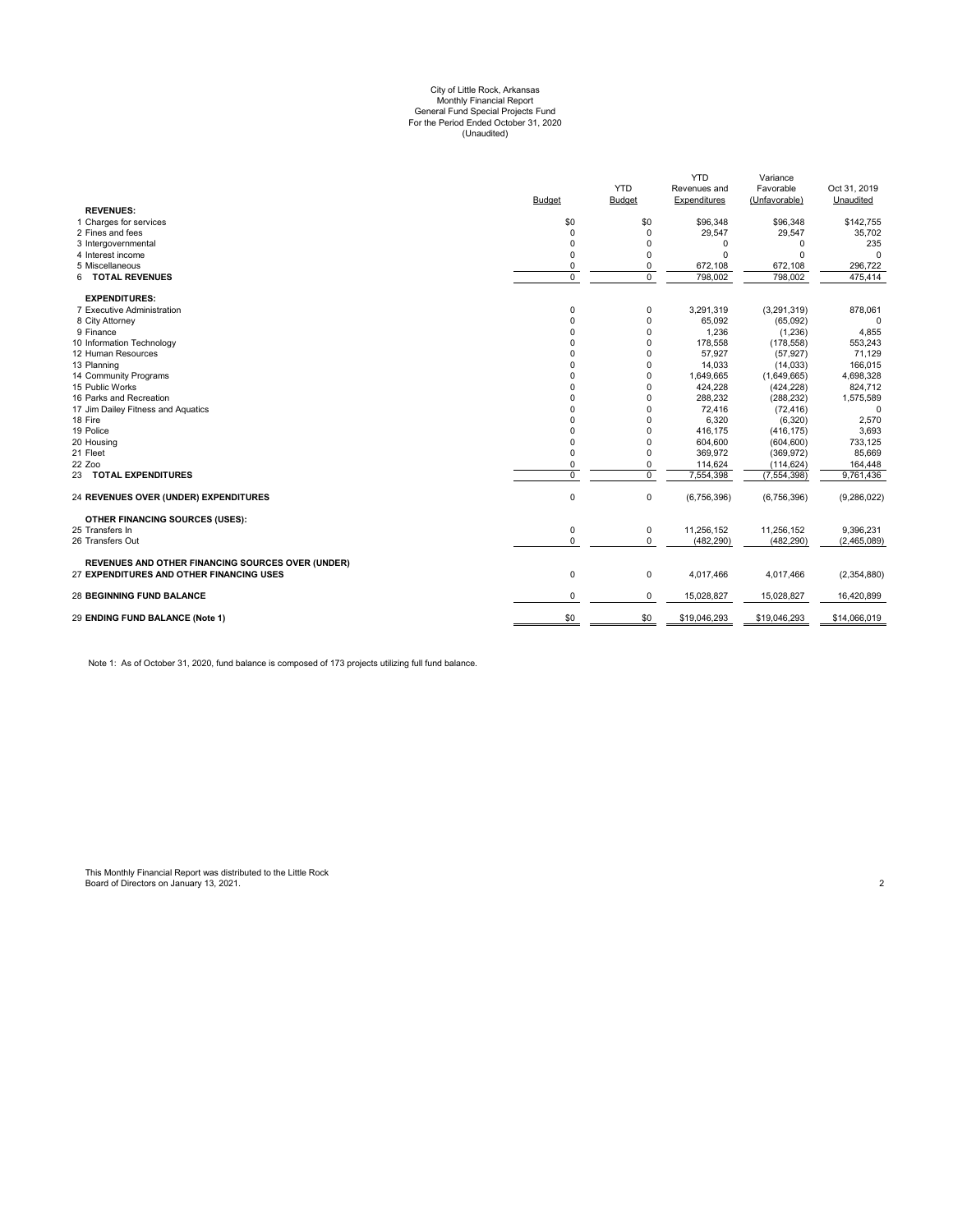# (Unaudited) City of Little Rock, Arkansas Monthly Financial Report General Fund Special Projects Fund For the Period Ended October 31, 2020

| <b>YTD</b><br>Favorable<br>Oct 31, 2019<br>Revenues and<br>Budget<br><b>Budget</b><br>Expenditures<br>(Unfavorable)<br>Unaudited<br><b>REVENUES:</b><br>1 Charges for services<br>\$0<br>\$0<br>\$96,348<br>\$96,348<br>29,547<br>29,547<br>2 Fines and fees<br>$\mathbf 0$<br>$\mathbf 0$<br>3 Intergovernmental<br>0<br>$\Omega$<br>$\Omega$<br>$\Omega$<br>4 Interest income<br>$\mathbf 0$<br>$\Omega$<br>$\Omega$<br>$\Omega$<br>5 Miscellaneous<br>0<br>672,108<br>672,108<br>0<br>$\overline{0}$<br>$\overline{0}$<br>6 TOTAL REVENUES<br>798,002<br>798,002<br><b>EXPENDITURES:</b><br>0<br>3,291,319<br>(3,291,319)<br>7 Executive Administration<br>0<br>$\mathbf 0$<br>$\mathbf 0$<br>8 City Attorney<br>65,092<br>(65,092)<br>9 Finance<br>$\mathbf 0$<br>0<br>1,236<br>(1, 236)<br>10 Information Technology<br>0<br>$\Omega$<br>178,558<br>(178, 558)<br>12 Human Resources<br>0<br>$\Omega$<br>57,927<br>(57, 927)<br>0<br>$\Omega$<br>13 Planning<br>14,033<br>(14, 033)<br>$\Omega$<br>14 Community Programs<br>$\Omega$<br>1,649,665<br>(1,649,665)<br>15 Public Works<br>0<br>424,228<br>$\Omega$<br>(424, 228)<br>16 Parks and Recreation<br>0<br>$\Omega$<br>288,232<br>(288, 232)<br>17 Jim Dailey Fitness and Aquatics<br>0<br>$\Omega$<br>72,416<br>(72, 416)<br>18 Fire<br>$\Omega$<br>$\Omega$<br>6,320<br>(6,320)<br>19 Police<br>0<br>$\Omega$<br>416,175<br>(416, 175)<br>20 Housing<br>$\mathbf 0$<br>$\Omega$<br>604,600<br>(604, 600)<br>21 Fleet<br>$\mathbf 0$<br>$\Omega$<br>369,972<br>(369, 972)<br>22 Zoo<br>0<br>114,624<br>(114, 624)<br>$\Omega$<br>$\Omega$<br>$\Omega$<br>7,554,398<br>(7, 554, 398)<br>23 TOTAL EXPENDITURES<br>0<br>0<br>(6,756,396)<br>(6,756,396)<br>24 REVENUES OVER (UNDER) EXPENDITURES<br>OTHER FINANCING SOURCES (USES):<br>25 Transfers In<br>0<br>0<br>11,256,152<br>11,256,152<br>$\mathbf 0$<br>0<br>(482, 290)<br>(482, 290)<br>26 Transfers Out<br>REVENUES AND OTHER FINANCING SOURCES OVER (UNDER)<br>27 EXPENDITURES AND OTHER FINANCING USES<br>0<br>0<br>4,017,466<br>4,017,466<br>(2,354,880)<br><b>28 BEGINNING FUND BALANCE</b><br>0<br>0<br>15,028,827<br>15,028,827<br>\$0<br>\$0<br>\$19,046,293<br>\$19,046,293<br>29 ENDING FUND BALANCE (Note 1) |  | <b>YTD</b> | Variance |               |
|------------------------------------------------------------------------------------------------------------------------------------------------------------------------------------------------------------------------------------------------------------------------------------------------------------------------------------------------------------------------------------------------------------------------------------------------------------------------------------------------------------------------------------------------------------------------------------------------------------------------------------------------------------------------------------------------------------------------------------------------------------------------------------------------------------------------------------------------------------------------------------------------------------------------------------------------------------------------------------------------------------------------------------------------------------------------------------------------------------------------------------------------------------------------------------------------------------------------------------------------------------------------------------------------------------------------------------------------------------------------------------------------------------------------------------------------------------------------------------------------------------------------------------------------------------------------------------------------------------------------------------------------------------------------------------------------------------------------------------------------------------------------------------------------------------------------------------------------------------------------------------------------------------------------------------------------------------------------------------------------------------------------------------------------------------------------------------------------------------------------------------------------------------------------------------------------------------------------------------------|--|------------|----------|---------------|
|                                                                                                                                                                                                                                                                                                                                                                                                                                                                                                                                                                                                                                                                                                                                                                                                                                                                                                                                                                                                                                                                                                                                                                                                                                                                                                                                                                                                                                                                                                                                                                                                                                                                                                                                                                                                                                                                                                                                                                                                                                                                                                                                                                                                                                          |  |            |          |               |
|                                                                                                                                                                                                                                                                                                                                                                                                                                                                                                                                                                                                                                                                                                                                                                                                                                                                                                                                                                                                                                                                                                                                                                                                                                                                                                                                                                                                                                                                                                                                                                                                                                                                                                                                                                                                                                                                                                                                                                                                                                                                                                                                                                                                                                          |  |            |          |               |
|                                                                                                                                                                                                                                                                                                                                                                                                                                                                                                                                                                                                                                                                                                                                                                                                                                                                                                                                                                                                                                                                                                                                                                                                                                                                                                                                                                                                                                                                                                                                                                                                                                                                                                                                                                                                                                                                                                                                                                                                                                                                                                                                                                                                                                          |  |            |          |               |
|                                                                                                                                                                                                                                                                                                                                                                                                                                                                                                                                                                                                                                                                                                                                                                                                                                                                                                                                                                                                                                                                                                                                                                                                                                                                                                                                                                                                                                                                                                                                                                                                                                                                                                                                                                                                                                                                                                                                                                                                                                                                                                                                                                                                                                          |  |            |          | \$142,755     |
|                                                                                                                                                                                                                                                                                                                                                                                                                                                                                                                                                                                                                                                                                                                                                                                                                                                                                                                                                                                                                                                                                                                                                                                                                                                                                                                                                                                                                                                                                                                                                                                                                                                                                                                                                                                                                                                                                                                                                                                                                                                                                                                                                                                                                                          |  |            |          | 35,702        |
|                                                                                                                                                                                                                                                                                                                                                                                                                                                                                                                                                                                                                                                                                                                                                                                                                                                                                                                                                                                                                                                                                                                                                                                                                                                                                                                                                                                                                                                                                                                                                                                                                                                                                                                                                                                                                                                                                                                                                                                                                                                                                                                                                                                                                                          |  |            |          | 235           |
|                                                                                                                                                                                                                                                                                                                                                                                                                                                                                                                                                                                                                                                                                                                                                                                                                                                                                                                                                                                                                                                                                                                                                                                                                                                                                                                                                                                                                                                                                                                                                                                                                                                                                                                                                                                                                                                                                                                                                                                                                                                                                                                                                                                                                                          |  |            |          | $\Omega$      |
|                                                                                                                                                                                                                                                                                                                                                                                                                                                                                                                                                                                                                                                                                                                                                                                                                                                                                                                                                                                                                                                                                                                                                                                                                                                                                                                                                                                                                                                                                                                                                                                                                                                                                                                                                                                                                                                                                                                                                                                                                                                                                                                                                                                                                                          |  |            |          | 296,722       |
|                                                                                                                                                                                                                                                                                                                                                                                                                                                                                                                                                                                                                                                                                                                                                                                                                                                                                                                                                                                                                                                                                                                                                                                                                                                                                                                                                                                                                                                                                                                                                                                                                                                                                                                                                                                                                                                                                                                                                                                                                                                                                                                                                                                                                                          |  |            |          | 475,414       |
|                                                                                                                                                                                                                                                                                                                                                                                                                                                                                                                                                                                                                                                                                                                                                                                                                                                                                                                                                                                                                                                                                                                                                                                                                                                                                                                                                                                                                                                                                                                                                                                                                                                                                                                                                                                                                                                                                                                                                                                                                                                                                                                                                                                                                                          |  |            |          |               |
|                                                                                                                                                                                                                                                                                                                                                                                                                                                                                                                                                                                                                                                                                                                                                                                                                                                                                                                                                                                                                                                                                                                                                                                                                                                                                                                                                                                                                                                                                                                                                                                                                                                                                                                                                                                                                                                                                                                                                                                                                                                                                                                                                                                                                                          |  |            |          | 878,061       |
|                                                                                                                                                                                                                                                                                                                                                                                                                                                                                                                                                                                                                                                                                                                                                                                                                                                                                                                                                                                                                                                                                                                                                                                                                                                                                                                                                                                                                                                                                                                                                                                                                                                                                                                                                                                                                                                                                                                                                                                                                                                                                                                                                                                                                                          |  |            |          | $\Omega$      |
|                                                                                                                                                                                                                                                                                                                                                                                                                                                                                                                                                                                                                                                                                                                                                                                                                                                                                                                                                                                                                                                                                                                                                                                                                                                                                                                                                                                                                                                                                                                                                                                                                                                                                                                                                                                                                                                                                                                                                                                                                                                                                                                                                                                                                                          |  |            |          | 4,855         |
|                                                                                                                                                                                                                                                                                                                                                                                                                                                                                                                                                                                                                                                                                                                                                                                                                                                                                                                                                                                                                                                                                                                                                                                                                                                                                                                                                                                                                                                                                                                                                                                                                                                                                                                                                                                                                                                                                                                                                                                                                                                                                                                                                                                                                                          |  |            |          | 553,243       |
|                                                                                                                                                                                                                                                                                                                                                                                                                                                                                                                                                                                                                                                                                                                                                                                                                                                                                                                                                                                                                                                                                                                                                                                                                                                                                                                                                                                                                                                                                                                                                                                                                                                                                                                                                                                                                                                                                                                                                                                                                                                                                                                                                                                                                                          |  |            |          | 71,129        |
|                                                                                                                                                                                                                                                                                                                                                                                                                                                                                                                                                                                                                                                                                                                                                                                                                                                                                                                                                                                                                                                                                                                                                                                                                                                                                                                                                                                                                                                                                                                                                                                                                                                                                                                                                                                                                                                                                                                                                                                                                                                                                                                                                                                                                                          |  |            |          | 166,015       |
|                                                                                                                                                                                                                                                                                                                                                                                                                                                                                                                                                                                                                                                                                                                                                                                                                                                                                                                                                                                                                                                                                                                                                                                                                                                                                                                                                                                                                                                                                                                                                                                                                                                                                                                                                                                                                                                                                                                                                                                                                                                                                                                                                                                                                                          |  |            |          | 4,698,328     |
|                                                                                                                                                                                                                                                                                                                                                                                                                                                                                                                                                                                                                                                                                                                                                                                                                                                                                                                                                                                                                                                                                                                                                                                                                                                                                                                                                                                                                                                                                                                                                                                                                                                                                                                                                                                                                                                                                                                                                                                                                                                                                                                                                                                                                                          |  |            |          | 824,712       |
|                                                                                                                                                                                                                                                                                                                                                                                                                                                                                                                                                                                                                                                                                                                                                                                                                                                                                                                                                                                                                                                                                                                                                                                                                                                                                                                                                                                                                                                                                                                                                                                                                                                                                                                                                                                                                                                                                                                                                                                                                                                                                                                                                                                                                                          |  |            |          | 1,575,589     |
|                                                                                                                                                                                                                                                                                                                                                                                                                                                                                                                                                                                                                                                                                                                                                                                                                                                                                                                                                                                                                                                                                                                                                                                                                                                                                                                                                                                                                                                                                                                                                                                                                                                                                                                                                                                                                                                                                                                                                                                                                                                                                                                                                                                                                                          |  |            |          | $\Omega$      |
|                                                                                                                                                                                                                                                                                                                                                                                                                                                                                                                                                                                                                                                                                                                                                                                                                                                                                                                                                                                                                                                                                                                                                                                                                                                                                                                                                                                                                                                                                                                                                                                                                                                                                                                                                                                                                                                                                                                                                                                                                                                                                                                                                                                                                                          |  |            |          | 2,570         |
|                                                                                                                                                                                                                                                                                                                                                                                                                                                                                                                                                                                                                                                                                                                                                                                                                                                                                                                                                                                                                                                                                                                                                                                                                                                                                                                                                                                                                                                                                                                                                                                                                                                                                                                                                                                                                                                                                                                                                                                                                                                                                                                                                                                                                                          |  |            |          | 3,693         |
|                                                                                                                                                                                                                                                                                                                                                                                                                                                                                                                                                                                                                                                                                                                                                                                                                                                                                                                                                                                                                                                                                                                                                                                                                                                                                                                                                                                                                                                                                                                                                                                                                                                                                                                                                                                                                                                                                                                                                                                                                                                                                                                                                                                                                                          |  |            |          | 733,125       |
|                                                                                                                                                                                                                                                                                                                                                                                                                                                                                                                                                                                                                                                                                                                                                                                                                                                                                                                                                                                                                                                                                                                                                                                                                                                                                                                                                                                                                                                                                                                                                                                                                                                                                                                                                                                                                                                                                                                                                                                                                                                                                                                                                                                                                                          |  |            |          | 85,669        |
|                                                                                                                                                                                                                                                                                                                                                                                                                                                                                                                                                                                                                                                                                                                                                                                                                                                                                                                                                                                                                                                                                                                                                                                                                                                                                                                                                                                                                                                                                                                                                                                                                                                                                                                                                                                                                                                                                                                                                                                                                                                                                                                                                                                                                                          |  |            |          | 164,448       |
|                                                                                                                                                                                                                                                                                                                                                                                                                                                                                                                                                                                                                                                                                                                                                                                                                                                                                                                                                                                                                                                                                                                                                                                                                                                                                                                                                                                                                                                                                                                                                                                                                                                                                                                                                                                                                                                                                                                                                                                                                                                                                                                                                                                                                                          |  |            |          | 9,761,436     |
|                                                                                                                                                                                                                                                                                                                                                                                                                                                                                                                                                                                                                                                                                                                                                                                                                                                                                                                                                                                                                                                                                                                                                                                                                                                                                                                                                                                                                                                                                                                                                                                                                                                                                                                                                                                                                                                                                                                                                                                                                                                                                                                                                                                                                                          |  |            |          | (9, 286, 022) |
|                                                                                                                                                                                                                                                                                                                                                                                                                                                                                                                                                                                                                                                                                                                                                                                                                                                                                                                                                                                                                                                                                                                                                                                                                                                                                                                                                                                                                                                                                                                                                                                                                                                                                                                                                                                                                                                                                                                                                                                                                                                                                                                                                                                                                                          |  |            |          |               |
|                                                                                                                                                                                                                                                                                                                                                                                                                                                                                                                                                                                                                                                                                                                                                                                                                                                                                                                                                                                                                                                                                                                                                                                                                                                                                                                                                                                                                                                                                                                                                                                                                                                                                                                                                                                                                                                                                                                                                                                                                                                                                                                                                                                                                                          |  |            |          | 9,396,231     |
|                                                                                                                                                                                                                                                                                                                                                                                                                                                                                                                                                                                                                                                                                                                                                                                                                                                                                                                                                                                                                                                                                                                                                                                                                                                                                                                                                                                                                                                                                                                                                                                                                                                                                                                                                                                                                                                                                                                                                                                                                                                                                                                                                                                                                                          |  |            |          | (2,465,089)   |
|                                                                                                                                                                                                                                                                                                                                                                                                                                                                                                                                                                                                                                                                                                                                                                                                                                                                                                                                                                                                                                                                                                                                                                                                                                                                                                                                                                                                                                                                                                                                                                                                                                                                                                                                                                                                                                                                                                                                                                                                                                                                                                                                                                                                                                          |  |            |          |               |
|                                                                                                                                                                                                                                                                                                                                                                                                                                                                                                                                                                                                                                                                                                                                                                                                                                                                                                                                                                                                                                                                                                                                                                                                                                                                                                                                                                                                                                                                                                                                                                                                                                                                                                                                                                                                                                                                                                                                                                                                                                                                                                                                                                                                                                          |  |            |          |               |
|                                                                                                                                                                                                                                                                                                                                                                                                                                                                                                                                                                                                                                                                                                                                                                                                                                                                                                                                                                                                                                                                                                                                                                                                                                                                                                                                                                                                                                                                                                                                                                                                                                                                                                                                                                                                                                                                                                                                                                                                                                                                                                                                                                                                                                          |  |            |          | 16,420,899    |
|                                                                                                                                                                                                                                                                                                                                                                                                                                                                                                                                                                                                                                                                                                                                                                                                                                                                                                                                                                                                                                                                                                                                                                                                                                                                                                                                                                                                                                                                                                                                                                                                                                                                                                                                                                                                                                                                                                                                                                                                                                                                                                                                                                                                                                          |  |            |          | \$14,066,019  |

Note 1: As of October 31, 2020, fund balance is composed of 173 projects utilizing full fund balance.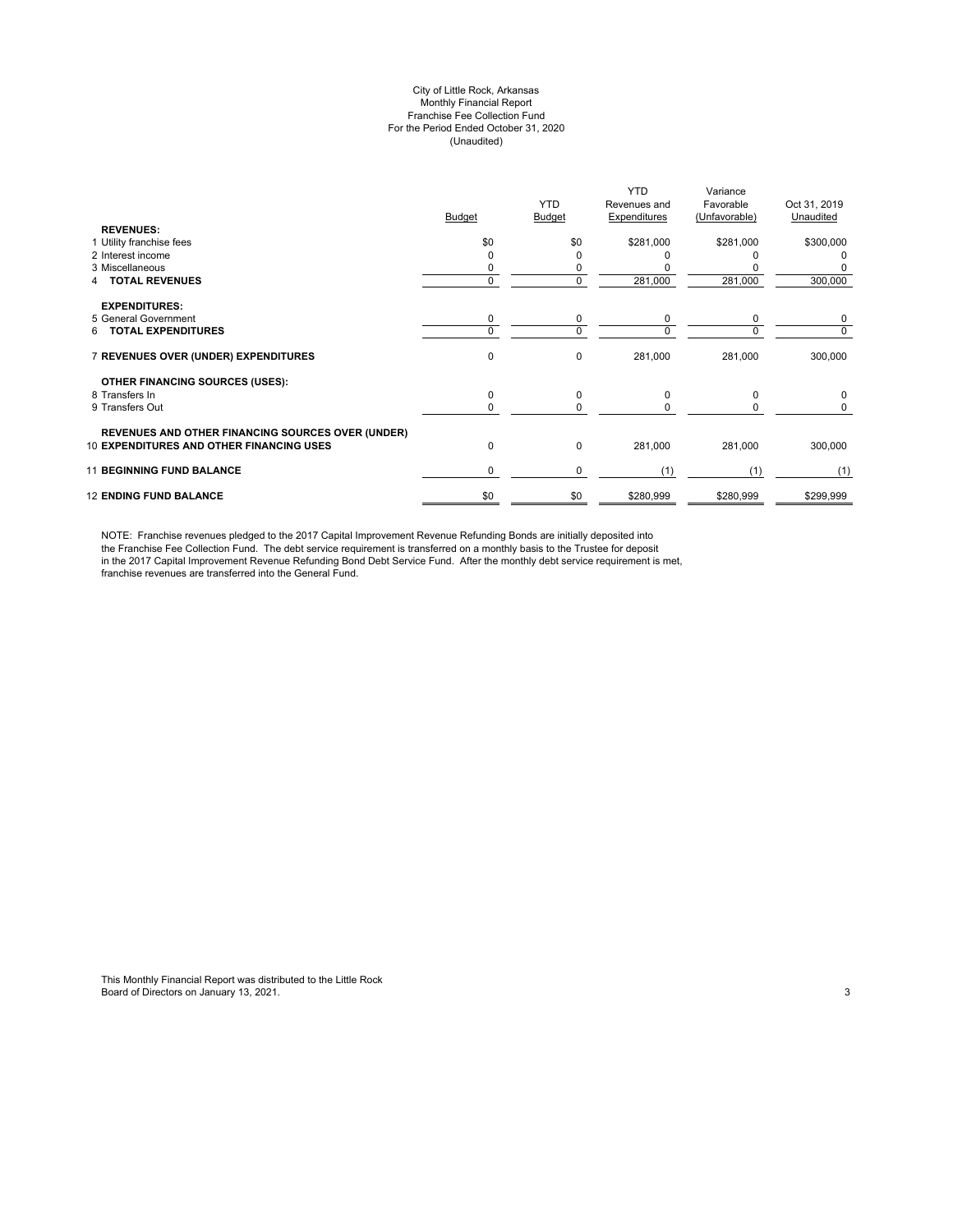#### City of Little Rock, Arkansas Monthly Financial Report Franchise Fee Collection Fund For the Period Ended October 31, 2020 (Unaudited)

|                                                          | Budget   | <b>YTD</b><br>Budget | <b>YTD</b><br>Revenues and<br>Expenditures | Variance<br>Favorable<br>(Unfavorable) | Oct 31, 2019<br>Unaudited |
|----------------------------------------------------------|----------|----------------------|--------------------------------------------|----------------------------------------|---------------------------|
| <b>REVENUES:</b>                                         |          |                      |                                            |                                        |                           |
| 1 Utility franchise fees                                 | \$0      | \$0                  | \$281,000                                  | \$281,000                              | \$300,000                 |
| 2 Interest income                                        |          | ი                    |                                            |                                        |                           |
| 3 Miscellaneous                                          |          | 0                    |                                            |                                        |                           |
| <b>TOTAL REVENUES</b>                                    | $\Omega$ | 0                    | 281,000                                    | 281,000                                | 300,000                   |
| <b>EXPENDITURES:</b>                                     |          |                      |                                            |                                        |                           |
| 5 General Government                                     | 0        | 0                    | 0                                          | 0                                      | 0                         |
| <b>TOTAL EXPENDITURES</b><br>6.                          | $\Omega$ | 0                    | $\Omega$                                   | $\Omega$                               | 0                         |
| 7 REVENUES OVER (UNDER) EXPENDITURES                     | 0        | 0                    | 281,000                                    | 281,000                                | 300,000                   |
| OTHER FINANCING SOURCES (USES):                          |          |                      |                                            |                                        |                           |
| 8 Transfers In                                           | 0        | 0                    | $\Omega$                                   | $\Omega$                               | 0                         |
| 9 Transfers Out                                          | $\Omega$ | 0                    | $\Omega$                                   | 0                                      | 0                         |
| <b>REVENUES AND OTHER FINANCING SOURCES OVER (UNDER)</b> |          |                      |                                            |                                        |                           |
| <b>10 EXPENDITURES AND OTHER FINANCING USES</b>          | 0        | 0                    | 281,000                                    | 281,000                                | 300,000                   |
| <b>11 BEGINNING FUND BALANCE</b>                         | 0        | 0                    | (1)                                        | (1)                                    | (1)                       |
| <b>12 ENDING FUND BALANCE</b>                            | \$0      | \$0                  | \$280,999                                  | \$280,999                              | \$299,999                 |

NOTE: Franchise revenues pledged to the 2017 Capital Improvement Revenue Refunding Bonds are initially deposited into the Franchise Fee Collection Fund. The debt service requirement is transferred on a monthly basis to the Trustee for deposit in the 2017 Capital Improvement Revenue Refunding Bond Debt Service Fund. After the monthly debt service requirement is met, franchise revenues are transferred into the General Fund.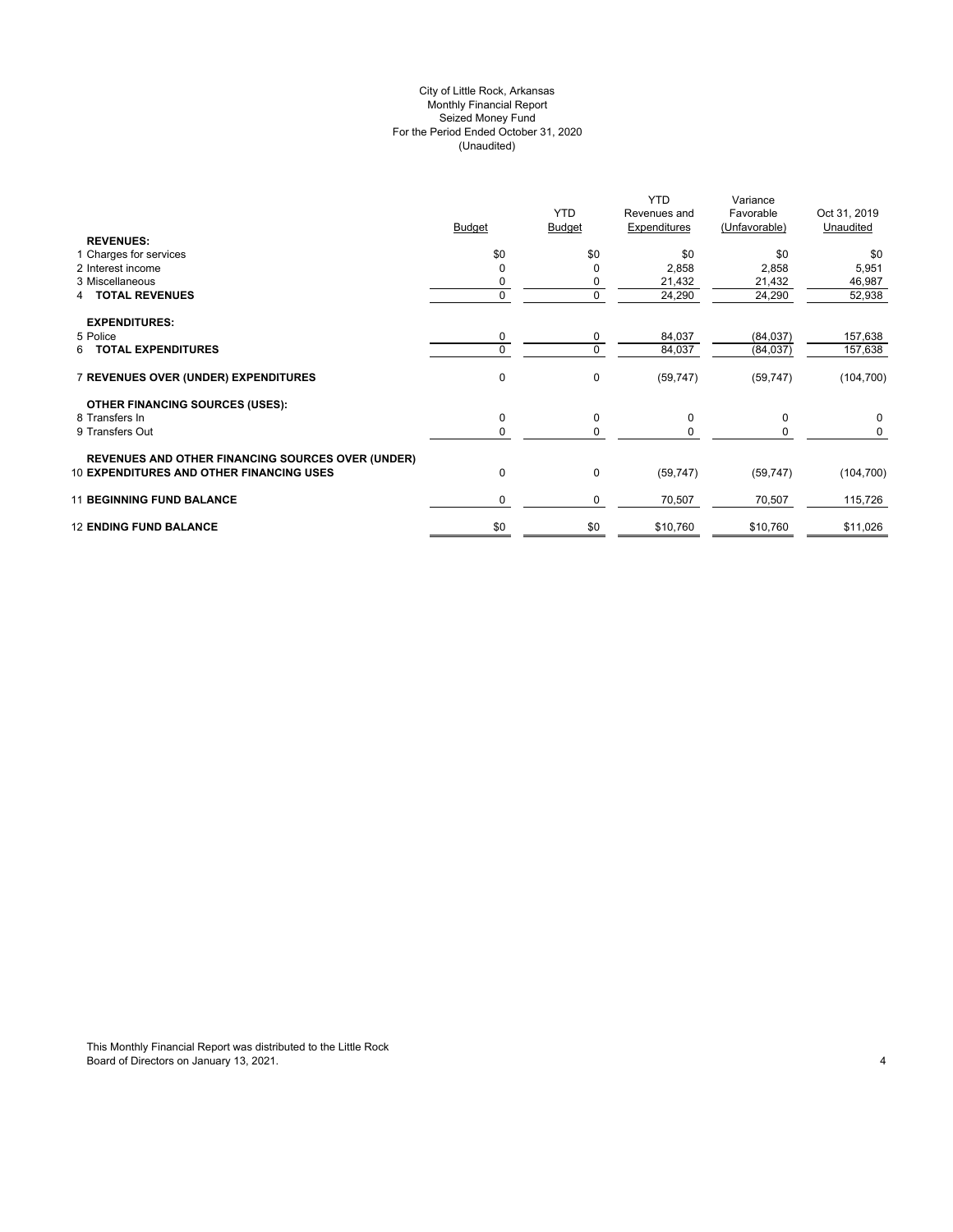## City of Little Rock, Arkansas (Unaudited) For the Period Ended October 31, 2020 Seized Money Fund Monthly Financial Report

| <b>REVENUES:</b>                                                                                            | <b>Budget</b> | <b>YTD</b><br><b>Budget</b> | YTD.<br>Revenues and<br>Expenditures | Variance<br>Favorable<br>(Unfavorable) | Oct 31, 2019<br>Unaudited |
|-------------------------------------------------------------------------------------------------------------|---------------|-----------------------------|--------------------------------------|----------------------------------------|---------------------------|
| 1 Charges for services                                                                                      | \$0           | \$0                         | \$0                                  | \$0                                    | \$0                       |
| 2 Interest income                                                                                           |               | 0                           | 2,858                                | 2,858                                  | 5,951                     |
| 3 Miscellaneous                                                                                             |               | 0                           | 21,432                               | 21,432                                 | 46,987                    |
| <b>TOTAL REVENUES</b><br>4                                                                                  |               | 0                           | 24,290                               | 24,290                                 | 52,938                    |
| <b>EXPENDITURES:</b>                                                                                        |               |                             |                                      |                                        |                           |
| 5 Police                                                                                                    | 0             | 0                           | 84,037                               | (84, 037)                              | 157,638                   |
| 6 TOTAL EXPENDITURES                                                                                        |               | 0                           | 84,037                               | (84, 037)                              | 157,638                   |
| 7 REVENUES OVER (UNDER) EXPENDITURES                                                                        | $\mathbf 0$   | 0                           | (59, 747)                            | (59, 747)                              | (104, 700)                |
| <b>OTHER FINANCING SOURCES (USES):</b>                                                                      |               |                             |                                      |                                        |                           |
| 8 Transfers In                                                                                              | $\mathbf 0$   | 0                           | 0                                    | 0                                      | 0                         |
| 9 Transfers Out                                                                                             |               | 0                           | $\Omega$                             | 0                                      | 0                         |
| <b>REVENUES AND OTHER FINANCING SOURCES OVER (UNDER)</b><br><b>10 EXPENDITURES AND OTHER FINANCING USES</b> | $\mathbf 0$   | 0                           | (59, 747)                            | (59, 747)                              | (104, 700)                |
|                                                                                                             |               |                             |                                      |                                        |                           |
| <b>11 BEGINNING FUND BALANCE</b>                                                                            | $\Omega$      | 0                           | 70,507                               | 70,507                                 | 115,726                   |
| <b>12 ENDING FUND BALANCE</b>                                                                               | \$0           | \$0                         | \$10,760                             | \$10,760                               | \$11,026                  |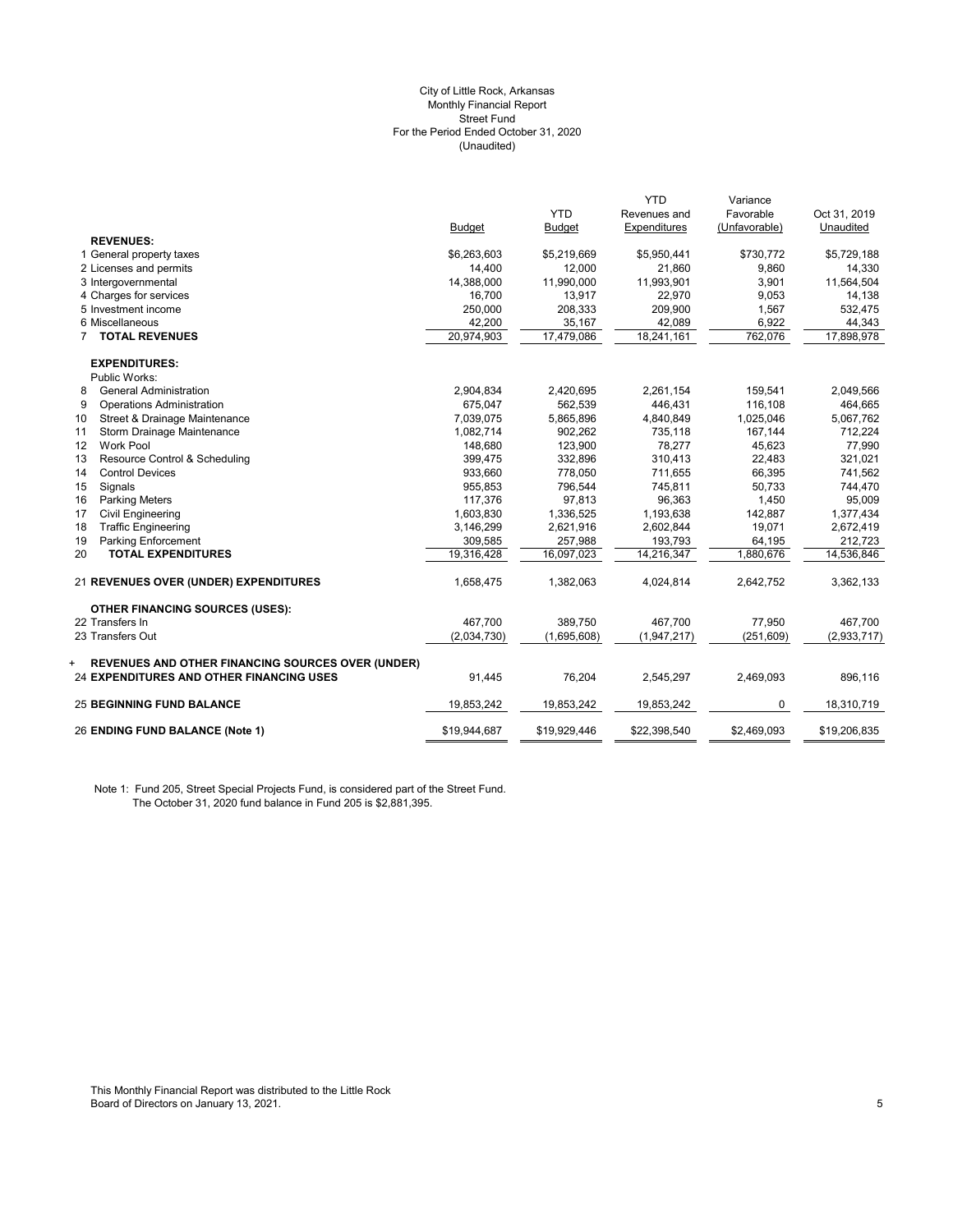#### (Unaudited) City of Little Rock, Arkansas Monthly Financial Report Street Fund For the Period Ended October 31, 2020

|                                                               |               |               | <b>YTD</b>   | Variance      |              |
|---------------------------------------------------------------|---------------|---------------|--------------|---------------|--------------|
|                                                               |               | <b>YTD</b>    | Revenues and | Favorable     | Oct 31, 2019 |
|                                                               | <b>Budget</b> | <b>Budget</b> | Expenditures | (Unfavorable) | Unaudited    |
| <b>REVENUES:</b>                                              |               |               |              |               |              |
| 1 General property taxes                                      | \$6,263,603   | \$5,219,669   | \$5,950,441  | \$730,772     | \$5,729,188  |
| 2 Licenses and permits                                        | 14,400        | 12,000        | 21,860       | 9,860         | 14,330       |
| 3 Intergovernmental                                           | 14,388,000    | 11,990,000    | 11,993,901   | 3,901         | 11,564,504   |
| 4 Charges for services                                        | 16,700        | 13.917        | 22,970       | 9,053         | 14,138       |
| 5 Investment income                                           | 250,000       | 208,333       | 209,900      | 1,567         | 532,475      |
| 6 Miscellaneous                                               | 42,200        | 35,167        | 42,089       | 6,922         | 44,343       |
| <b>TOTAL REVENUES</b><br>$\overline{7}$                       | 20,974,903    | 17,479,086    | 18,241,161   | 762,076       | 17,898,978   |
| <b>EXPENDITURES:</b>                                          |               |               |              |               |              |
| Public Works:                                                 |               |               |              |               |              |
| <b>General Administration</b><br>8                            | 2,904,834     | 2,420,695     | 2,261,154    | 159,541       | 2,049,566    |
| 9<br><b>Operations Administration</b>                         | 675,047       | 562,539       | 446,431      | 116,108       | 464,665      |
| Street & Drainage Maintenance<br>10                           | 7,039,075     | 5.865.896     | 4,840,849    | 1,025,046     | 5,067,762    |
| 11<br>Storm Drainage Maintenance                              | 1,082,714     | 902,262       | 735,118      | 167,144       | 712,224      |
| <b>Work Pool</b><br>12                                        | 148,680       | 123.900       | 78,277       | 45,623        | 77,990       |
| 13<br>Resource Control & Scheduling                           | 399,475       | 332,896       | 310,413      | 22,483        | 321,021      |
| <b>Control Devices</b><br>14                                  | 933,660       | 778,050       | 711,655      | 66,395        | 741,562      |
| 15<br>Signals                                                 | 955,853       | 796,544       | 745,811      | 50,733        | 744,470      |
| 16<br><b>Parking Meters</b>                                   | 117,376       | 97,813        | 96,363       | 1,450         | 95,009       |
| <b>Civil Engineering</b><br>17                                | 1,603,830     | 1,336,525     | 1,193,638    | 142,887       | 1,377,434    |
| 18<br><b>Traffic Engineering</b>                              | 3,146,299     | 2,621,916     | 2,602,844    | 19,071        | 2,672,419    |
| 19<br>Parking Enforcement                                     | 309,585       | 257,988       | 193,793      | 64,195        | 212,723      |
| 20<br><b>TOTAL EXPENDITURES</b>                               | 19,316,428    | 16,097,023    | 14,216,347   | 1,880,676     | 14,536,846   |
|                                                               |               |               |              |               |              |
| 21 REVENUES OVER (UNDER) EXPENDITURES                         | 1,658,475     | 1,382,063     | 4,024,814    | 2,642,752     | 3,362,133    |
| <b>OTHER FINANCING SOURCES (USES):</b>                        |               |               |              |               |              |
| 22 Transfers In                                               | 467.700       | 389,750       | 467.700      | 77,950        | 467,700      |
| 23 Transfers Out                                              | (2,034,730)   | (1,695,608)   | (1,947,217)  | (251, 609)    | (2,933,717)  |
|                                                               |               |               |              |               |              |
| <b>REVENUES AND OTHER FINANCING SOURCES OVER (UNDER)</b><br>+ |               |               |              |               |              |
| 24 EXPENDITURES AND OTHER FINANCING USES                      | 91,445        | 76,204        | 2,545,297    | 2,469,093     | 896,116      |
| <b>25 BEGINNING FUND BALANCE</b>                              | 19,853,242    | 19,853,242    | 19,853,242   | 0             | 18,310,719   |
|                                                               |               |               |              |               |              |
| 26 ENDING FUND BALANCE (Note 1)                               | \$19,944,687  | \$19,929,446  | \$22,398,540 | \$2,469,093   | \$19,206,835 |

Note 1: Fund 205, Street Special Projects Fund, is considered part of the Street Fund. The October 31, 2020 fund balance in Fund 205 is \$2,881,395.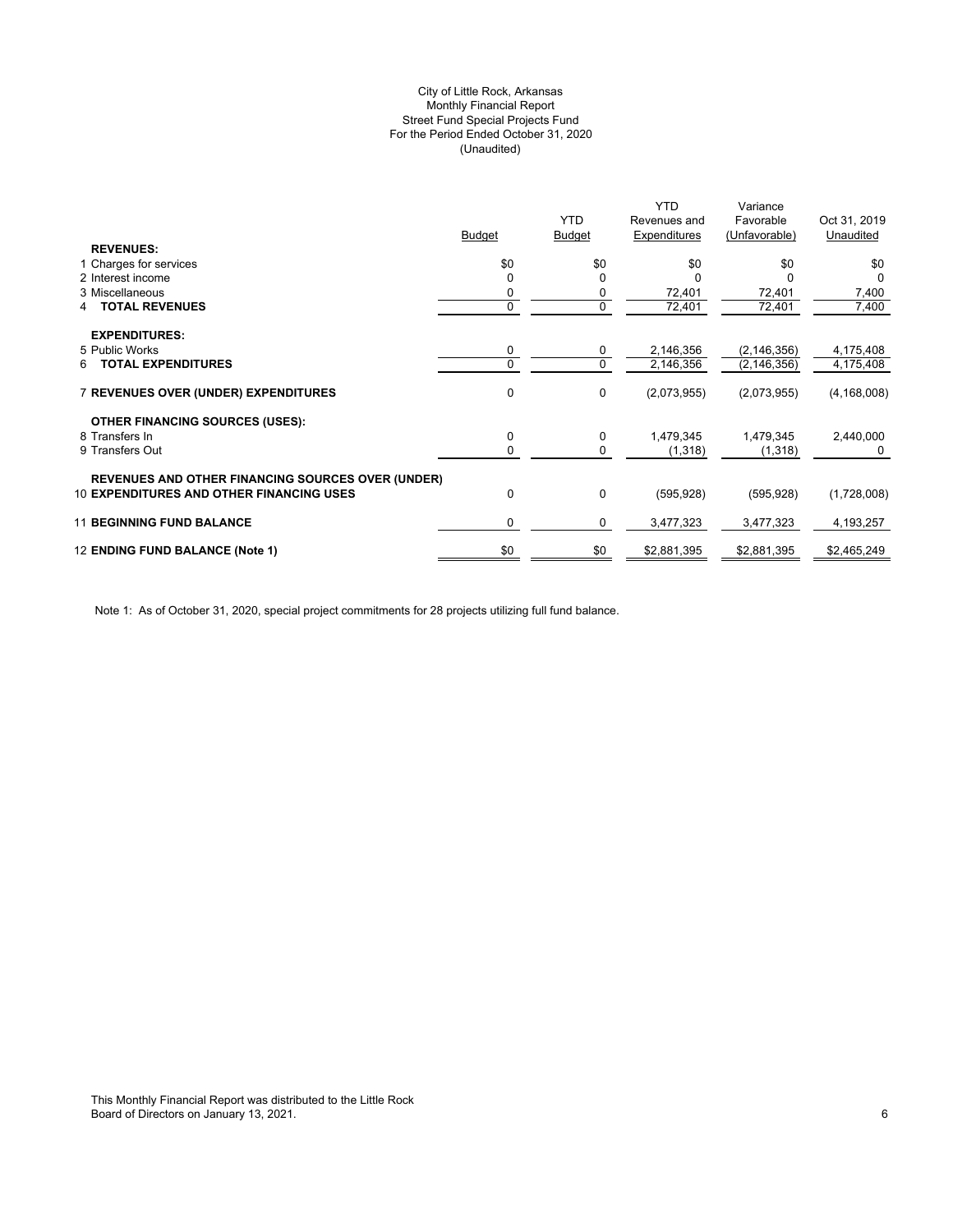# (Unaudited) City of Little Rock, Arkansas Monthly Financial Report Street Fund Special Projects Fund For the Period Ended October 31, 2020

|                                                          |               |               | YTD          | Variance      |               |
|----------------------------------------------------------|---------------|---------------|--------------|---------------|---------------|
|                                                          |               | <b>YTD</b>    | Revenues and | Favorable     | Oct 31, 2019  |
|                                                          | <b>Budget</b> | <b>Budget</b> | Expenditures | (Unfavorable) | Unaudited     |
| <b>REVENUES:</b>                                         |               |               |              |               |               |
| 1 Charges for services                                   | \$0           | \$0           | \$0          | \$0           | \$0           |
| 2 Interest income                                        |               | 0             |              |               | 0             |
| 3 Miscellaneous                                          |               | 0             | 72,401       | 72,401        | 7,400         |
| <b>TOTAL REVENUES</b><br>4                               | 0             | 0             | 72,401       | 72,401        | 7,400         |
| <b>EXPENDITURES:</b>                                     |               |               |              |               |               |
| 5 Public Works                                           | 0             | 0             | 2,146,356    | (2, 146, 356) | 4,175,408     |
| <b>TOTAL EXPENDITURES</b><br>6                           | 0             | $\mathbf 0$   | 2,146,356    | (2, 146, 356) | 4,175,408     |
|                                                          |               |               |              |               |               |
| <b>7 REVENUES OVER (UNDER) EXPENDITURES</b>              | 0             | 0             | (2,073,955)  | (2,073,955)   | (4, 168, 008) |
| <b>OTHER FINANCING SOURCES (USES):</b>                   |               |               |              |               |               |
| 8 Transfers In                                           | 0             | 0             | 1,479,345    | 1,479,345     | 2,440,000     |
| 9 Transfers Out                                          | 0             | 0             | (1, 318)     | (1,318)       | 0             |
|                                                          |               |               |              |               |               |
| <b>REVENUES AND OTHER FINANCING SOURCES OVER (UNDER)</b> |               |               |              |               |               |
| <b>10 EXPENDITURES AND OTHER FINANCING USES</b>          | 0             | 0             | (595, 928)   | (595, 928)    | (1,728,008)   |
| <b>11 BEGINNING FUND BALANCE</b>                         | 0             | 0             | 3,477,323    | 3,477,323     | 4,193,257     |
|                                                          |               |               |              |               |               |
| 12 ENDING FUND BALANCE (Note 1)                          | \$0           | \$0           | \$2,881,395  | \$2,881,395   | \$2,465,249   |
|                                                          |               |               |              |               |               |

Note 1: As of October 31, 2020, special project commitments for 28 projects utilizing full fund balance.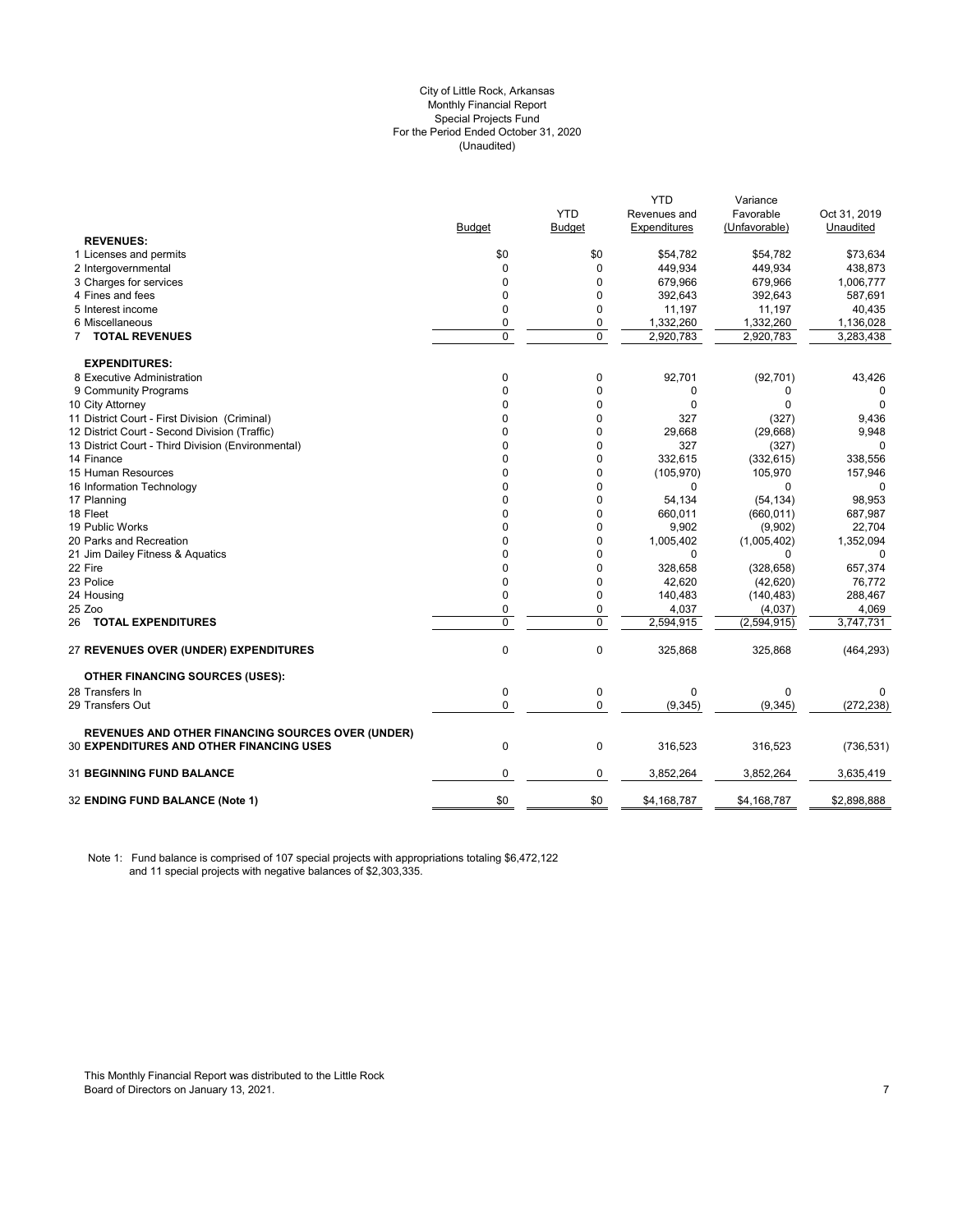#### City of Little Rock, Arkansas (Unaudited) For the Period Ended October 31, 2020 Special Projects Fund Monthly Financial Report

|                                                          |               |            | <b>YTD</b>   | Variance      |              |
|----------------------------------------------------------|---------------|------------|--------------|---------------|--------------|
|                                                          |               | <b>YTD</b> | Revenues and | Favorable     | Oct 31, 2019 |
|                                                          | <b>Budget</b> | Budget     | Expenditures | (Unfavorable) | Unaudited    |
| <b>REVENUES:</b>                                         |               |            |              |               |              |
| 1 Licenses and permits                                   | \$0           | \$0        | \$54,782     | \$54,782      | \$73,634     |
| 2 Intergovernmental                                      | $\mathbf 0$   | 0          | 449,934      | 449,934       | 438,873      |
| 3 Charges for services                                   | $\Omega$      | $\Omega$   | 679,966      | 679,966       | 1,006,777    |
| 4 Fines and fees                                         | $\mathbf 0$   | 0          | 392,643      | 392,643       | 587,691      |
| 5 Interest income                                        | $\mathbf 0$   | 0          | 11,197       | 11,197        | 40,435       |
| 6 Miscellaneous                                          | $\mathbf 0$   | 0          | 1,332,260    | 1,332,260     | 1,136,028    |
| 7 TOTAL REVENUES                                         | $\mathbf 0$   | 0          | 2,920,783    | 2,920,783     | 3,283,438    |
| <b>EXPENDITURES:</b>                                     |               |            |              |               |              |
| 8 Executive Administration                               | $\pmb{0}$     | 0          | 92,701       | (92, 701)     | 43,426       |
| 9 Community Programs                                     | $\mathbf 0$   | 0          | 0            | 0             | 0            |
| 10 City Attorney                                         | $\Omega$      | 0          | 0            | $\Omega$      | $\Omega$     |
| 11 District Court - First Division (Criminal)            | 0             | 0          | 327          | (327)         | 9,436        |
| 12 District Court - Second Division (Traffic)            | 0             | 0          | 29,668       | (29,668)      | 9,948        |
| 13 District Court - Third Division (Environmental)       | $\Omega$      | 0          | 327          | (327)         | $\Omega$     |
| 14 Finance                                               | $\Omega$      | 0          | 332,615      | (332, 615)    | 338,556      |
| 15 Human Resources                                       | 0             | 0          | (105, 970)   | 105,970       | 157,946      |
| 16 Information Technology                                | $\Omega$      | 0          | $\Omega$     | $\Omega$      |              |
| 17 Planning                                              | $\mathbf 0$   | 0          | 54,134       | (54, 134)     | 98,953       |
| 18 Fleet                                                 | 0             | 0          | 660,011      | (660, 011)    | 687,987      |
| 19 Public Works                                          | $\Omega$      | $\Omega$   | 9,902        | (9,902)       | 22,704       |
| 20 Parks and Recreation                                  | 0             | 0          | 1,005,402    | (1,005,402)   | 1,352,094    |
| 21 Jim Dailey Fitness & Aquatics                         | 0             | 0          | $\mathbf 0$  | 0             | $\Omega$     |
| 22 Fire                                                  | $\Omega$      | $\Omega$   | 328,658      | (328, 658)    | 657,374      |
| 23 Police                                                | $\mathbf 0$   | 0          | 42,620       | (42, 620)     | 76,772       |
| 24 Housing                                               | $\mathbf 0$   | 0          | 140,483      | (140, 483)    | 288,467      |
| 25 Zoo                                                   | $\mathbf 0$   | 0          | 4,037        | (4,037)       | 4,069        |
| 26 TOTAL EXPENDITURES                                    | 0             | 0          | 2,594,915    | (2,594,915)   | 3,747,731    |
| <b>27 REVENUES OVER (UNDER) EXPENDITURES</b>             | $\mathbf 0$   | 0          | 325,868      | 325,868       | (464, 293)   |
| <b>OTHER FINANCING SOURCES (USES):</b>                   |               |            |              |               |              |
| 28 Transfers In                                          | $\mathbf 0$   | 0          | 0            | 0             | $\Omega$     |
| 29 Transfers Out                                         | 0             | 0          | (9, 345)     | (9, 345)      | (272, 238)   |
| <b>REVENUES AND OTHER FINANCING SOURCES OVER (UNDER)</b> |               |            |              |               |              |
| <b>30 EXPENDITURES AND OTHER FINANCING USES</b>          | $\mathbf 0$   | 0          | 316,523      | 316,523       | (736, 531)   |
| <b>31 BEGINNING FUND BALANCE</b>                         | $\mathbf 0$   | 0          | 3,852,264    | 3,852,264     | 3,635,419    |
| 32 ENDING FUND BALANCE (Note 1)                          | \$0           | \$0        | \$4,168,787  | \$4,168,787   | \$2,898,888  |
|                                                          |               |            |              |               |              |

Note 1: Fund balance is comprised of 107 special projects with appropriations totaling \$6,472,122 and 11 special projects with negative balances of \$2,303,335.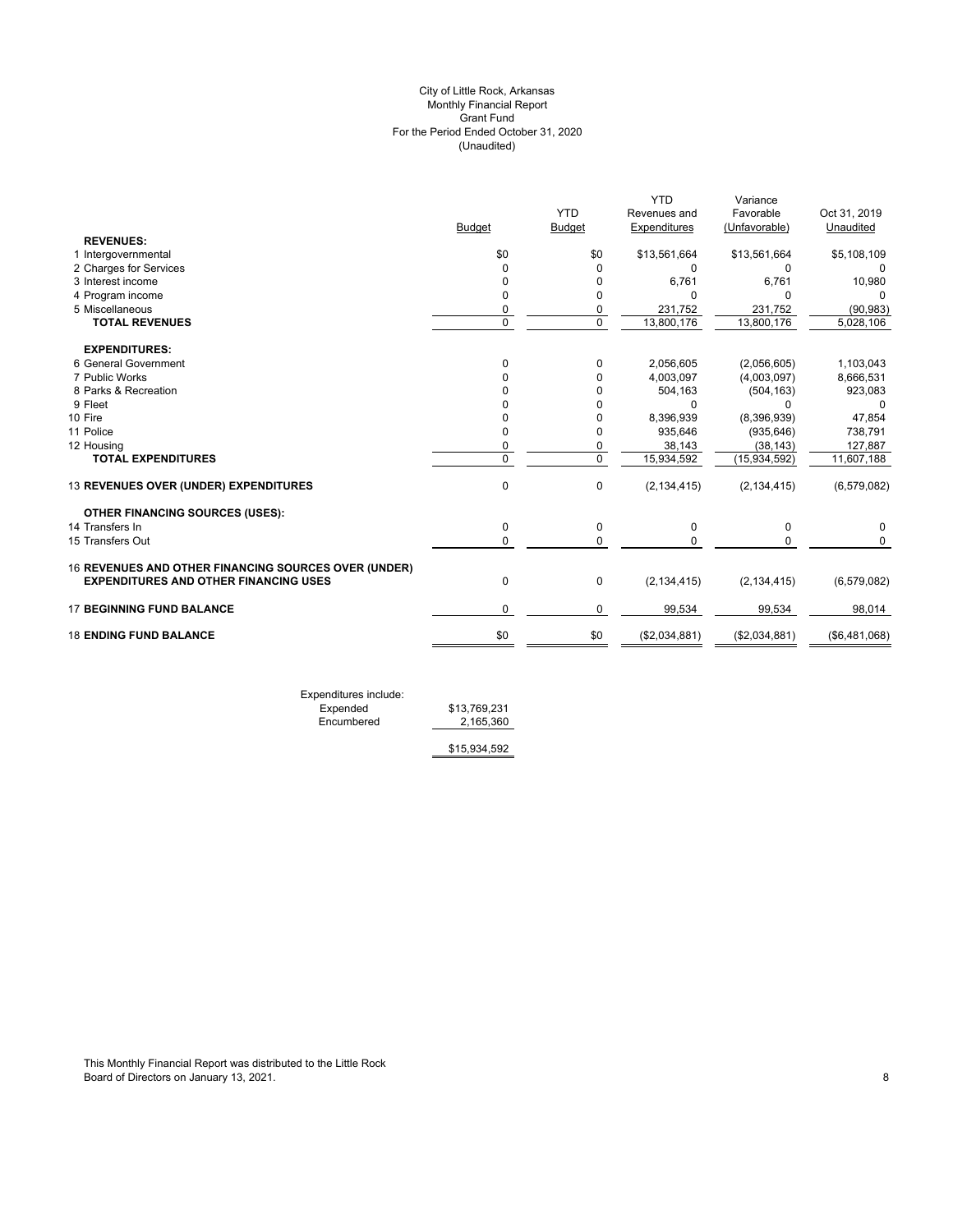# (Unaudited) City of Little Rock, Arkansas Monthly Financial Report Grant Fund For the Period Ended October 31, 2020

|                                                      |                      | <b>YTD</b>    | <b>YTD</b><br>Revenues and | Variance<br>Favorable | Oct 31, 2019  |
|------------------------------------------------------|----------------------|---------------|----------------------------|-----------------------|---------------|
|                                                      | <b>Budget</b>        | <b>Budget</b> | Expenditures               | (Unfavorable)         | Unaudited     |
| <b>REVENUES:</b>                                     | \$0                  |               |                            |                       |               |
| 1 Intergovernmental                                  |                      | \$0           | \$13,561,664               | \$13,561,664          | \$5,108,109   |
| 2 Charges for Services<br>3 Interest income          | $\Omega$<br>$\Omega$ | $\Omega$<br>0 | 0<br>6,761                 | 0<br>6,761            | 0<br>10,980   |
| 4 Program income                                     | 0                    | 0             | U                          | 0                     | 0             |
| 5 Miscellaneous                                      | 0                    | 0             | 231,752                    | 231,752               | (90, 983)     |
| <b>TOTAL REVENUES</b>                                | $\Omega$             | $\mathbf 0$   | 13,800,176                 | 13,800,176            | 5,028,106     |
|                                                      |                      |               |                            |                       |               |
| <b>EXPENDITURES:</b>                                 |                      |               |                            |                       |               |
| 6 General Government                                 | $\Omega$             | 0             | 2,056,605                  | (2,056,605)           | 1,103,043     |
| 7 Public Works                                       |                      | 0             | 4,003,097                  | (4,003,097)           | 8,666,531     |
| 8 Parks & Recreation                                 |                      | 0             | 504,163                    | (504, 163)            | 923,083       |
| 9 Fleet                                              |                      | 0             | 0                          | 0                     | 0             |
| 10 Fire                                              |                      | 0             | 8,396,939                  | (8,396,939)           | 47,854        |
| 11 Police                                            | $\Omega$             | 0             | 935,646                    | (935, 646)            | 738,791       |
| 12 Housing                                           | 0                    | 0             | 38,143                     | (38, 143)             | 127,887       |
| <b>TOTAL EXPENDITURES</b>                            | $\Omega$             | $\mathbf 0$   | 15,934,592                 | (15,934,592)          | 11,607,188    |
| 13 REVENUES OVER (UNDER) EXPENDITURES                | $\mathbf 0$          | 0             | (2, 134, 415)              | (2, 134, 415)         | (6, 579, 082) |
| <b>OTHER FINANCING SOURCES (USES):</b>               |                      |               |                            |                       |               |
| 14 Transfers In                                      | 0                    | $\pmb{0}$     | 0                          | 0                     | 0             |
| 15 Transfers Out                                     | $\Omega$             | $\mathbf 0$   | $\Omega$                   | $\mathbf 0$           | $\Omega$      |
| 16 REVENUES AND OTHER FINANCING SOURCES OVER (UNDER) |                      |               |                            |                       |               |
| <b>EXPENDITURES AND OTHER FINANCING USES</b>         | 0                    | $\mathbf 0$   | (2, 134, 415)              | (2, 134, 415)         | (6, 579, 082) |
| <b>17 BEGINNING FUND BALANCE</b>                     | $\Omega$             | 0             | 99,534                     | 99,534                | 98,014        |
| <b>18 ENDING FUND BALANCE</b>                        | \$0                  | \$0           | (\$2,034,881)              | (\$2,034,881)         | (\$6,481,068) |

Expenditures include: Expended \$13,769,231 Expended \$13,769,231<br>Encumbered <u>\$13,769,360</u>

\$15,934,592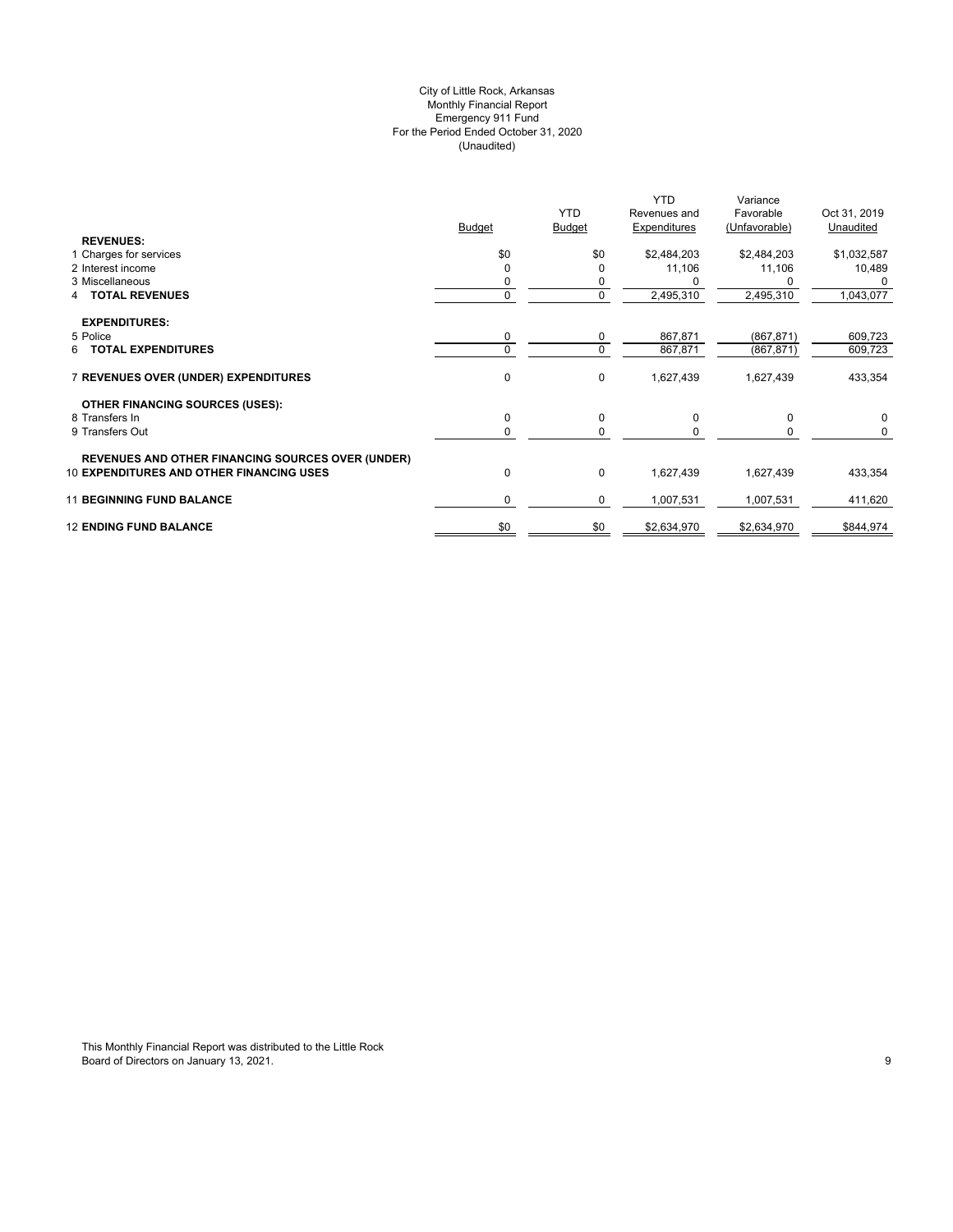# (Unaudited) City of Little Rock, Arkansas Monthly Financial Report Emergency 911 Fund For the Period Ended October 31, 2020

|                                                          | <b>Budget</b> | <b>YTD</b><br><b>Budget</b> | <b>YTD</b><br>Revenues and<br>Expenditures | Variance<br>Favorable<br>(Unfavorable) | Oct 31, 2019<br>Unaudited |
|----------------------------------------------------------|---------------|-----------------------------|--------------------------------------------|----------------------------------------|---------------------------|
| <b>REVENUES:</b><br>1 Charges for services               | \$0           | \$0                         | \$2,484,203                                | \$2,484,203                            | \$1,032,587               |
| 2 Interest income                                        | $\Omega$      |                             | 11,106                                     | 11,106                                 | 10,489                    |
| 3 Miscellaneous                                          |               | 0                           |                                            |                                        | $\Omega$                  |
| <b>TOTAL REVENUES</b><br>4                               | 0             | 0                           | 2,495,310                                  | 2,495,310                              | 1,043,077                 |
| <b>EXPENDITURES:</b>                                     |               |                             |                                            |                                        |                           |
| 5 Police                                                 | 0             | 0                           | 867,871                                    | (867, 871)                             | 609,723                   |
| <b>TOTAL EXPENDITURES</b><br>6                           | $\Omega$      | $\mathbf 0$                 | 867,871                                    | (867, 871)                             | 609,723                   |
| 7 REVENUES OVER (UNDER) EXPENDITURES                     | 0             | $\mathbf 0$                 | 1,627,439                                  | 1,627,439                              | 433,354                   |
| <b>OTHER FINANCING SOURCES (USES):</b>                   |               |                             |                                            |                                        |                           |
| 8 Transfers In                                           | 0             | 0                           | 0                                          | 0                                      | $\mathbf 0$               |
| 9 Transfers Out                                          | 0             | 0                           |                                            |                                        | 0                         |
| <b>REVENUES AND OTHER FINANCING SOURCES OVER (UNDER)</b> |               |                             |                                            |                                        |                           |
| <b>10 EXPENDITURES AND OTHER FINANCING USES</b>          | 0             | 0                           | 1,627,439                                  | 1,627,439                              | 433,354                   |
| <b>11 BEGINNING FUND BALANCE</b>                         | 0             | 0                           | 1,007,531                                  | 1,007,531                              | 411,620                   |
| <b>12 ENDING FUND BALANCE</b>                            | \$0           | \$0                         | \$2,634,970                                | \$2,634,970                            | \$844,974                 |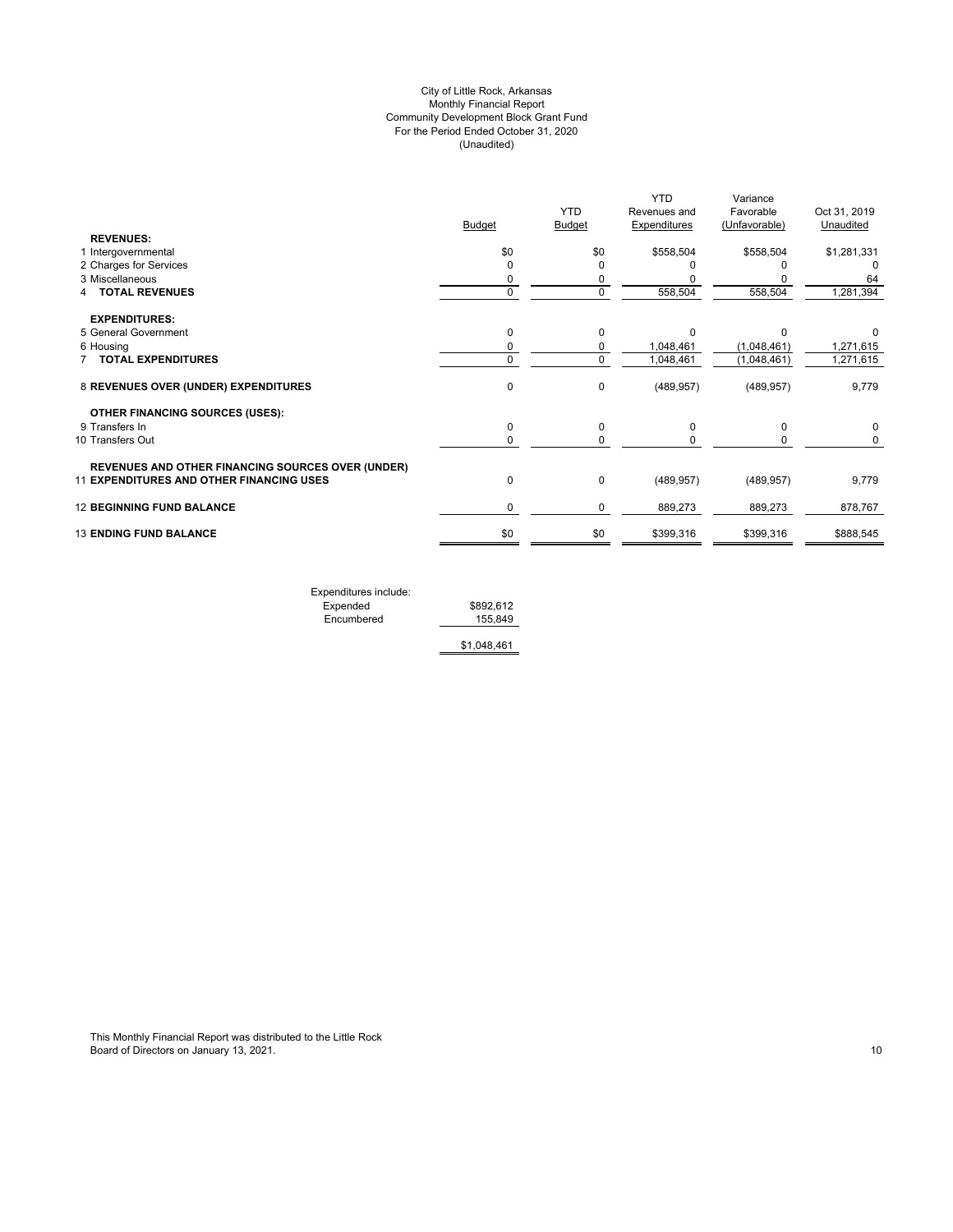# (Unaudited) City of Little Rock, Arkansas Monthly Financial Report Community Development Block Grant Fund For the Period Ended October 31, 2020

|                                                          |               |               | <b>YTD</b>          | Variance      |              |
|----------------------------------------------------------|---------------|---------------|---------------------|---------------|--------------|
|                                                          |               | <b>YTD</b>    | Revenues and        | Favorable     | Oct 31, 2019 |
| <b>REVENUES:</b>                                         | <b>Budget</b> | <b>Budget</b> | <b>Expenditures</b> | (Unfavorable) | Unaudited    |
| 1 Intergovernmental                                      | \$0           | \$0           | \$558,504           | \$558,504     | \$1,281,331  |
| 2 Charges for Services                                   | 0             | 0             |                     |               |              |
| 3 Miscellaneous                                          | 0             | 0             |                     |               | 64           |
| <b>TOTAL REVENUES</b>                                    | 0             | $\mathbf 0$   | 558,504             | 558,504       | 1,281,394    |
| <b>EXPENDITURES:</b>                                     |               |               |                     |               |              |
| 5 General Government                                     | 0             | $\mathbf 0$   | $\Omega$            | $\Omega$      |              |
| 6 Housing                                                | 0             | $\mathbf 0$   | 1,048,461           | (1,048,461)   | 1,271,615    |
| <b>TOTAL EXPENDITURES</b>                                | 0             | $\mathbf 0$   | 1,048,461           | (1,048,461)   | 1,271,615    |
| 8 REVENUES OVER (UNDER) EXPENDITURES                     | 0             | 0             | (489, 957)          | (489, 957)    | 9,779        |
| <b>OTHER FINANCING SOURCES (USES):</b>                   |               |               |                     |               |              |
| 9 Transfers In                                           | 0             | 0             | 0                   | 0             | 0            |
| 10 Transfers Out                                         | 0             | $\Omega$      |                     |               | 0            |
| <b>REVENUES AND OTHER FINANCING SOURCES OVER (UNDER)</b> |               |               |                     |               |              |
| <b>11 EXPENDITURES AND OTHER FINANCING USES</b>          | 0             | $\mathbf 0$   | (489, 957)          | (489, 957)    | 9,779        |
| <b>12 BEGINNING FUND BALANCE</b>                         | 0             | 0             | 889,273             | 889,273       | 878,767      |
| <b>13 ENDING FUND BALANCE</b>                            | \$0           | \$0           | \$399,316           | \$399,316     | \$888,545    |
|                                                          |               |               |                     |               |              |

Expenditures include: Expended \$892,612 Encumbered 155,849

\$1,048,461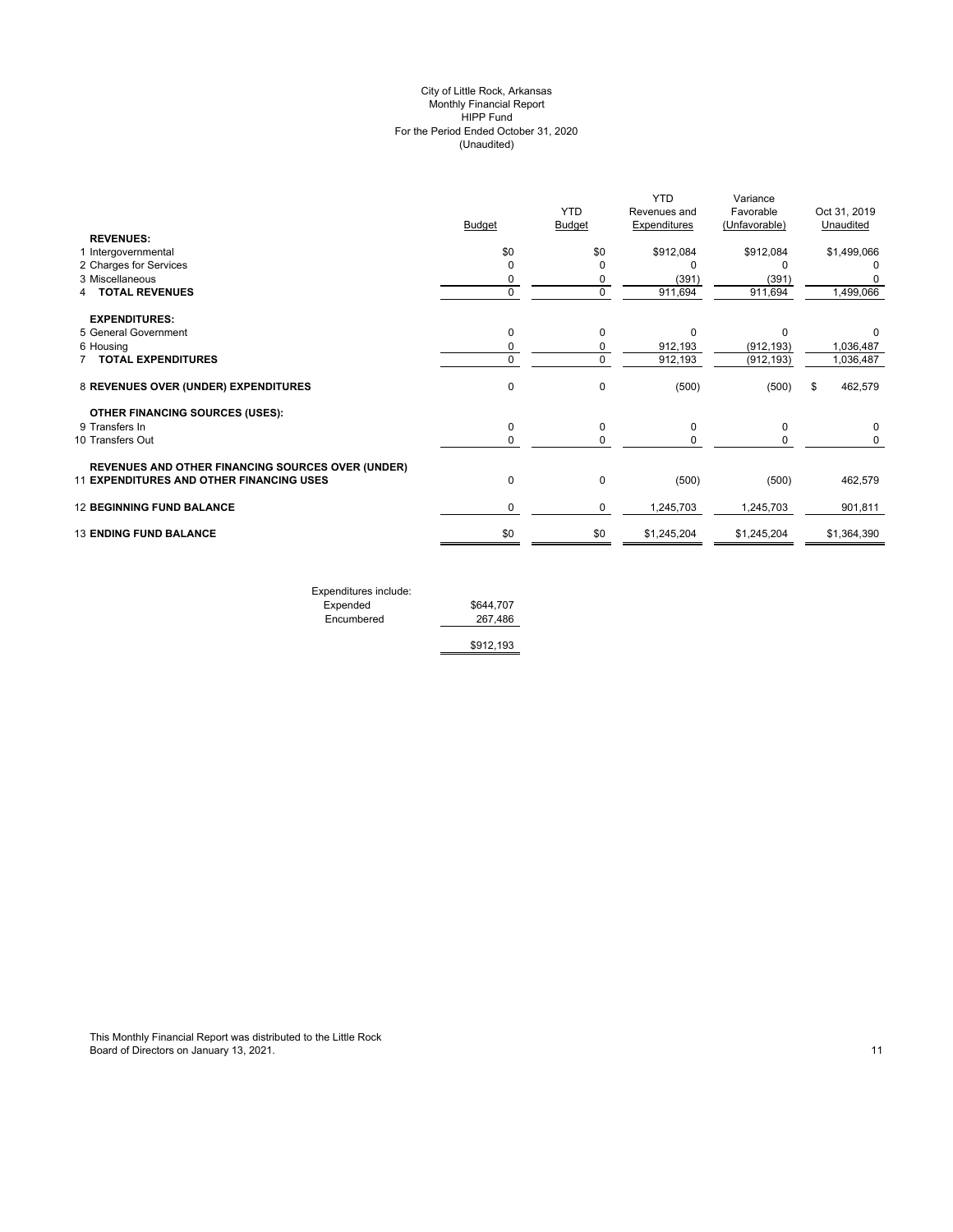#### (Unaudited) City of Little Rock, Arkansas Monthly Financial Report HIPP Fund For the Period Ended October 31, 2020

|                                                   | <b>Budget</b> | <b>YTD</b><br>Budget | <b>YTD</b><br>Revenues and<br>Expenditures | Variance<br>Favorable<br>(Unfavorable) | Oct 31, 2019<br>Unaudited |
|---------------------------------------------------|---------------|----------------------|--------------------------------------------|----------------------------------------|---------------------------|
| <b>REVENUES:</b>                                  |               |                      |                                            |                                        |                           |
| 1 Intergovernmental                               | \$0           | \$0                  | \$912,084                                  | \$912,084                              | \$1,499,066               |
| 2 Charges for Services                            | 0             | $\Omega$             | O                                          | n                                      | 0                         |
| 3 Miscellaneous                                   | 0             | 0                    | (391)                                      | (391)                                  |                           |
| <b>TOTAL REVENUES</b>                             | 0             | $\Omega$             | 911,694                                    | 911,694                                | 1,499,066                 |
| <b>EXPENDITURES:</b>                              |               |                      |                                            |                                        |                           |
| 5 General Government                              | $\mathbf 0$   | $\Omega$             | $\Omega$                                   | $\Omega$                               |                           |
| 6 Housing                                         | 0             | 0                    | 912,193                                    | (912, 193)                             | 1,036,487                 |
| 7 TOTAL EXPENDITURES                              | 0             | $\Omega$             | 912,193                                    | (912, 193)                             | 1,036,487                 |
| 8 REVENUES OVER (UNDER) EXPENDITURES              | $\mathbf 0$   | $\Omega$             | (500)                                      | (500)                                  | 462,579<br>\$             |
| <b>OTHER FINANCING SOURCES (USES):</b>            |               |                      |                                            |                                        |                           |
| 9 Transfers In                                    | $\mathbf 0$   | 0                    | 0                                          | 0                                      | 0                         |
| 10 Transfers Out                                  | 0             | 0                    | 0                                          | 0                                      | 0                         |
| REVENUES AND OTHER FINANCING SOURCES OVER (UNDER) |               |                      |                                            |                                        |                           |
| 11 EXPENDITURES AND OTHER FINANCING USES          | $\mathbf 0$   | 0                    | (500)                                      | (500)                                  | 462,579                   |
| <b>12 BEGINNING FUND BALANCE</b>                  | 0             | 0                    | 1,245,703                                  | 1,245,703                              | 901,811                   |
| <b>13 ENDING FUND BALANCE</b>                     | \$0           | \$0                  | \$1,245,204                                | \$1,245,204                            | \$1,364,390               |
|                                                   |               |                      |                                            |                                        |                           |

| Expenditures include: |           |
|-----------------------|-----------|
| Expended              | \$644,707 |
| Encumbered            | 267.486   |
|                       | \$912,193 |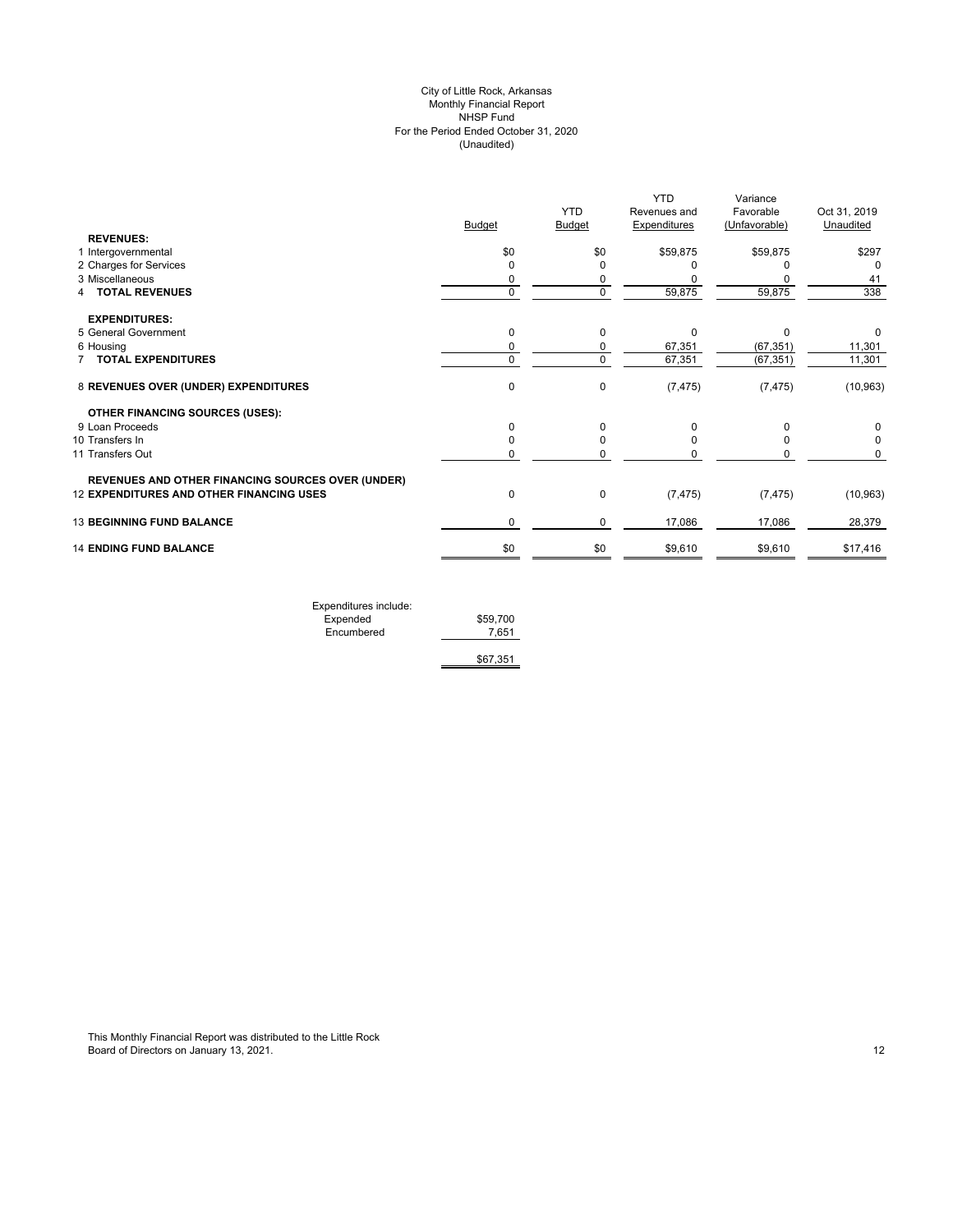# (Unaudited) City of Little Rock, Arkansas Monthly Financial Report NHSP Fund For the Period Ended October 31, 2020

|                                                          |               | <b>YTD</b>    | <b>YTD</b><br>Revenues and | Variance<br>Favorable | Oct 31, 2019 |
|----------------------------------------------------------|---------------|---------------|----------------------------|-----------------------|--------------|
|                                                          | <b>Budget</b> | <b>Budget</b> | <b>Expenditures</b>        | (Unfavorable)         | Unaudited    |
| <b>REVENUES:</b>                                         |               |               |                            |                       |              |
| 1 Intergovernmental                                      | \$0           | \$0           | \$59,875                   | \$59,875              | \$297        |
| 2 Charges for Services                                   | 0             | O             |                            |                       | $\Omega$     |
| 3 Miscellaneous                                          | 0             | 0             |                            |                       | 41           |
| <b>TOTAL REVENUES</b><br>4                               | $\mathbf 0$   | $\mathbf 0$   | 59,875                     | 59,875                | 338          |
| <b>EXPENDITURES:</b>                                     |               |               |                            |                       |              |
| 5 General Government                                     | 0             | 0             | O                          | O                     | 0            |
| 6 Housing                                                | 0             | 0             | 67,351                     | (67, 351)             | 11,301       |
| <b>TOTAL EXPENDITURES</b>                                | 0             | $\mathbf 0$   | 67,351                     | (67, 351)             | 11,301       |
| 8 REVENUES OVER (UNDER) EXPENDITURES                     | 0             | $\mathbf 0$   | (7, 475)                   | (7, 475)              | (10, 963)    |
| <b>OTHER FINANCING SOURCES (USES):</b>                   |               |               |                            |                       |              |
| 9 Loan Proceeds                                          | 0             | $\Omega$      | O                          |                       | 0            |
| 10 Transfers In                                          | 0             | 0             |                            |                       | 0            |
| 11 Transfers Out                                         | 0             | O             |                            |                       | 0            |
| <b>REVENUES AND OTHER FINANCING SOURCES OVER (UNDER)</b> |               |               |                            |                       |              |
| 12 EXPENDITURES AND OTHER FINANCING USES                 | $\pmb{0}$     | $\mathbf 0$   | (7, 475)                   | (7, 475)              | (10, 963)    |
| <b>13 BEGINNING FUND BALANCE</b>                         | 0             | $\mathbf 0$   | 17,086                     | 17,086                | 28,379       |
| <b>14 ENDING FUND BALANCE</b>                            | \$0           | \$0           | \$9,610                    | \$9,610               | \$17,416     |
|                                                          |               |               |                            |                       |              |

| Expenditures include: |          |
|-----------------------|----------|
| Expended              | \$59,700 |
| Encumbered            | 7.651    |
|                       |          |
|                       | \$67,351 |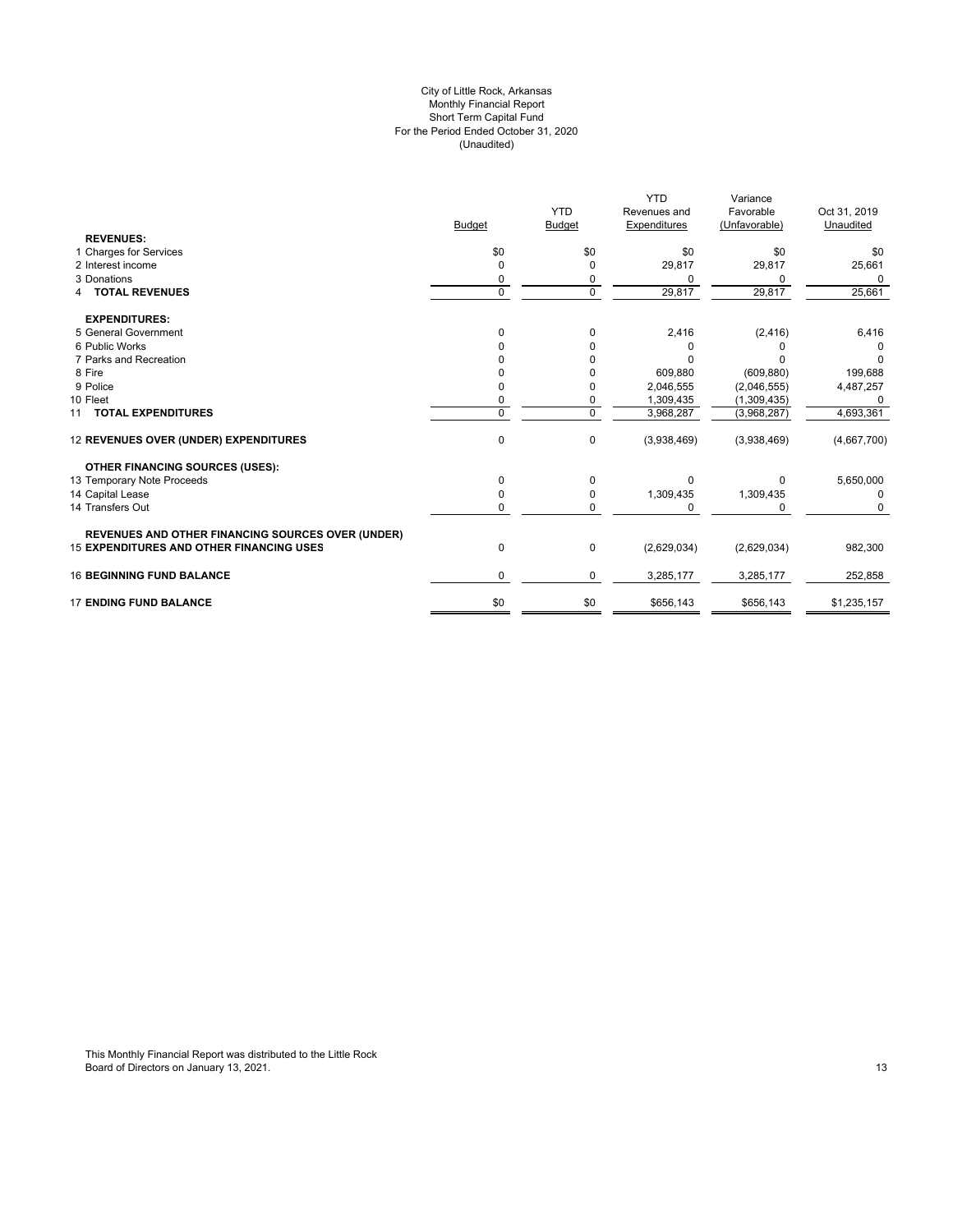#### For the Period Ended October 31, 2020 (Unaudited) City of Little Rock, Arkansas Monthly Financial Report Short Term Capital Fund

|                                                          |               |               | <b>YTD</b>   | Variance      |              |
|----------------------------------------------------------|---------------|---------------|--------------|---------------|--------------|
|                                                          |               | <b>YTD</b>    | Revenues and | Favorable     | Oct 31, 2019 |
|                                                          | <b>Budget</b> | <b>Budget</b> | Expenditures | (Unfavorable) | Unaudited    |
| <b>REVENUES:</b>                                         |               |               |              |               |              |
| 1 Charges for Services                                   | \$0           | \$0           | \$0          | \$0           | \$0          |
| 2 Interest income                                        | $\Omega$      | $\mathbf 0$   | 29,817       | 29,817        | 25,661       |
| 3 Donations                                              | 0             | 0             | $\Omega$     | ŋ             | <sup>0</sup> |
| <b>4 TOTAL REVENUES</b>                                  | $\Omega$      | $\mathbf 0$   | 29,817       | 29,817        | 25,661       |
| <b>EXPENDITURES:</b>                                     |               |               |              |               |              |
| 5 General Government                                     | $\Omega$      | 0             | 2,416        | (2, 416)      | 6,416        |
| 6 Public Works                                           |               | O             | $\Omega$     |               |              |
| 7 Parks and Recreation                                   |               | U             | $\Omega$     |               | O            |
| 8 Fire                                                   |               |               | 609,880      | (609, 880)    | 199,688      |
| 9 Police                                                 |               | 0             | 2,046,555    | (2,046,555)   | 4,487,257    |
| 10 Fleet                                                 | 0             | $\mathbf 0$   | 1,309,435    | (1,309,435)   | $\Omega$     |
| 11 TOTAL EXPENDITURES                                    | $\Omega$      | $\Omega$      | 3,968,287    | (3,968,287)   | 4,693,361    |
| 12 REVENUES OVER (UNDER) EXPENDITURES                    | 0             | 0             | (3,938,469)  | (3,938,469)   | (4,667,700)  |
| <b>OTHER FINANCING SOURCES (USES):</b>                   |               |               |              |               |              |
| 13 Temporary Note Proceeds                               | $\Omega$      | $\Omega$      | $\Omega$     | 0             | 5,650,000    |
| 14 Capital Lease                                         | 0             | 0             | 1,309,435    | 1,309,435     | 0            |
| 14 Transfers Out                                         | 0             | 0             | $\Omega$     | ŋ             | 0            |
| <b>REVENUES AND OTHER FINANCING SOURCES OVER (UNDER)</b> |               |               |              |               |              |
| <b>15 EXPENDITURES AND OTHER FINANCING USES</b>          | 0             | 0             | (2,629,034)  | (2,629,034)   | 982,300      |
| <b>16 BEGINNING FUND BALANCE</b>                         | 0             | 0             | 3,285,177    | 3,285,177     | 252,858      |
| <b>17 ENDING FUND BALANCE</b>                            | \$0           | \$0           | \$656,143    | \$656,143     | \$1,235,157  |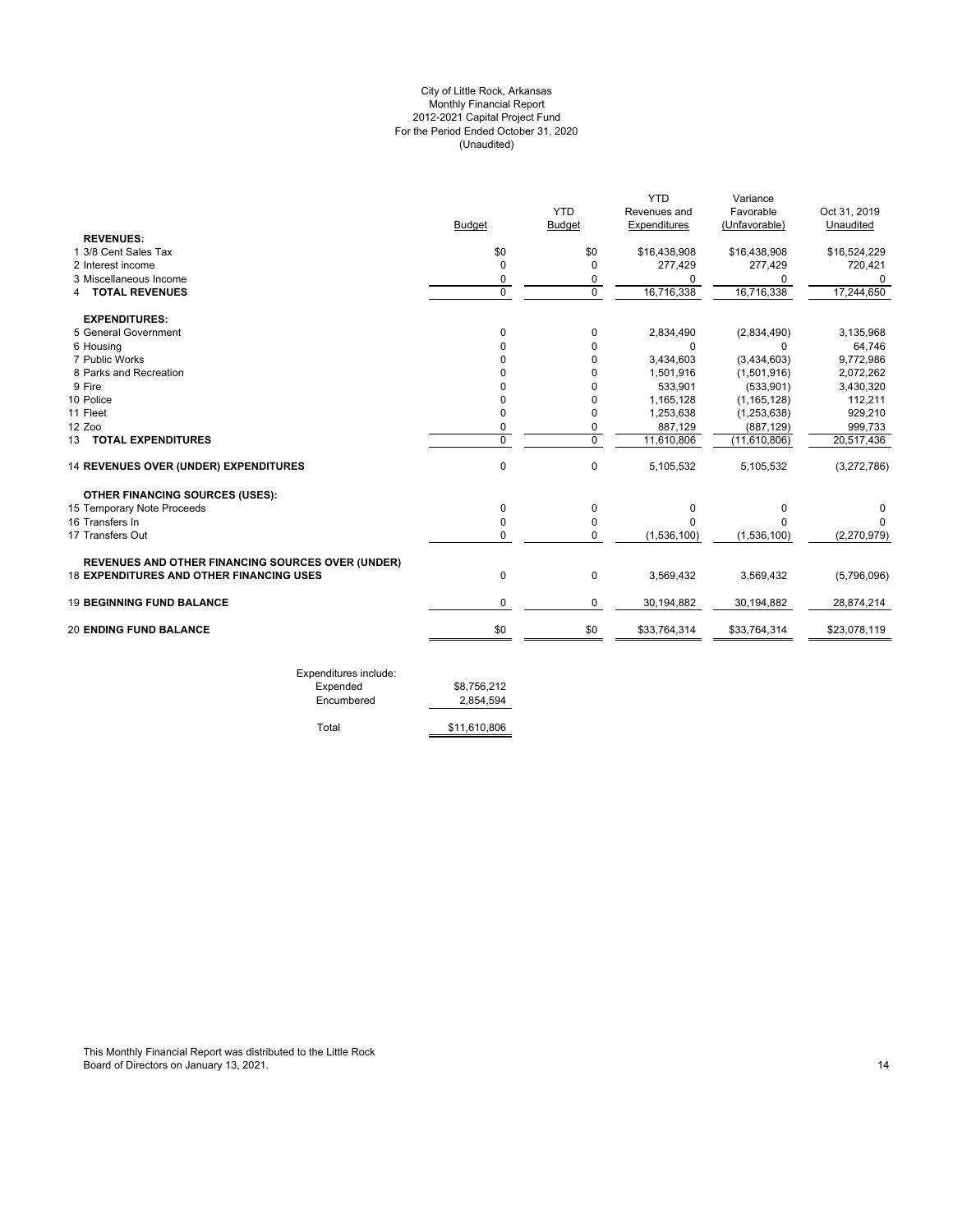# For the Period Ended October 31, 2020 (Unaudited) City of Little Rock, Arkansas Monthly Financial Report 2012-2021 Capital Project Fund

|                                                          |                |                | <b>YTD</b>   | Variance      |              |
|----------------------------------------------------------|----------------|----------------|--------------|---------------|--------------|
|                                                          |                | <b>YTD</b>     | Revenues and | Favorable     | Oct 31, 2019 |
|                                                          | <b>Budget</b>  | <b>Budget</b>  | Expenditures | (Unfavorable) | Unaudited    |
| <b>REVENUES:</b>                                         |                |                |              |               |              |
| 1 3/8 Cent Sales Tax                                     | \$0            | \$0            | \$16,438,908 | \$16,438,908  | \$16,524,229 |
| 2 Interest income                                        | $\Omega$       | $\Omega$       | 277,429      | 277,429       | 720,421      |
| 3 Miscellaneous Income                                   | 0              | 0              | O            | 0             | 0            |
| <b>TOTAL REVENUES</b><br>4                               | $\Omega$       | $\Omega$       | 16,716,338   | 16,716,338    | 17,244,650   |
| <b>EXPENDITURES:</b>                                     |                |                |              |               |              |
| 5 General Government                                     | 0              | 0              | 2,834,490    | (2,834,490)   | 3,135,968    |
| 6 Housing                                                | O              | $\Omega$       | 0            | $\Omega$      | 64,746       |
| 7 Public Works                                           | U              | $\Omega$       | 3,434,603    | (3,434,603)   | 9,772,986    |
| 8 Parks and Recreation                                   | U              | $\Omega$       | 1,501,916    | (1,501,916)   | 2,072,262    |
| 9 Fire                                                   |                | $\Omega$       | 533,901      | (533, 901)    | 3,430,320    |
| 10 Police                                                | O              | $\Omega$       | 1,165,128    | (1, 165, 128) | 112,211      |
| 11 Fleet                                                 | 0              | $\Omega$       | 1,253,638    | (1, 253, 638) | 929,210      |
| 12 Zoo                                                   | 0              | 0              | 887,129      | (887, 129)    | 999,733      |
| 13 TOTAL EXPENDITURES                                    | $\overline{0}$ | $\overline{0}$ | 11,610,806   | (11,610,806)  | 20,517,436   |
| 14 REVENUES OVER (UNDER) EXPENDITURES                    | $\mathbf 0$    | $\mathbf 0$    | 5,105,532    | 5,105,532     | (3,272,786)  |
| OTHER FINANCING SOURCES (USES):                          |                |                |              |               |              |
| 15 Temporary Note Proceeds                               | 0              | 0              | 0            | 0             | 0            |
| 16 Transfers In                                          | $\Omega$       | $\mathbf 0$    | U            | <sup>0</sup>  | n            |
| 17 Transfers Out                                         | $\Omega$       | $\Omega$       | (1,536,100)  | (1,536,100)   | (2,270,979)  |
| <b>REVENUES AND OTHER FINANCING SOURCES OVER (UNDER)</b> |                |                |              |               |              |
| <b>18 EXPENDITURES AND OTHER FINANCING USES</b>          | $\mathbf 0$    | $\mathbf 0$    | 3,569,432    | 3,569,432     | (5,796,096)  |
| <b>19 BEGINNING FUND BALANCE</b>                         | 0              | 0              | 30,194,882   | 30,194,882    | 28,874,214   |
| <b>20 ENDING FUND BALANCE</b>                            | \$0            | \$0            | \$33,764,314 | \$33,764,314  | \$23,078,119 |

| Expended   | \$8,756,212  |
|------------|--------------|
| Encumbered | 2.854.594    |
| Total      | \$11,610,806 |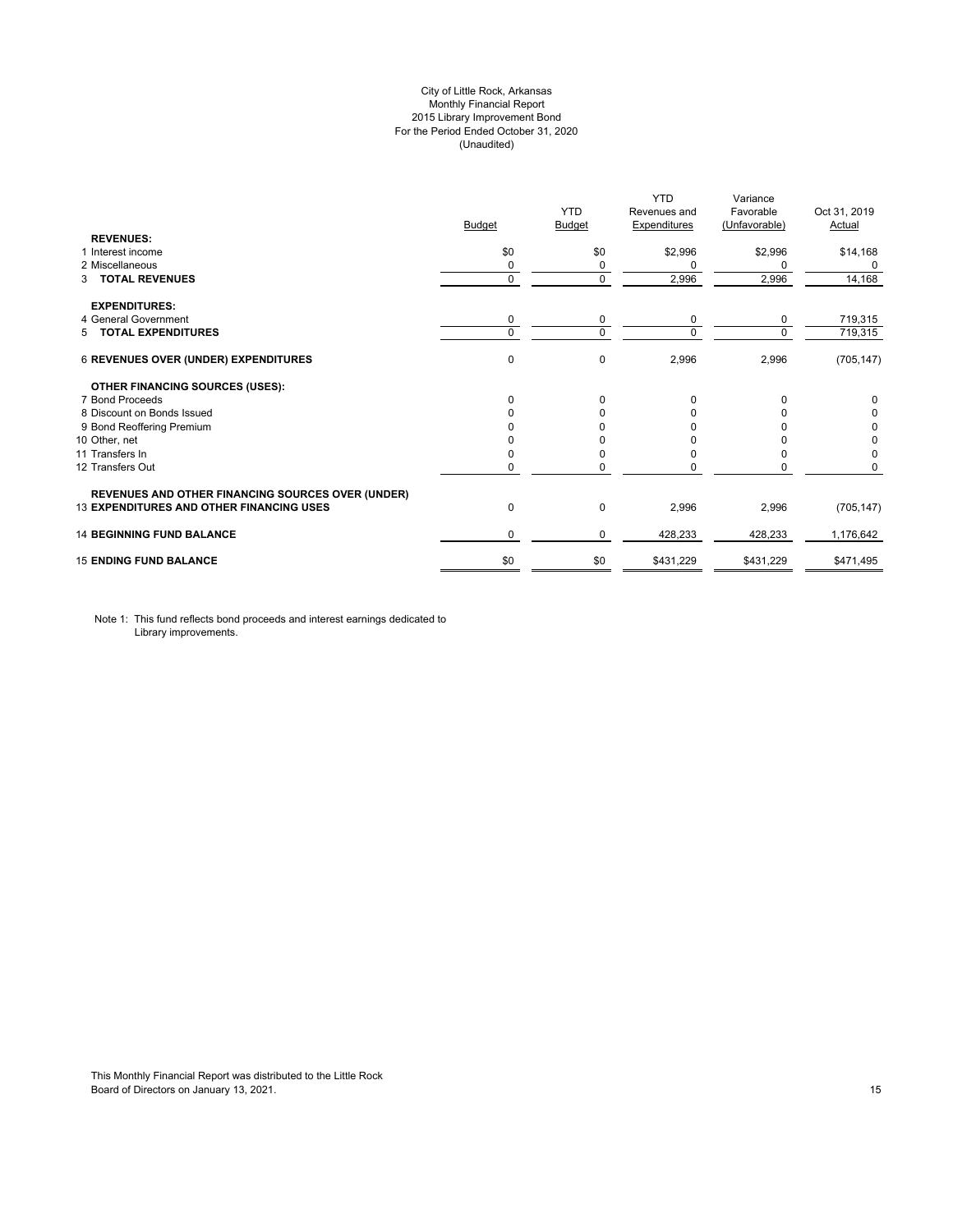# City of Little Rock, Arkansas Monthly Financial Report 2015 Library Improvement Bond For the Period Ended October 31, 2020 (Unaudited)

|                                                          | <b>Budget</b> | <b>YTD</b><br>Budget | <b>YTD</b><br>Revenues and<br><b>Expenditures</b> | Variance<br>Favorable<br>(Unfavorable) | Oct 31, 2019<br>Actual |
|----------------------------------------------------------|---------------|----------------------|---------------------------------------------------|----------------------------------------|------------------------|
| <b>REVENUES:</b>                                         |               |                      |                                                   |                                        |                        |
| 1 Interest income                                        | \$0           | \$0                  | \$2,996                                           | \$2,996                                | \$14,168               |
| 2 Miscellaneous                                          | 0             | 0                    | $\Omega$                                          | 0                                      | 0                      |
| <b>TOTAL REVENUES</b><br>3                               | $\mathbf 0$   | 0                    | 2,996                                             | 2,996                                  | 14,168                 |
| <b>EXPENDITURES:</b>                                     |               |                      |                                                   |                                        |                        |
| 4 General Government                                     | 0             | 0                    | 0                                                 | 0                                      | 719,315                |
| 5 TOTAL EXPENDITURES                                     | $\mathbf 0$   | $\Omega$             | $\Omega$                                          | $\Omega$                               | 719,315                |
| 6 REVENUES OVER (UNDER) EXPENDITURES                     | 0             | 0                    | 2,996                                             | 2,996                                  | (705, 147)             |
| <b>OTHER FINANCING SOURCES (USES):</b>                   |               |                      |                                                   |                                        |                        |
| 7 Bond Proceeds                                          | $\Omega$      | $\Omega$             | $\Omega$                                          | n                                      | 0                      |
| 8 Discount on Bonds Issued                               | $\Omega$      | n                    | O                                                 |                                        | 0                      |
| 9 Bond Reoffering Premium                                |               |                      |                                                   |                                        | 0                      |
| 10 Other, net                                            |               |                      |                                                   |                                        | 0                      |
| 11 Transfers In                                          | 0             |                      | n                                                 |                                        | 0                      |
| 12 Transfers Out                                         | 0             | 0                    |                                                   |                                        | 0                      |
| <b>REVENUES AND OTHER FINANCING SOURCES OVER (UNDER)</b> |               |                      |                                                   |                                        |                        |
| <b>13 EXPENDITURES AND OTHER FINANCING USES</b>          | 0             | 0                    | 2,996                                             | 2,996                                  | (705, 147)             |
| <b>14 BEGINNING FUND BALANCE</b>                         | 0             | 0                    | 428,233                                           | 428,233                                | 1,176,642              |
| <b>15 ENDING FUND BALANCE</b>                            | \$0           | \$0                  | \$431,229                                         | \$431,229                              | \$471,495              |

Note 1: This fund reflects bond proceeds and interest earnings dedicated to Library improvements.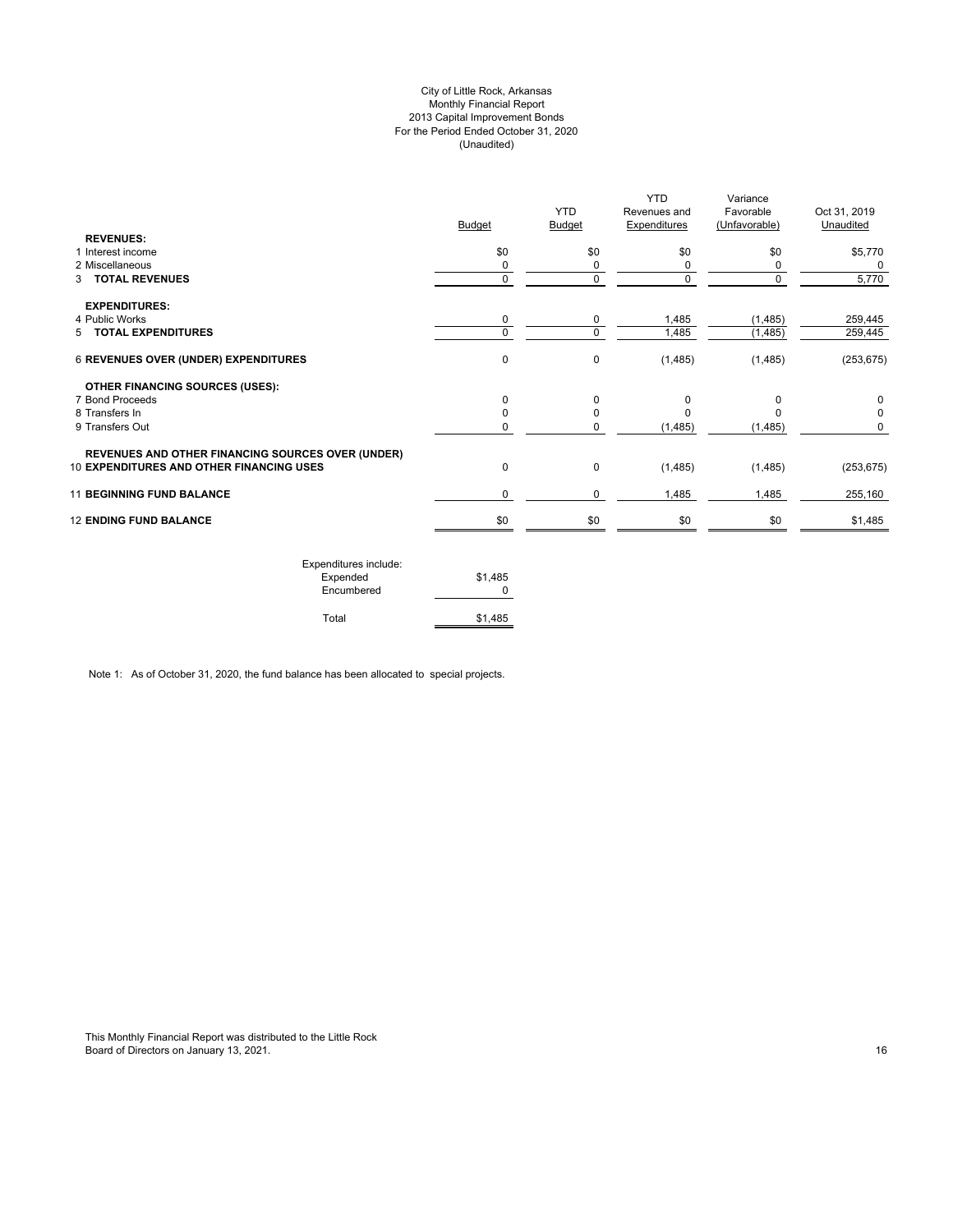# City of Little Rock, Arkansas Monthly Financial Report 2013 Capital Improvement Bonds For the Period Ended October 31, 2020 (Unaudited)

| <b>REVENUES:</b>                                         | <b>Budget</b> | <b>YTD</b><br>Budget | <b>YTD</b><br>Revenues and<br><b>Expenditures</b> | Variance<br>Favorable<br>(Unfavorable) | Oct 31, 2019<br>Unaudited |
|----------------------------------------------------------|---------------|----------------------|---------------------------------------------------|----------------------------------------|---------------------------|
| 1 Interest income                                        | \$0           | \$0                  | \$0                                               | \$0                                    | \$5,770                   |
| 2 Miscellaneous                                          | 0             | 0                    | 0                                                 | 0                                      | 0                         |
| 3 TOTAL REVENUES                                         | $\mathbf 0$   | 0                    | 0                                                 | $\mathbf 0$                            | 5,770                     |
| <b>EXPENDITURES:</b>                                     |               |                      |                                                   |                                        |                           |
| 4 Public Works                                           | 0             | 0                    | 1,485                                             | (1, 485)                               | 259,445                   |
| 5 TOTAL EXPENDITURES                                     | $\Omega$      | $\Omega$             | 1,485                                             | (1,485)                                | 259,445                   |
| <b>6 REVENUES OVER (UNDER) EXPENDITURES</b>              | $\mathbf 0$   | 0                    | (1,485)                                           | (1,485)                                | (253, 675)                |
| <b>OTHER FINANCING SOURCES (USES):</b>                   |               |                      |                                                   |                                        |                           |
| 7 Bond Proceeds                                          | $\Omega$      | 0                    | 0                                                 | $\Omega$                               | 0                         |
| 8 Transfers In                                           | $\Omega$      | 0                    | $\Omega$                                          |                                        | 0                         |
| 9 Transfers Out                                          | 0             | 0                    | (1,485)                                           | (1, 485)                               | 0                         |
| <b>REVENUES AND OTHER FINANCING SOURCES OVER (UNDER)</b> |               |                      |                                                   |                                        |                           |
| <b>10 EXPENDITURES AND OTHER FINANCING USES</b>          | $\mathbf 0$   | 0                    | (1,485)                                           | (1,485)                                | (253, 675)                |
| <b>11 BEGINNING FUND BALANCE</b>                         | 0             | 0                    | 1,485                                             | 1,485                                  | 255,160                   |
| <b>12 ENDING FUND BALANCE</b>                            | \$0           | \$0                  | \$0                                               | \$0                                    | \$1,485                   |
|                                                          |               |                      |                                                   |                                        |                           |

| Expenditures include:<br>Expended<br>Encumbered | \$1,485 |
|-------------------------------------------------|---------|
| Total                                           | \$1.485 |

Note 1: As of October 31, 2020, the fund balance has been allocated to special projects.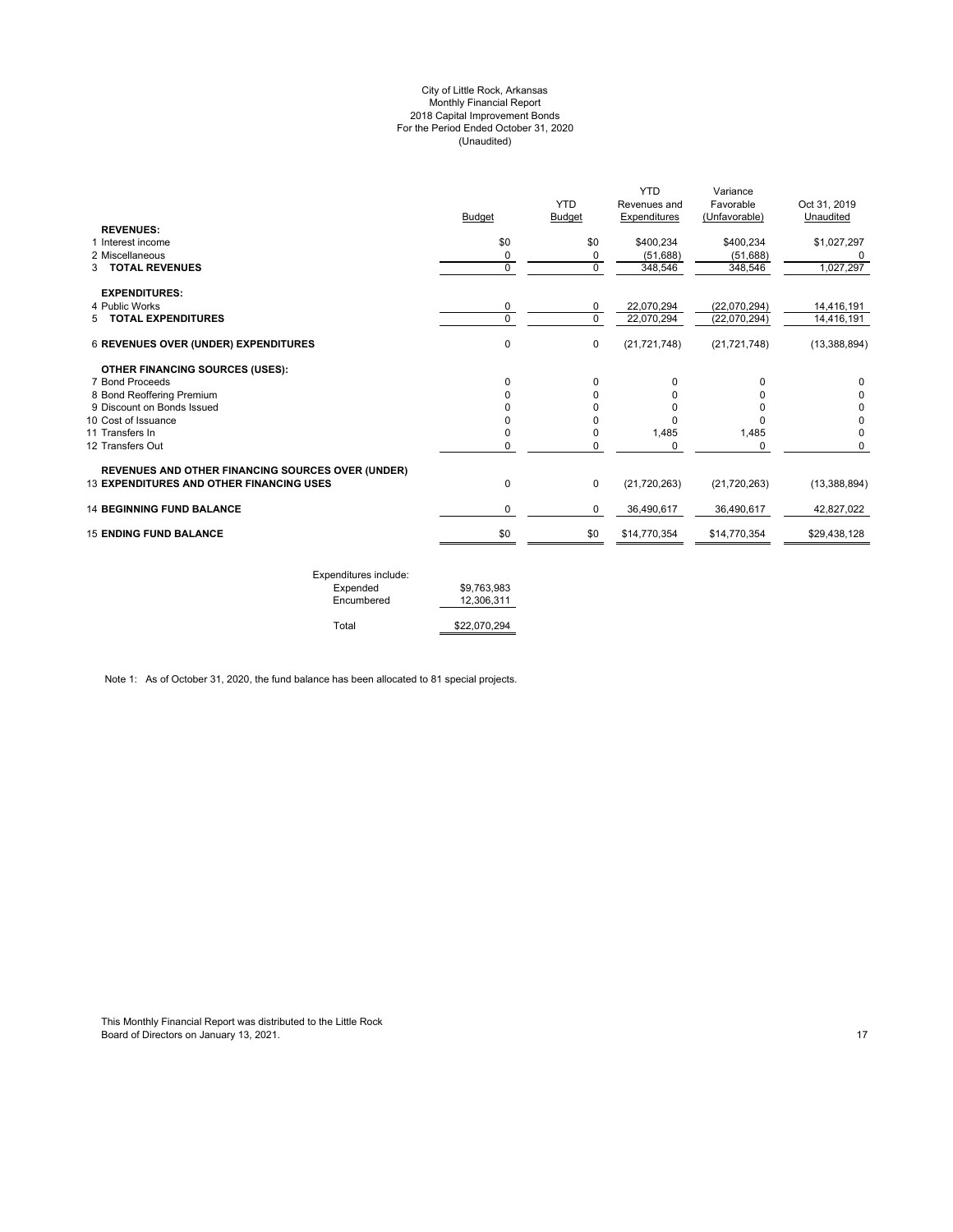#### City of Little Rock, Arkansas Monthly Financial Report 2018 Capital Improvement Bonds For the Period Ended October 31, 2020 (Unaudited)

| \$0 |               |                |                |                |
|-----|---------------|----------------|----------------|----------------|
|     | \$0           | \$400,234      | \$400,234      | \$1,027,297    |
| 0   | 0             | (51,688)       | (51,688)       |                |
| 0   | $\mathbf 0$   | 348,546        | 348,546        | 1,027,297      |
|     |               |                |                |                |
| 0   | 0             | 22,070,294     | (22,070,294)   | 14,416,191     |
| 0   | $\Omega$      | 22,070,294     | (22,070,294)   | 14,416,191     |
| 0   | $\mathbf 0$   | (21, 721, 748) | (21, 721, 748) | (13, 388, 894) |
|     |               |                |                |                |
| 0   | $\Omega$      | 0              | 0              | 0              |
| 0   | 0             | 0              | 0              |                |
|     | 0             | O              | <sup>0</sup>   | 0              |
| 0   | $\Omega$      | $\Omega$       | <sup>0</sup>   | 0              |
|     |               |                |                | $\Omega$       |
|     |               |                |                | 0              |
| 0   | $\mathbf 0$   | (21, 720, 263) | (21, 720, 263) | (13,388,894)   |
| 0   | 0             | 36,490,617     | 36,490,617     | 42,827,022     |
| \$0 | \$0           | \$14,770,354   | \$14,770,354   | \$29,438,128   |
|     | 0<br>$\Omega$ | 0<br>0         | 1,485<br>0     | 1,485<br>0     |

| Expenditures include: |              |
|-----------------------|--------------|
| Expended              | \$9.763.983  |
| Encumbered            | 12.306.311   |
| Total                 | \$22,070,294 |

Note 1: As of October 31, 2020, the fund balance has been allocated to 81 special projects.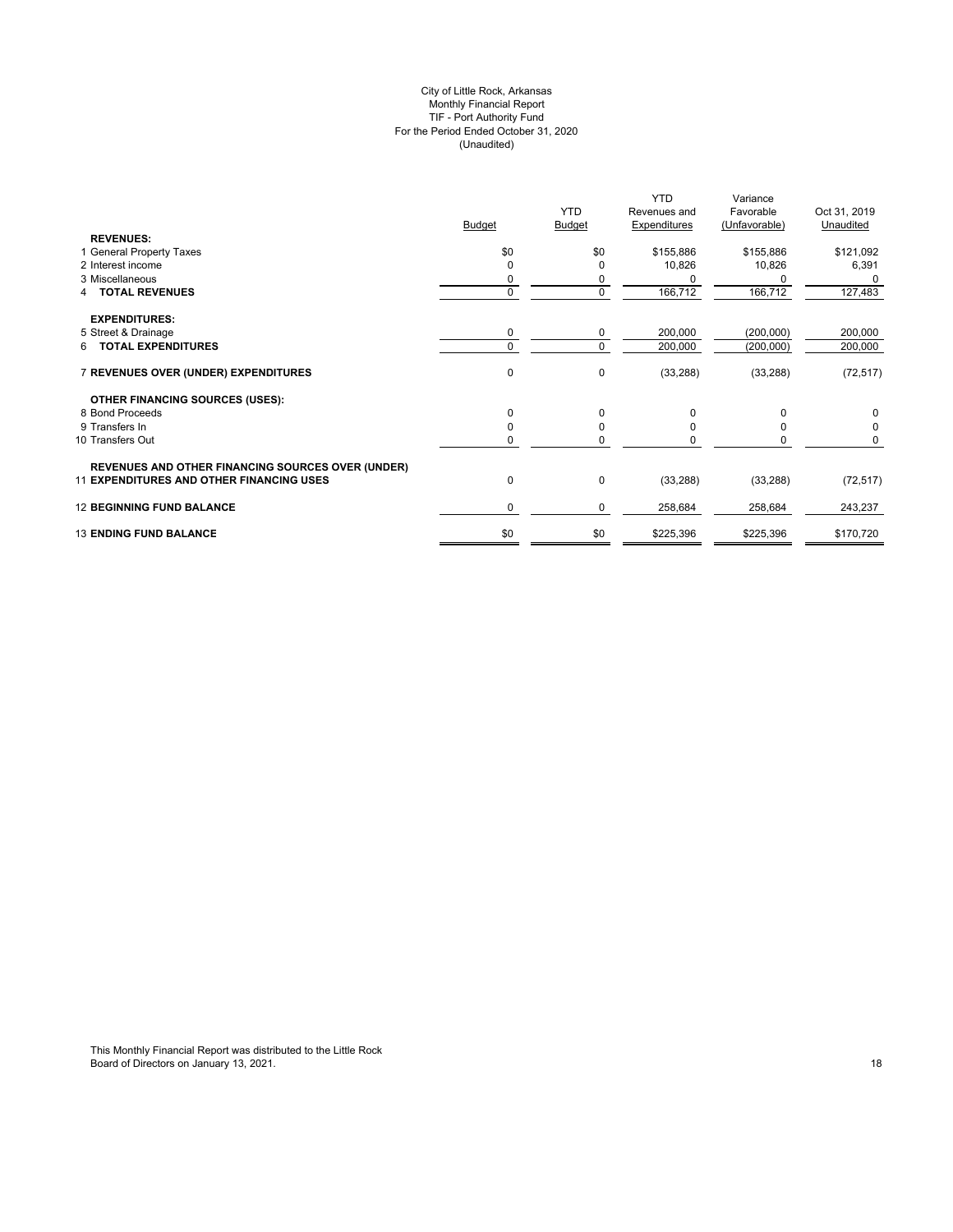#### City of Little Rock, Arkansas Monthly Financial Report TIF - Port Authority Fund For the Period Ended October 31, 2020 (Unaudited)

| \$0<br>\$0<br>1 General Property Taxes<br>\$155,886<br>\$155,886<br>2 Interest income<br>10,826<br>10,826<br>$\Omega$<br>3 Miscellaneous<br>0<br>0<br>$\mathbf 0$<br>$\mathbf 0$<br>166,712<br>166,712<br>4 TOTAL REVENUES<br><b>EXPENDITURES:</b><br>5 Street & Drainage<br>200,000<br>0<br>(200,000)<br>0<br>6 TOTAL EXPENDITURES<br>$\Omega$<br>$\Omega$<br>200,000<br>(200,000)<br>$\pmb{0}$<br>$\mathbf 0$<br>7 REVENUES OVER (UNDER) EXPENDITURES<br>(33, 288)<br>(33, 288)<br><b>OTHER FINANCING SOURCES (USES):</b><br>8 Bond Proceeds<br>$\Omega$<br>$\Omega$<br>0<br>O<br>9 Transfers In<br>$\mathbf 0$<br>10 Transfers Out<br>0<br>O<br>0<br><b>REVENUES AND OTHER FINANCING SOURCES OVER (UNDER)</b><br>0<br><b>11 EXPENDITURES AND OTHER FINANCING USES</b><br>$\mathbf 0$<br>(33, 288)<br>(33, 288)<br><b>12 BEGINNING FUND BALANCE</b><br>0<br>0<br>258,684<br>258,684<br>\$0<br><b>13 ENDING FUND BALANCE</b><br>\$0<br>\$225,396<br>\$225,396 | <b>REVENUES:</b> | <b>Budget</b> | <b>YTD</b><br>Budget | <b>YTD</b><br>Revenues and<br><b>Expenditures</b> | Variance<br>Favorable<br>(Unfavorable) | Oct 31, 2019<br>Unaudited |
|----------------------------------------------------------------------------------------------------------------------------------------------------------------------------------------------------------------------------------------------------------------------------------------------------------------------------------------------------------------------------------------------------------------------------------------------------------------------------------------------------------------------------------------------------------------------------------------------------------------------------------------------------------------------------------------------------------------------------------------------------------------------------------------------------------------------------------------------------------------------------------------------------------------------------------------------------------------|------------------|---------------|----------------------|---------------------------------------------------|----------------------------------------|---------------------------|
|                                                                                                                                                                                                                                                                                                                                                                                                                                                                                                                                                                                                                                                                                                                                                                                                                                                                                                                                                                |                  |               |                      |                                                   |                                        | \$121,092                 |
|                                                                                                                                                                                                                                                                                                                                                                                                                                                                                                                                                                                                                                                                                                                                                                                                                                                                                                                                                                |                  |               |                      |                                                   |                                        | 6,391                     |
|                                                                                                                                                                                                                                                                                                                                                                                                                                                                                                                                                                                                                                                                                                                                                                                                                                                                                                                                                                |                  |               |                      |                                                   |                                        |                           |
|                                                                                                                                                                                                                                                                                                                                                                                                                                                                                                                                                                                                                                                                                                                                                                                                                                                                                                                                                                |                  |               |                      |                                                   |                                        | 127,483                   |
|                                                                                                                                                                                                                                                                                                                                                                                                                                                                                                                                                                                                                                                                                                                                                                                                                                                                                                                                                                |                  |               |                      |                                                   |                                        |                           |
|                                                                                                                                                                                                                                                                                                                                                                                                                                                                                                                                                                                                                                                                                                                                                                                                                                                                                                                                                                |                  |               |                      |                                                   |                                        | 200,000                   |
|                                                                                                                                                                                                                                                                                                                                                                                                                                                                                                                                                                                                                                                                                                                                                                                                                                                                                                                                                                |                  |               |                      |                                                   |                                        | 200,000                   |
|                                                                                                                                                                                                                                                                                                                                                                                                                                                                                                                                                                                                                                                                                                                                                                                                                                                                                                                                                                |                  |               |                      |                                                   |                                        | (72, 517)                 |
|                                                                                                                                                                                                                                                                                                                                                                                                                                                                                                                                                                                                                                                                                                                                                                                                                                                                                                                                                                |                  |               |                      |                                                   |                                        |                           |
|                                                                                                                                                                                                                                                                                                                                                                                                                                                                                                                                                                                                                                                                                                                                                                                                                                                                                                                                                                |                  |               |                      |                                                   |                                        | 0                         |
|                                                                                                                                                                                                                                                                                                                                                                                                                                                                                                                                                                                                                                                                                                                                                                                                                                                                                                                                                                |                  |               |                      |                                                   |                                        | 0                         |
|                                                                                                                                                                                                                                                                                                                                                                                                                                                                                                                                                                                                                                                                                                                                                                                                                                                                                                                                                                |                  |               |                      |                                                   |                                        | 0                         |
|                                                                                                                                                                                                                                                                                                                                                                                                                                                                                                                                                                                                                                                                                                                                                                                                                                                                                                                                                                |                  |               |                      |                                                   |                                        | (72, 517)                 |
|                                                                                                                                                                                                                                                                                                                                                                                                                                                                                                                                                                                                                                                                                                                                                                                                                                                                                                                                                                |                  |               |                      |                                                   |                                        | 243,237                   |
|                                                                                                                                                                                                                                                                                                                                                                                                                                                                                                                                                                                                                                                                                                                                                                                                                                                                                                                                                                |                  |               |                      |                                                   |                                        | \$170,720                 |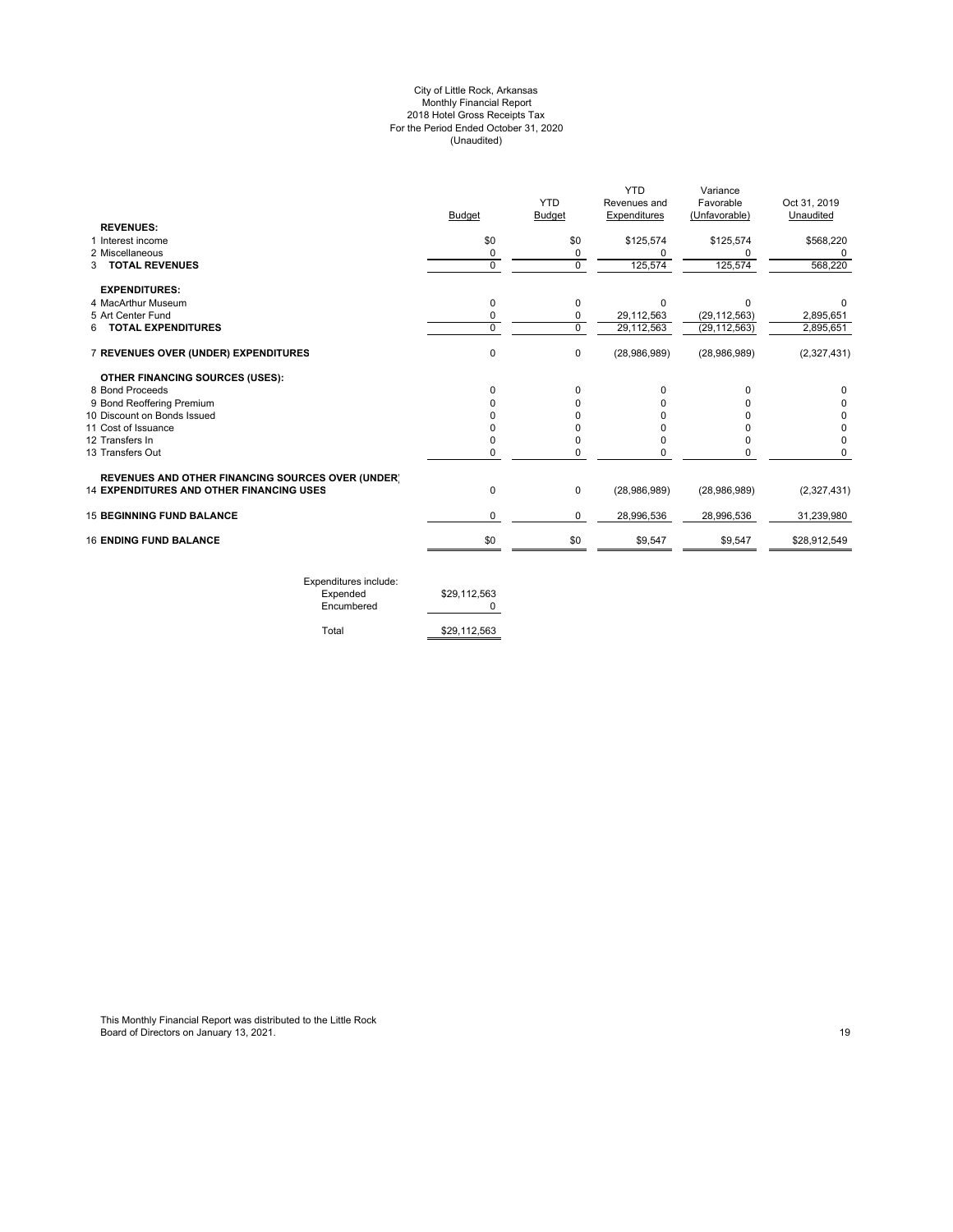#### City of Little Rock, Arkansas Monthly Financial Report 2018 Hotel Gross Receipts Tax For the Period Ended October 31, 2020 (Unaudited)

|                                                          |               |               | YTD          | Variance       |              |
|----------------------------------------------------------|---------------|---------------|--------------|----------------|--------------|
|                                                          |               | <b>YTD</b>    | Revenues and | Favorable      | Oct 31, 2019 |
|                                                          | <b>Budget</b> | <b>Budget</b> | Expenditures | (Unfavorable)  | Unaudited    |
| <b>REVENUES:</b>                                         |               |               |              |                |              |
| 1 Interest income                                        | \$0           | \$0           | \$125,574    | \$125,574      | \$568,220    |
| 2 Miscellaneous                                          | 0             | 0             | O            |                |              |
| <b>3 TOTAL REVENUES</b>                                  | $\mathbf 0$   | $\mathbf 0$   | 125,574      | 125,574        | 568,220      |
| <b>EXPENDITURES:</b>                                     |               |               |              |                |              |
| 4 MacArthur Museum                                       | 0             | 0             | $\Omega$     | ∩              |              |
| 5 Art Center Fund                                        | 0             | 0             | 29,112,563   | (29, 112, 563) | 2,895,651    |
| <b>TOTAL EXPENDITURES</b><br>6                           | $\Omega$      | $\Omega$      | 29,112,563   | (29, 112, 563) | 2,895,651    |
| 7 REVENUES OVER (UNDER) EXPENDITURES                     | 0             | 0             | (28,986,989) | (28,986,989)   | (2,327,431)  |
| OTHER FINANCING SOURCES (USES):                          |               |               |              |                |              |
| 8 Bond Proceeds                                          |               | 0             | $\Omega$     |                | 0            |
| 9 Bond Reoffering Premium                                |               | O             |              |                | 0            |
| 10 Discount on Bonds Issued                              |               | U             |              |                | 0            |
| 11 Cost of Issuance                                      |               | n             |              |                | 0            |
| 12 Transfers In                                          |               | 0             |              |                | 0            |
| 13 Transfers Out                                         | 0             | 0             | 0            |                | 0            |
| <b>REVENUES AND OTHER FINANCING SOURCES OVER (UNDER)</b> |               |               |              |                |              |
| <b>14 EXPENDITURES AND OTHER FINANCING USES</b>          | $\Omega$      | 0             | (28,986,989) | (28,986,989)   | (2,327,431)  |
| <b>15 BEGINNING FUND BALANCE</b>                         | 0             | 0             | 28,996,536   | 28,996,536     | 31,239,980   |
| <b>16 ENDING FUND BALANCE</b>                            | \$0           | \$0           | \$9,547      | \$9,547        | \$28,912,549 |
|                                                          |               |               |              |                |              |

Expenditures include: Expended \$29,112,563 Encumbered 0

Total \$29,112,563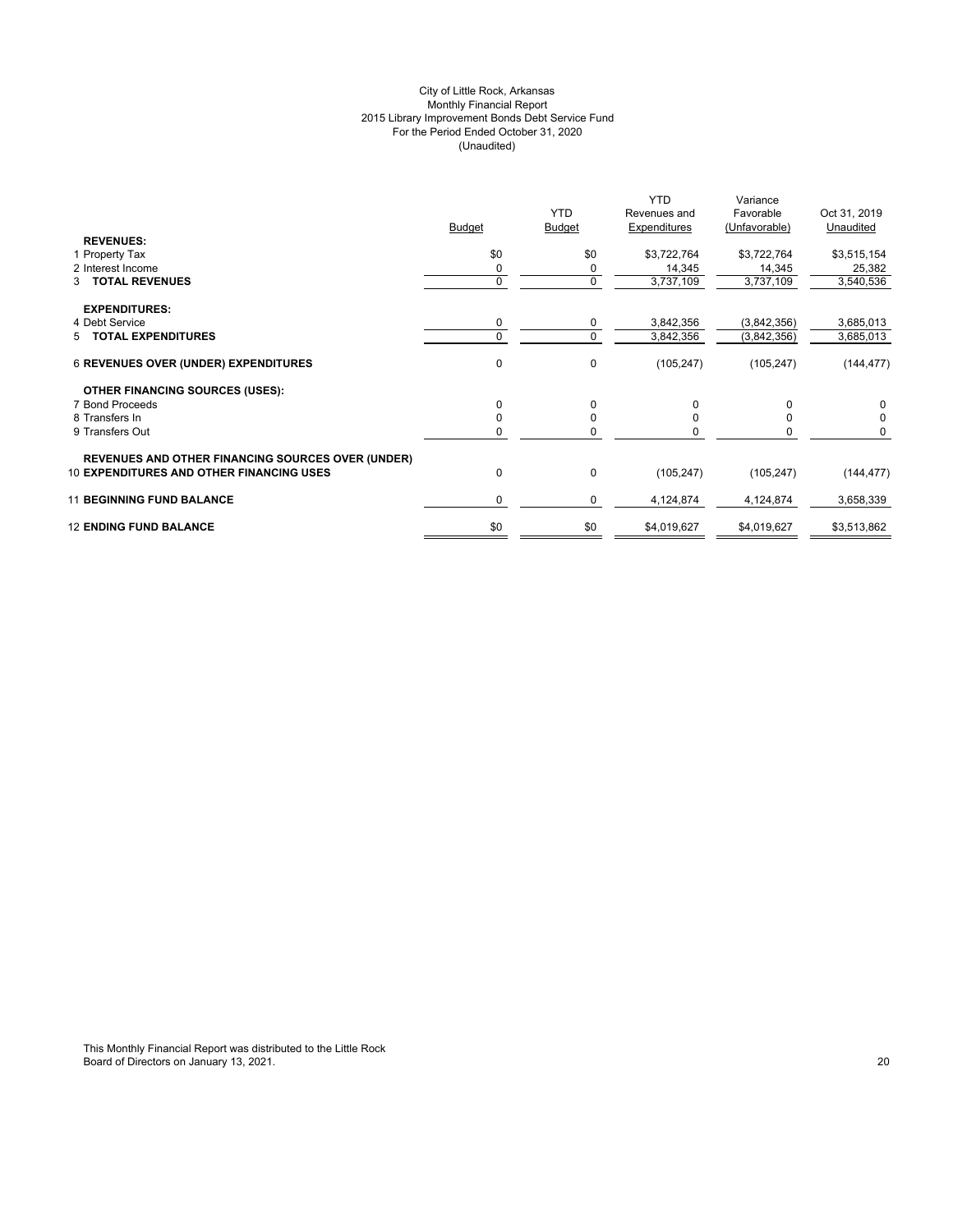# City of Little Rock, Arkansas Monthly Financial Report 2015 Library Improvement Bonds Debt Service Fund For the Period Ended October 31, 2020 (Unaudited)

|                                                          | <b>Budget</b> | <b>YTD</b><br><b>Budget</b> | <b>YTD</b><br>Revenues and<br>Expenditures | Variance<br>Favorable<br>(Unfavorable) | Oct 31, 2019<br>Unaudited |
|----------------------------------------------------------|---------------|-----------------------------|--------------------------------------------|----------------------------------------|---------------------------|
| <b>REVENUES:</b>                                         |               |                             |                                            |                                        |                           |
| 1 Property Tax                                           | \$0           | \$0                         | \$3,722,764                                | \$3,722,764                            | \$3,515,154               |
| 2 Interest Income                                        | 0             | 0                           | 14,345                                     | 14,345                                 | 25,382                    |
| 3 TOTAL REVENUES                                         | 0             | 0                           | 3,737,109                                  | 3,737,109                              | 3,540,536                 |
| <b>EXPENDITURES:</b>                                     |               |                             |                                            |                                        |                           |
| 4 Debt Service                                           | 0             | 0                           | 3,842,356                                  | (3,842,356)                            | 3,685,013                 |
| 5 TOTAL EXPENDITURES                                     | $\Omega$      | 0                           | 3,842,356                                  | (3,842,356)                            | 3,685,013                 |
| <b>6 REVENUES OVER (UNDER) EXPENDITURES</b>              | 0             | $\mathbf 0$                 | (105, 247)                                 | (105, 247)                             | (144, 477)                |
| <b>OTHER FINANCING SOURCES (USES):</b>                   |               |                             |                                            |                                        |                           |
| 7 Bond Proceeds                                          | $\Omega$      | $\Omega$                    | 0                                          |                                        | 0                         |
| 8 Transfers In                                           | O             | $\Omega$                    |                                            |                                        | 0                         |
| 9 Transfers Out                                          | 0             | 0                           |                                            |                                        | 0                         |
| <b>REVENUES AND OTHER FINANCING SOURCES OVER (UNDER)</b> |               |                             |                                            |                                        |                           |
| <b>10 EXPENDITURES AND OTHER FINANCING USES</b>          | 0             | 0                           | (105, 247)                                 | (105, 247)                             | (144, 477)                |
| <b>11 BEGINNING FUND BALANCE</b>                         | $\Omega$      | 0                           | 4,124,874                                  | 4,124,874                              | 3,658,339                 |
| <b>12 ENDING FUND BALANCE</b>                            | \$0           | \$0                         | \$4,019,627                                | \$4,019,627                            | \$3,513,862               |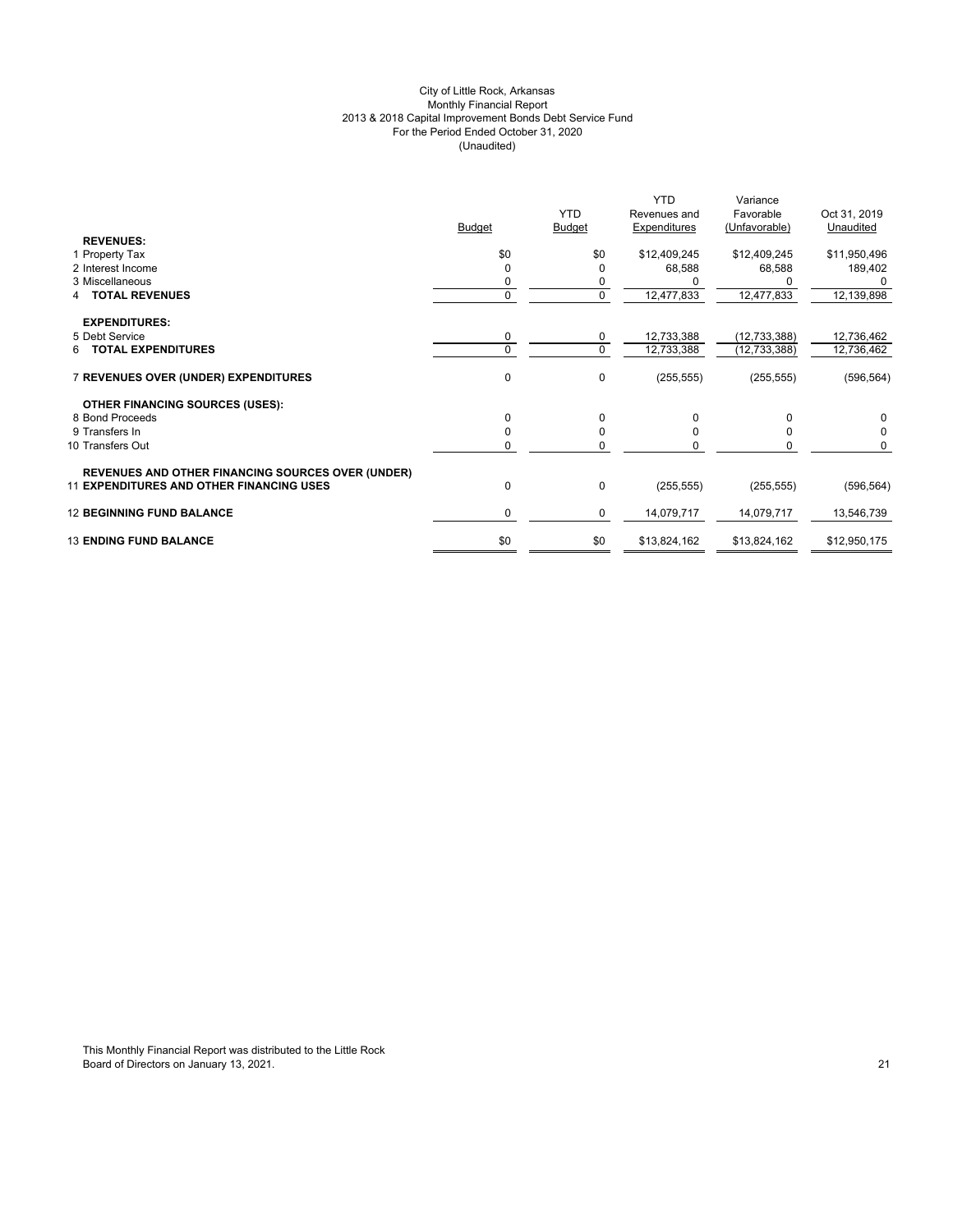# City of Little Rock, Arkansas Monthly Financial Report 2013 & 2018 Capital Improvement Bonds Debt Service Fund For the Period Ended October 31, 2020 (Unaudited)

|                                                          | <b>Budget</b> | <b>YTD</b><br><b>Budget</b> | <b>YTD</b><br>Revenues and<br>Expenditures | Variance<br>Favorable<br>(Unfavorable) | Oct 31, 2019<br>Unaudited |
|----------------------------------------------------------|---------------|-----------------------------|--------------------------------------------|----------------------------------------|---------------------------|
| <b>REVENUES:</b>                                         |               |                             |                                            |                                        |                           |
| 1 Property Tax                                           | \$0           | \$0                         | \$12,409,245                               | \$12,409,245                           | \$11,950,496              |
| 2 Interest Income                                        | $\Omega$      | 0                           | 68,588                                     | 68,588                                 | 189,402                   |
| 3 Miscellaneous                                          | 0             | 0                           |                                            |                                        |                           |
| <b>TOTAL REVENUES</b>                                    | $\mathbf 0$   | $\mathbf 0$                 | 12,477,833                                 | 12,477,833                             | 12,139,898                |
| <b>EXPENDITURES:</b>                                     |               |                             |                                            |                                        |                           |
| 5 Debt Service                                           | $\mathbf 0$   | 0                           | 12,733,388                                 | (12, 733, 388)                         | 12,736,462                |
| <b>6 TOTAL EXPENDITURES</b>                              | $\Omega$      | $\mathbf 0$                 | 12,733,388                                 | (12, 733, 388)                         | 12,736,462                |
| 7 REVENUES OVER (UNDER) EXPENDITURES                     | $\Omega$      | 0                           | (255, 555)                                 | (255, 555)                             | (596, 564)                |
| <b>OTHER FINANCING SOURCES (USES):</b>                   |               |                             |                                            |                                        |                           |
| 8 Bond Proceeds                                          | $\Omega$      | 0                           | 0                                          | $\Omega$                               | 0                         |
| 9 Transfers In                                           | $\Omega$      | $\mathbf 0$                 | $\Omega$                                   | <sup>0</sup>                           | $\Omega$                  |
| 10 Transfers Out                                         | 0             | 0                           | U                                          | 0                                      | $\Omega$                  |
| <b>REVENUES AND OTHER FINANCING SOURCES OVER (UNDER)</b> |               |                             |                                            |                                        |                           |
| <b>11 EXPENDITURES AND OTHER FINANCING USES</b>          | 0             | $\pmb{0}$                   | (255, 555)                                 | (255, 555)                             | (596, 564)                |
| <b>12 BEGINNING FUND BALANCE</b>                         | $\mathbf 0$   | $\mathbf 0$                 | 14,079,717                                 | 14,079,717                             | 13,546,739                |
| <b>13 ENDING FUND BALANCE</b>                            | \$0           | \$0                         | \$13,824,162                               | \$13,824,162                           | \$12,950,175              |
|                                                          |               |                             |                                            |                                        |                           |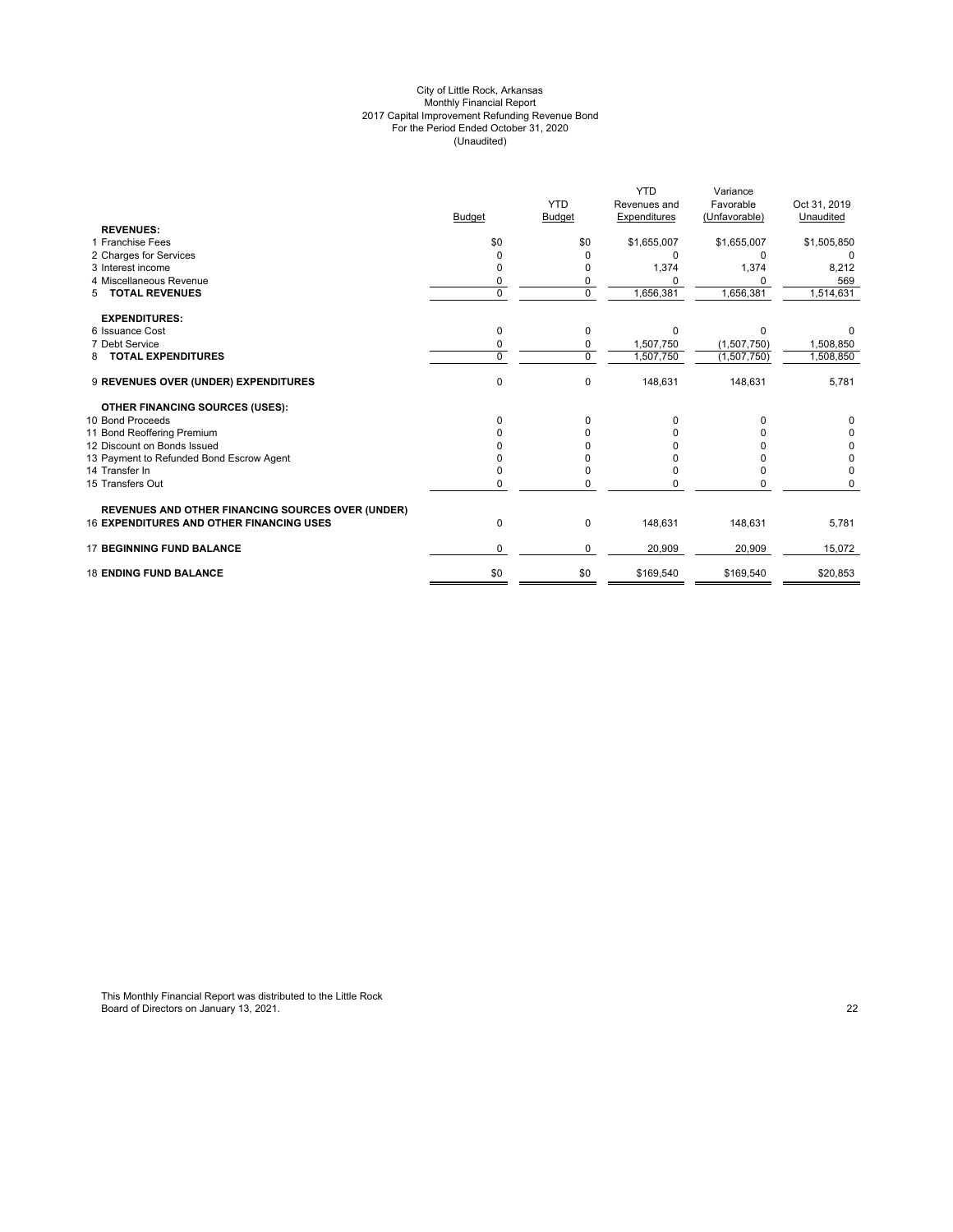#### City of Little Rock, Arkansas Monthly Financial Report 2017 Capital Improvement Refunding Revenue Bond For the Period Ended October 31, 2020 (Unaudited)

|                                                          |               |                | <b>YTD</b>   | Variance      |              |
|----------------------------------------------------------|---------------|----------------|--------------|---------------|--------------|
|                                                          |               | <b>YTD</b>     | Revenues and | Favorable     | Oct 31, 2019 |
|                                                          | <b>Budget</b> | Budget         | Expenditures | (Unfavorable) | Unaudited    |
| <b>REVENUES:</b>                                         |               |                |              |               |              |
| 1 Franchise Fees                                         | \$0           | \$0            | \$1,655,007  | \$1,655,007   | \$1,505,850  |
| 2 Charges for Services                                   | 0             |                | $\Omega$     | $\Omega$      |              |
| 3 Interest income                                        | 0             |                | 1,374        | 1,374         | 8,212        |
| 4 Miscellaneous Revenue                                  | 0             | 0              |              |               | 569          |
| <b>TOTAL REVENUES</b><br>5                               | $\Omega$      | $\overline{0}$ | 1,656,381    | 1,656,381     | 1,514,631    |
| <b>EXPENDITURES:</b>                                     |               |                |              |               |              |
| 6 Issuance Cost                                          | $\Omega$      | 0              | $\Omega$     | $\Omega$      |              |
| 7 Debt Service                                           | $\Omega$      | 0              | 1,507,750    | (1,507,750)   | 1,508,850    |
| <b>TOTAL EXPENDITURES</b><br>8                           | $\Omega$      | 0              | 1,507,750    | (1,507,750)   | 1,508,850    |
| 9 REVENUES OVER (UNDER) EXPENDITURES                     | $\mathbf 0$   | 0              | 148,631      | 148,631       | 5,781        |
| <b>OTHER FINANCING SOURCES (USES):</b>                   |               |                |              |               |              |
| 10 Bond Proceeds                                         | <sup>0</sup>  | 0              |              |               |              |
| 11 Bond Reoffering Premium                               |               |                |              |               | 0            |
| 12 Discount on Bonds Issued                              |               |                |              |               | 0            |
| 13 Payment to Refunded Bond Escrow Agent                 |               |                |              |               | 0            |
| 14 Transfer In                                           |               |                |              |               | $\Omega$     |
| 15 Transfers Out                                         | $\Omega$      | O              |              |               |              |
| <b>REVENUES AND OTHER FINANCING SOURCES OVER (UNDER)</b> |               |                |              |               |              |
| <b>16 EXPENDITURES AND OTHER FINANCING USES</b>          | 0             | 0              | 148,631      | 148,631       | 5,781        |
| <b>17 BEGINNING FUND BALANCE</b>                         | $\Omega$      | 0              | 20,909       | 20,909        | 15,072       |
| <b>18 ENDING FUND BALANCE</b>                            | \$0           | \$0            | \$169,540    | \$169,540     | \$20,853     |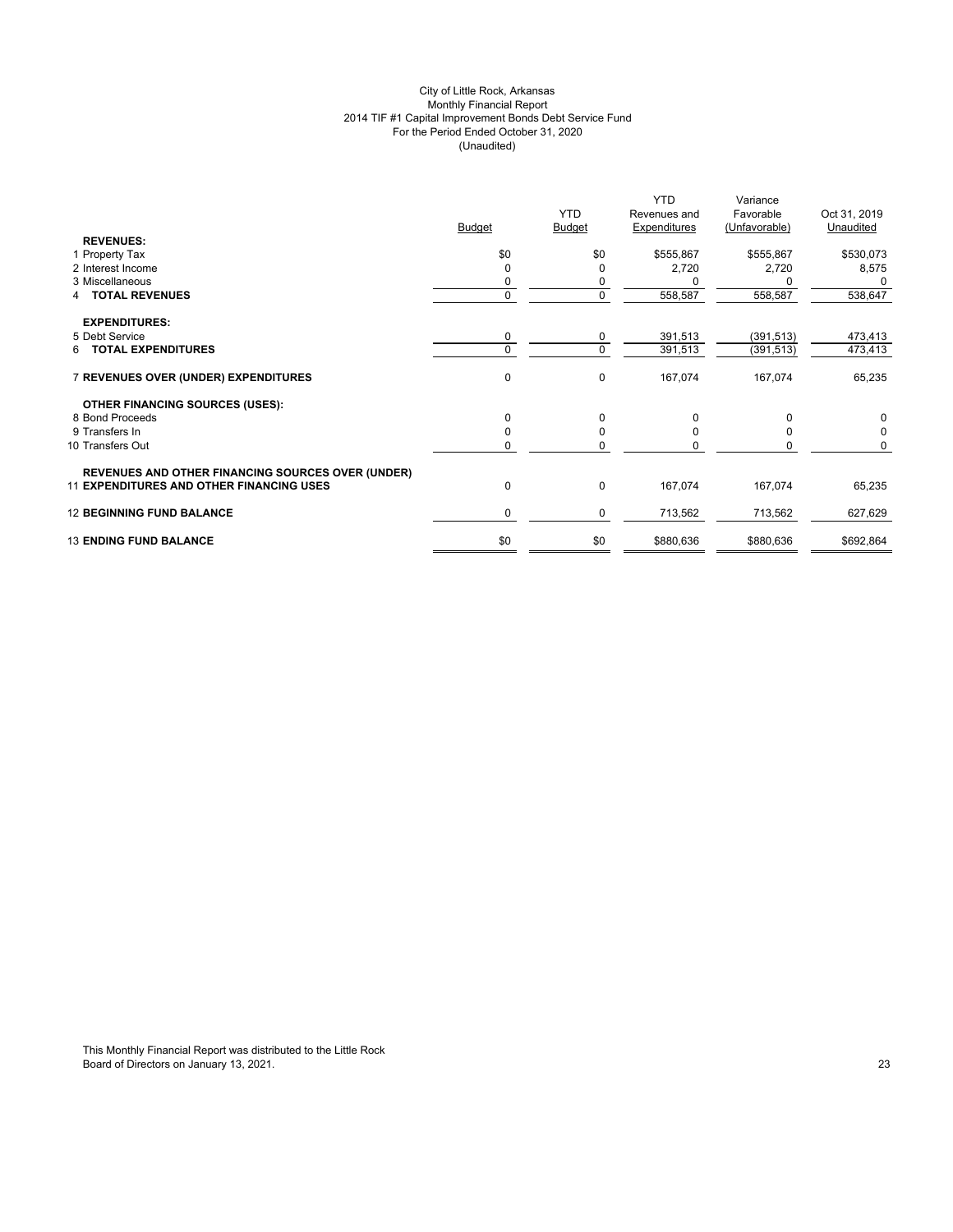# City of Little Rock, Arkansas Monthly Financial Report 2014 TIF #1 Capital Improvement Bonds Debt Service Fund For the Period Ended October 31, 2020 (Unaudited)

|                                                          | <b>Budget</b> | <b>YTD</b><br><b>Budget</b> | <b>YTD</b><br>Revenues and<br>Expenditures | Variance<br>Favorable<br>(Unfavorable) | Oct 31, 2019<br>Unaudited |
|----------------------------------------------------------|---------------|-----------------------------|--------------------------------------------|----------------------------------------|---------------------------|
| <b>REVENUES:</b>                                         |               |                             |                                            |                                        |                           |
| 1 Property Tax                                           | \$0           | \$0                         | \$555,867                                  | \$555,867                              | \$530,073                 |
| 2 Interest Income                                        | 0             | 0                           | 2,720                                      | 2,720                                  | 8,575                     |
| 3 Miscellaneous                                          | 0             | 0                           |                                            |                                        | 0                         |
| <b>TOTAL REVENUES</b><br>4                               | $\mathbf{0}$  | 0                           | 558,587                                    | 558,587                                | 538,647                   |
| <b>EXPENDITURES:</b>                                     |               |                             |                                            |                                        |                           |
| 5 Debt Service                                           | 0             | 0                           | 391,513                                    | (391, 513)                             | 473,413                   |
| <b>6 TOTAL EXPENDITURES</b>                              | $\Omega$      | $\mathbf 0$                 | 391,513                                    | (391, 513)                             | 473,413                   |
| 7 REVENUES OVER (UNDER) EXPENDITURES                     | 0             | 0                           | 167,074                                    | 167,074                                | 65,235                    |
| <b>OTHER FINANCING SOURCES (USES):</b>                   |               |                             |                                            |                                        |                           |
| 8 Bond Proceeds                                          | $\Omega$      | 0                           | 0                                          | $\Omega$                               | 0                         |
| 9 Transfers In                                           | $\Omega$      | $\mathbf 0$                 | $\Omega$                                   | $\Omega$                               | $\mathbf 0$               |
| 10 Transfers Out                                         | 0             | 0                           | O                                          | $\Omega$                               | $\Omega$                  |
| <b>REVENUES AND OTHER FINANCING SOURCES OVER (UNDER)</b> |               |                             |                                            |                                        |                           |
| <b>11 EXPENDITURES AND OTHER FINANCING USES</b>          | 0             | $\pmb{0}$                   | 167,074                                    | 167,074                                | 65,235                    |
| <b>12 BEGINNING FUND BALANCE</b>                         | $\mathbf 0$   | 0                           | 713,562                                    | 713,562                                | 627,629                   |
| <b>13 ENDING FUND BALANCE</b>                            | \$0           | \$0                         | \$880,636                                  | \$880,636                              | \$692,864                 |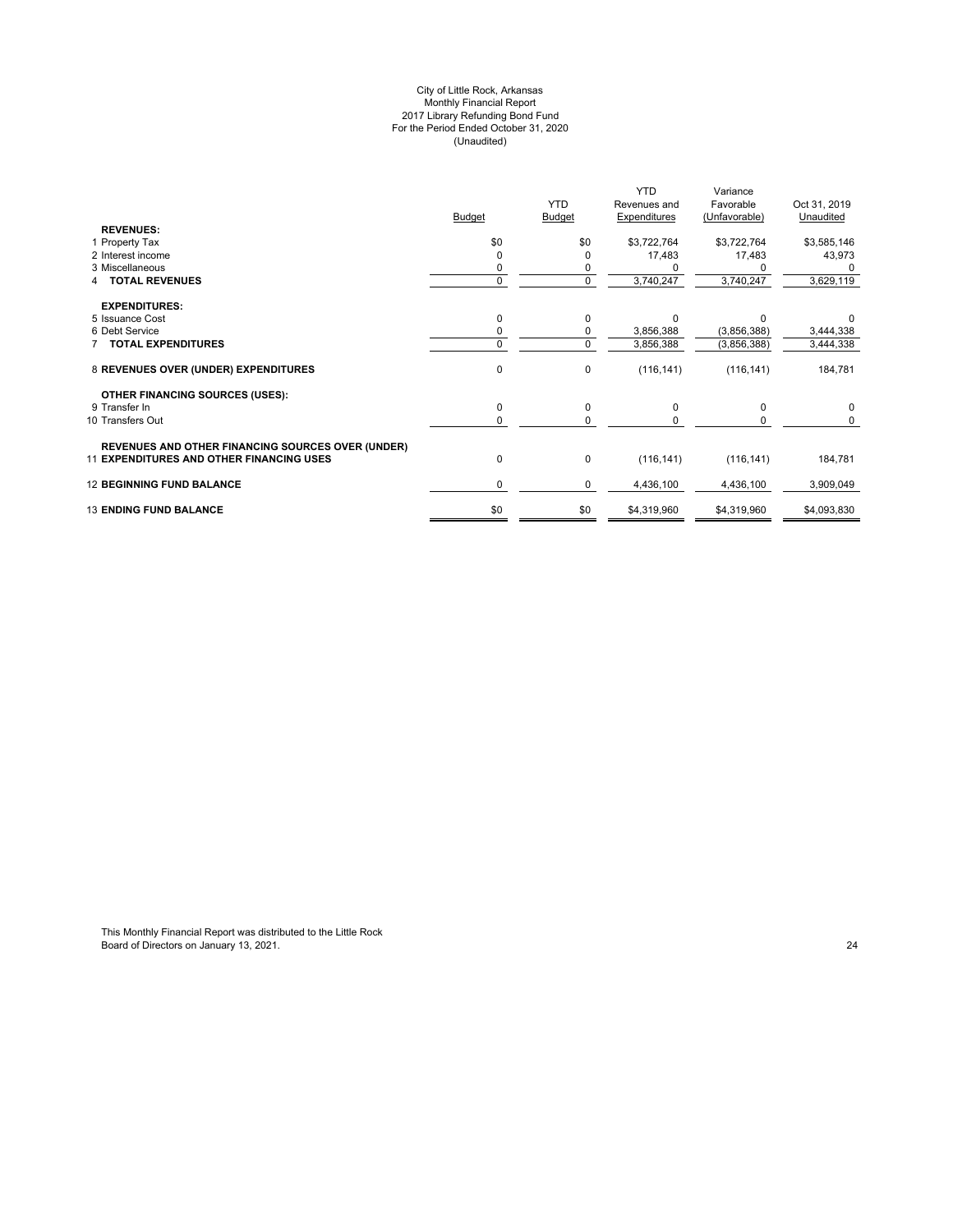#### City of Little Rock, Arkansas Monthly Financial Report 2017 Library Refunding Bond Fund For the Period Ended October 31, 2020 (Unaudited)

|                                                          | <b>Budget</b> | <b>YTD</b><br><b>Budget</b> | <b>YTD</b><br>Revenues and<br><b>Expenditures</b> | Variance<br>Favorable<br>(Unfavorable) | Oct 31, 2019<br>Unaudited |
|----------------------------------------------------------|---------------|-----------------------------|---------------------------------------------------|----------------------------------------|---------------------------|
| <b>REVENUES:</b><br>1 Property Tax                       | \$0           | \$0                         | \$3,722,764                                       | \$3,722,764                            | \$3,585,146               |
| 2 Interest income                                        |               | 0                           | 17,483                                            | 17,483                                 | 43,973                    |
| 3 Miscellaneous                                          |               |                             |                                                   |                                        |                           |
| <b>TOTAL REVENUES</b>                                    | 0             | $\overline{0}$              | 3,740,247                                         | 3,740,247                              | 3,629,119                 |
| <b>EXPENDITURES:</b>                                     |               |                             |                                                   |                                        |                           |
| 5 Issuance Cost                                          | $\Omega$      | 0                           |                                                   | $\Omega$                               |                           |
| 6 Debt Service                                           | 0             | 0                           | 3,856,388                                         | (3,856,388)                            | 3,444,338                 |
| <b>TOTAL EXPENDITURES</b>                                | $\Omega$      | $\mathbf 0$                 | 3,856,388                                         | (3,856,388)                            | 3,444,338                 |
| 8 REVENUES OVER (UNDER) EXPENDITURES                     | $\mathbf 0$   | $\mathbf 0$                 | (116, 141)                                        | (116, 141)                             | 184,781                   |
| <b>OTHER FINANCING SOURCES (USES):</b>                   |               |                             |                                                   |                                        |                           |
| 9 Transfer In                                            | $\mathbf 0$   | $\mathbf 0$                 | $\Omega$                                          | $\Omega$                               | $\mathbf 0$               |
| 10 Transfers Out                                         | 0             | $\Omega$                    |                                                   | <sup>0</sup>                           | $\Omega$                  |
| <b>REVENUES AND OTHER FINANCING SOURCES OVER (UNDER)</b> |               |                             |                                                   |                                        |                           |
| <b>11 EXPENDITURES AND OTHER FINANCING USES</b>          | $\mathbf 0$   | $\mathbf 0$                 | (116, 141)                                        | (116, 141)                             | 184,781                   |
| <b>12 BEGINNING FUND BALANCE</b>                         | 0             | 0                           | 4,436,100                                         | 4,436,100                              | 3,909,049                 |
| <b>13 ENDING FUND BALANCE</b>                            | \$0           | \$0                         | \$4,319,960                                       | \$4,319,960                            | \$4,093,830               |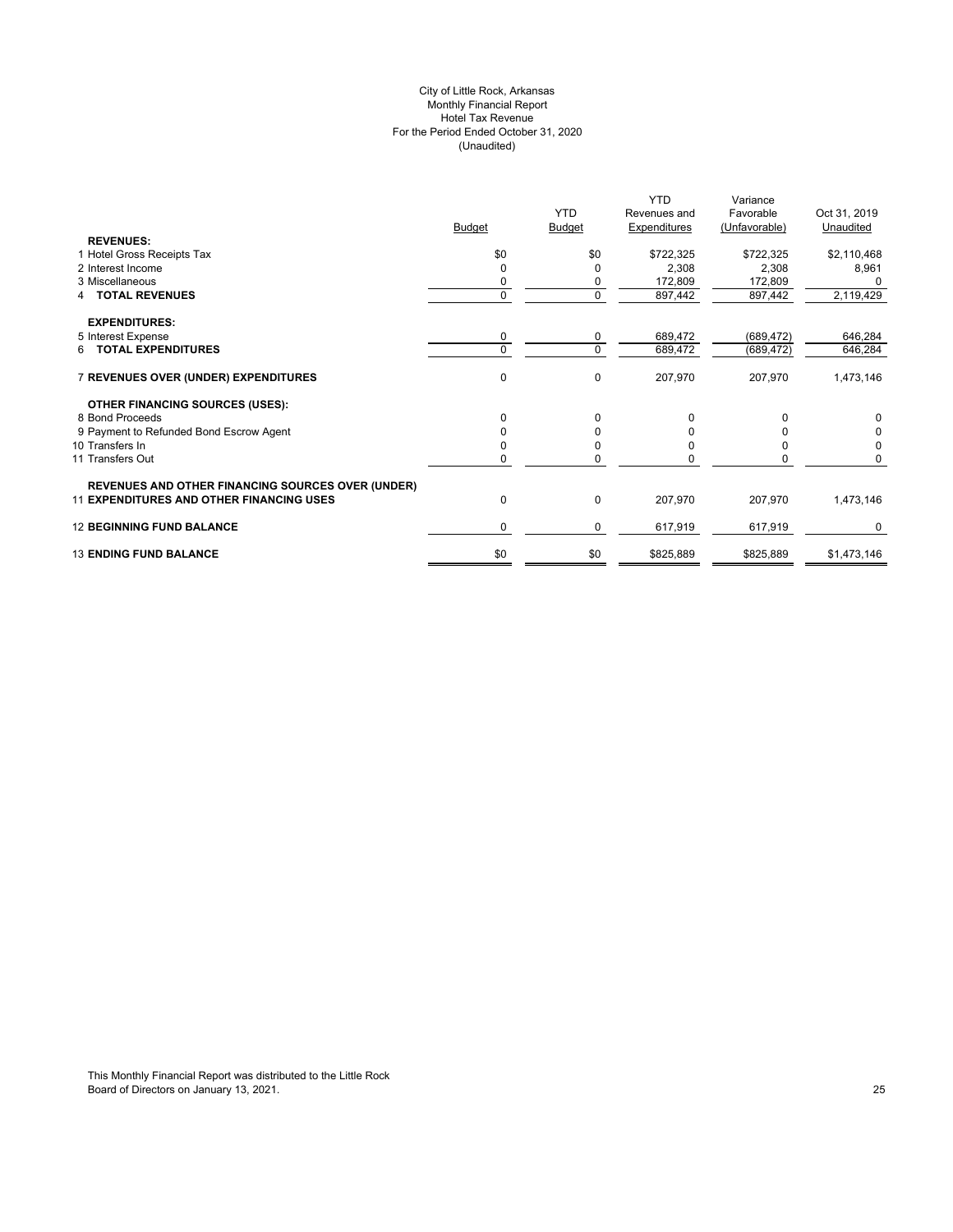## City of Little Rock, Arkansas Monthly Financial Report Hotel Tax Revenue For the Period Ended October 31, 2020 (Unaudited)

|                                                          |               |             | <b>YTD</b>   | Variance      |              |
|----------------------------------------------------------|---------------|-------------|--------------|---------------|--------------|
|                                                          |               | <b>YTD</b>  | Revenues and | Favorable     | Oct 31, 2019 |
|                                                          | <b>Budget</b> | Budget      | Expenditures | (Unfavorable) | Unaudited    |
| <b>REVENUES:</b>                                         |               |             |              |               |              |
| 1 Hotel Gross Receipts Tax                               | \$0           | \$0         | \$722,325    | \$722,325     | \$2,110,468  |
| 2 Interest Income                                        | 0             | O           | 2,308        | 2,308         | 8,961        |
| 3 Miscellaneous                                          |               | 0           | 172,809      | 172,809       | O            |
| <b>TOTAL REVENUES</b>                                    | $\Omega$      | $\mathbf 0$ | 897,442      | 897,442       | 2,119,429    |
| <b>EXPENDITURES:</b>                                     |               |             |              |               |              |
| 5 Interest Expense                                       | 0             | 0           | 689,472      | (689, 472)    | 646,284      |
| 6 TOTAL EXPENDITURES                                     | $\Omega$      | $\mathbf 0$ | 689,472      | (689, 472)    | 646,284      |
| 7 REVENUES OVER (UNDER) EXPENDITURES                     | 0             | $\mathbf 0$ | 207,970      | 207,970       | 1,473,146    |
| <b>OTHER FINANCING SOURCES (USES):</b>                   |               |             |              |               |              |
| 8 Bond Proceeds                                          | 0             | 0           |              | O             | 0            |
| 9 Payment to Refunded Bond Escrow Agent                  |               | 0           |              |               | 0            |
| 10 Transfers In                                          |               | $\Omega$    |              |               | 0            |
| 11 Transfers Out                                         | 0             | $\Omega$    |              | n             | 0            |
| <b>REVENUES AND OTHER FINANCING SOURCES OVER (UNDER)</b> |               |             |              |               |              |
| <b>11 EXPENDITURES AND OTHER FINANCING USES</b>          | 0             | $\mathbf 0$ | 207,970      | 207,970       | 1,473,146    |
| <b>12 BEGINNING FUND BALANCE</b>                         | 0             | $\mathbf 0$ | 617,919      | 617,919       | 0            |
| <b>13 ENDING FUND BALANCE</b>                            | \$0           | \$0         | \$825,889    | \$825,889     | \$1,473,146  |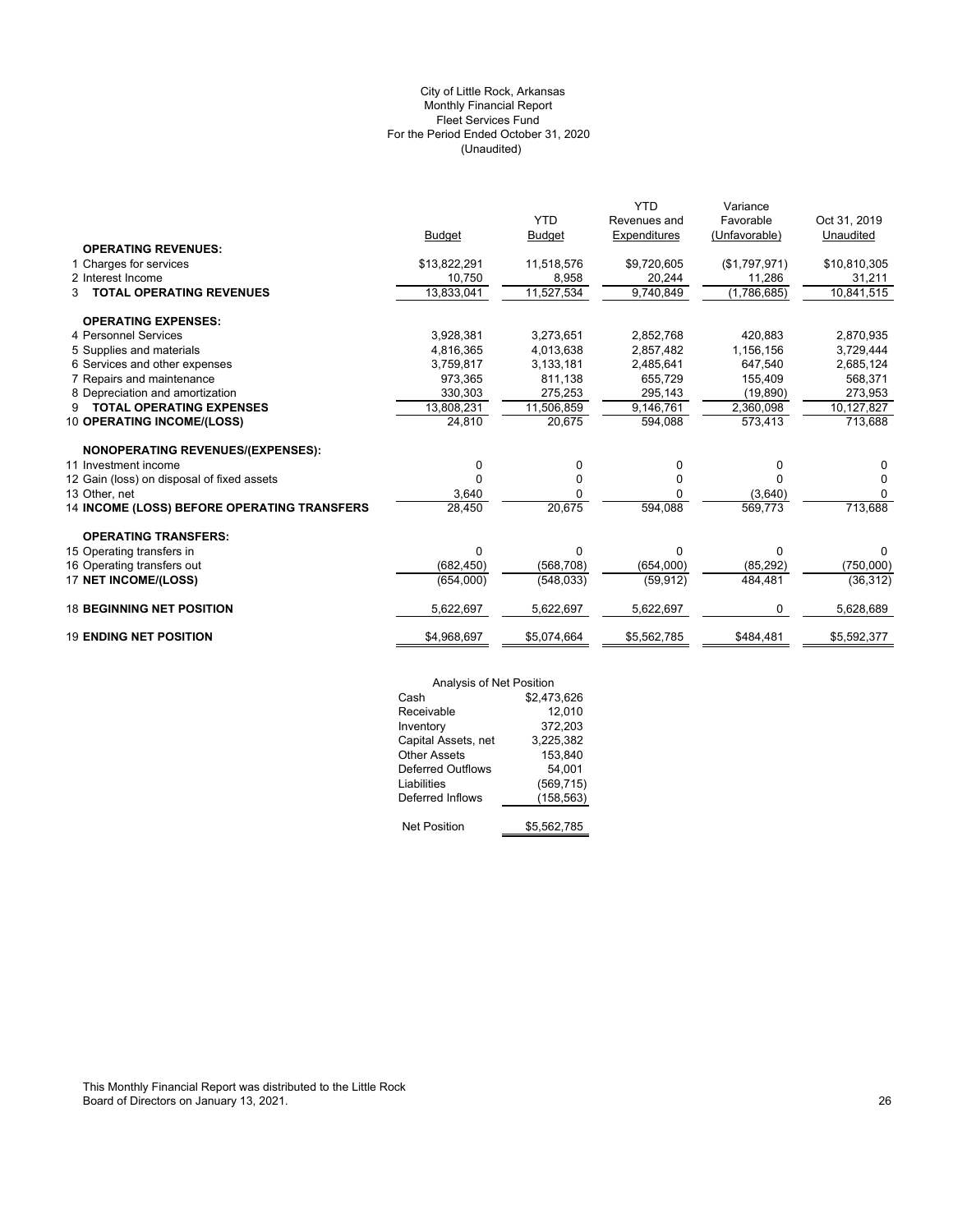# (Unaudited) City of Little Rock, Arkansas Monthly Financial Report Fleet Services Fund For the Period Ended October 31, 2020

|                                             |               |               | <b>YTD</b>   | Variance      |              |
|---------------------------------------------|---------------|---------------|--------------|---------------|--------------|
|                                             |               | <b>YTD</b>    | Revenues and | Favorable     | Oct 31, 2019 |
|                                             | <b>Budget</b> | <b>Budget</b> | Expenditures | (Unfavorable) | Unaudited    |
| <b>OPERATING REVENUES:</b>                  |               |               |              |               |              |
| 1 Charges for services                      | \$13,822,291  | 11,518,576    | \$9,720,605  | (\$1,797,971) | \$10,810,305 |
| 2 Interest Income                           | 10,750        | 8,958         | 20,244       | 11,286        | 31,211       |
| <b>TOTAL OPERATING REVENUES</b><br>3        | 13,833,041    | 11,527,534    | 9,740,849    | (1,786,685)   | 10,841,515   |
| <b>OPERATING EXPENSES:</b>                  |               |               |              |               |              |
| 4 Personnel Services                        | 3,928,381     | 3,273,651     | 2,852,768    | 420,883       | 2,870,935    |
| 5 Supplies and materials                    | 4,816,365     | 4,013,638     | 2,857,482    | 1,156,156     | 3,729,444    |
| 6 Services and other expenses               | 3,759,817     | 3,133,181     | 2,485,641    | 647,540       | 2,685,124    |
| 7 Repairs and maintenance                   | 973.365       | 811,138       | 655.729      | 155,409       | 568,371      |
| 8 Depreciation and amortization             | 330,303       | 275,253       | 295,143      | (19, 890)     | 273,953      |
| <b>TOTAL OPERATING EXPENSES</b><br>9        | 13,808,231    | 11,506,859    | 9.146.761    | 2,360,098     | 10,127,827   |
| <b>10 OPERATING INCOME/(LOSS)</b>           | 24,810        | 20,675        | 594,088      | 573,413       | 713,688      |
| <b>NONOPERATING REVENUES/(EXPENSES):</b>    |               |               |              |               |              |
| 11 Investment income                        | 0             | 0             | 0            | 0             | 0            |
| 12 Gain (loss) on disposal of fixed assets  | 0             | 0             | O            |               | $\Omega$     |
| 13 Other, net                               | 3,640         | 0             | O            | (3,640)       | 0            |
| 14 INCOME (LOSS) BEFORE OPERATING TRANSFERS | 28,450        | 20.675        | 594,088      | 569.773       | 713,688      |
| <b>OPERATING TRANSFERS:</b>                 |               |               |              |               |              |
| 15 Operating transfers in                   | 0             | 0             | $\Omega$     | $\Omega$      | 0            |
| 16 Operating transfers out                  | (682, 450)    | (568, 708)    | (654,000)    | (85, 292)     | (750,000)    |
| 17 NET INCOME/(LOSS)                        | (654,000)     | (548, 033)    | (59, 912)    | 484,481       | (36, 312)    |
| <b>18 BEGINNING NET POSITION</b>            | 5,622,697     | 5,622,697     | 5,622,697    | 0             | 5,628,689    |
| <b>19 ENDING NET POSITION</b>               | \$4,968,697   | \$5,074,664   | \$5,562,785  | \$484,481     | \$5,592,377  |
|                                             |               |               |              |               |              |

|                          | Analysis of Net Position |  |  |
|--------------------------|--------------------------|--|--|
| Cash                     | \$2,473,626              |  |  |
| Receivable               | 12,010                   |  |  |
| Inventory                | 372,203                  |  |  |
| Capital Assets, net      | 3,225,382                |  |  |
| <b>Other Assets</b>      | 153,840                  |  |  |
| <b>Deferred Outflows</b> | 54,001                   |  |  |
| Liabilities              | (569,715)                |  |  |
| Deferred Inflows         | (158,563)                |  |  |
|                          |                          |  |  |
| <b>Net Position</b>      | \$5.562.785              |  |  |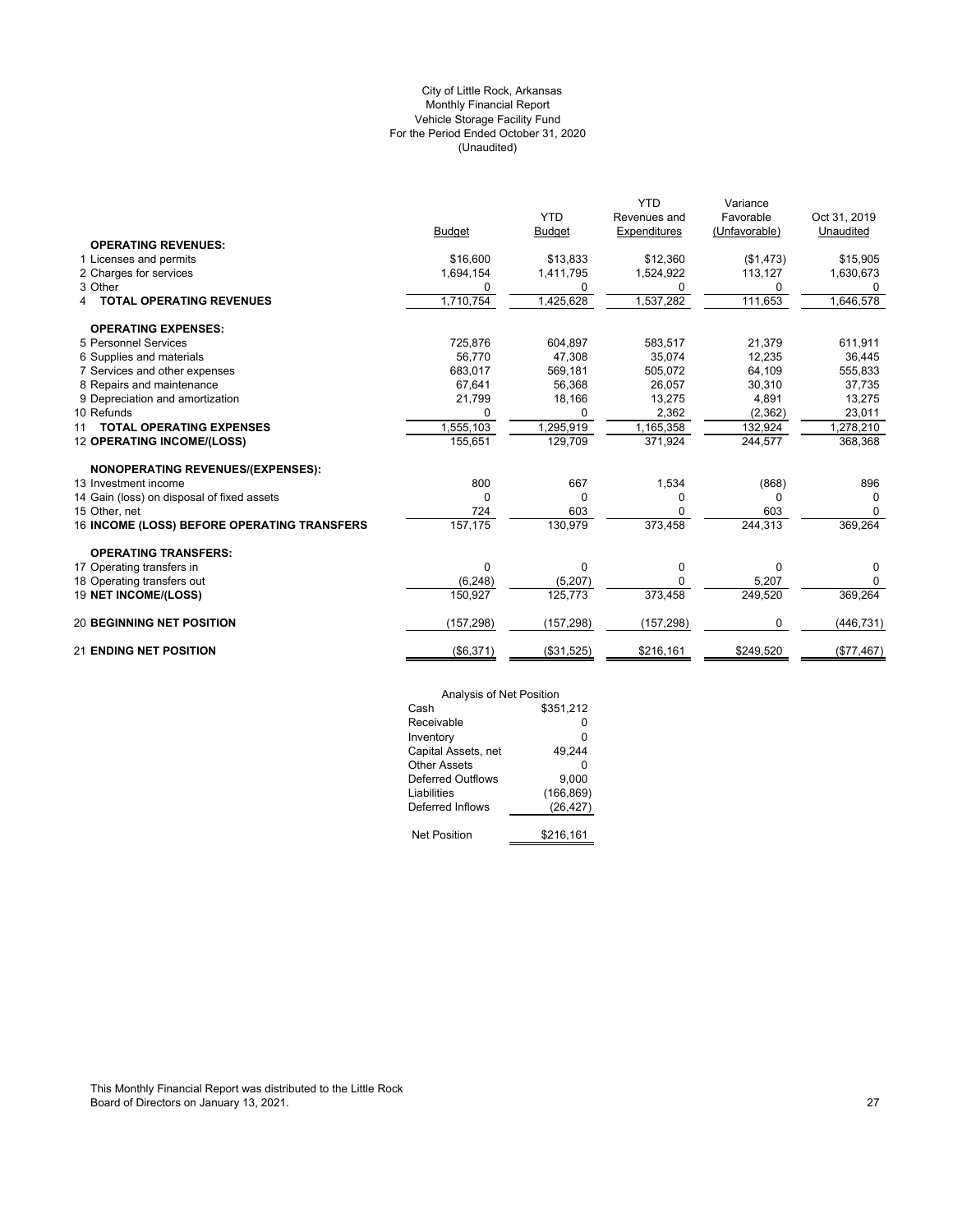# (Unaudited) City of Little Rock, Arkansas Monthly Financial Report Vehicle Storage Facility Fund For the Period Ended October 31, 2020

|                                             |               |               | YTD          | Variance      |              |
|---------------------------------------------|---------------|---------------|--------------|---------------|--------------|
|                                             |               | <b>YTD</b>    | Revenues and | Favorable     | Oct 31, 2019 |
|                                             | <b>Budget</b> | <b>Budget</b> | Expenditures | (Unfavorable) | Unaudited    |
| <b>OPERATING REVENUES:</b>                  |               |               |              |               |              |
| 1 Licenses and permits                      | \$16,600      | \$13,833      | \$12,360     | (\$1,473)     | \$15,905     |
| 2 Charges for services                      | 1,694,154     | 1,411,795     | 1,524,922    | 113,127       | 1,630,673    |
| 3 Other                                     | 0             | 0             | $\Omega$     | 0             | 0            |
| <b>TOTAL OPERATING REVENUES</b><br>4        | 1,710,754     | 1,425,628     | 1,537,282    | 111,653       | 1,646,578    |
| <b>OPERATING EXPENSES:</b>                  |               |               |              |               |              |
| 5 Personnel Services                        | 725,876       | 604,897       | 583,517      | 21,379        | 611,911      |
| 6 Supplies and materials                    | 56,770        | 47,308        | 35,074       | 12,235        | 36,445       |
| 7 Services and other expenses               | 683,017       | 569,181       | 505,072      | 64,109        | 555,833      |
| 8 Repairs and maintenance                   | 67,641        | 56,368        | 26,057       | 30,310        | 37,735       |
| 9 Depreciation and amortization             | 21,799        | 18,166        | 13,275       | 4,891         | 13,275       |
| 10 Refunds                                  | O             | $\Omega$      | 2,362        | (2, 362)      | 23,011       |
| <b>TOTAL OPERATING EXPENSES</b><br>11       | 1,555,103     | 1,295,919     | 1,165,358    | 132,924       | 1,278,210    |
| 12 OPERATING INCOME/(LOSS)                  | 155,651       | 129,709       | 371,924      | 244,577       | 368,368      |
| <b>NONOPERATING REVENUES/(EXPENSES):</b>    |               |               |              |               |              |
| 13 Investment income                        | 800           | 667           | 1,534        | (868)         | 896          |
| 14 Gain (loss) on disposal of fixed assets  | 0             | 0             | <sup>0</sup> | 0             | 0            |
| 15 Other, net                               | 724           | 603           | $\Omega$     | 603           | $\Omega$     |
| 16 INCOME (LOSS) BEFORE OPERATING TRANSFERS | 157,175       | 130,979       | 373,458      | 244,313       | 369,264      |
| <b>OPERATING TRANSFERS:</b>                 |               |               |              |               |              |
| 17 Operating transfers in                   | 0             | 0             | 0            | 0             | 0            |
| 18 Operating transfers out                  | (6, 248)      | (5,207)       | $\Omega$     | 5,207         | $\Omega$     |
| 19 NET INCOME/(LOSS)                        | 150.927       | 125.773       | 373,458      | 249,520       | 369,264      |
| <b>20 BEGINNING NET POSITION</b>            | (157, 298)    | (157, 298)    | (157, 298)   | $\Omega$      | (446, 731)   |
| <b>21 ENDING NET POSITION</b>               | (\$6,371)     | (\$31,525)    | \$216,161    | \$249,520     | (\$77,467)   |

| Analysis of Net Position |            |
|--------------------------|------------|
| Cash                     | \$351,212  |
| Receivable               | o          |
| Inventory                | 0          |
| Capital Assets, net      | 49,244     |
| Other Assets             | U          |
| Deferred Outflows        | 9.000      |
| Liabilities              | (166, 869) |
| Deferred Inflows         | (26, 427)  |
|                          |            |
| <b>Net Position</b>      | \$216,161  |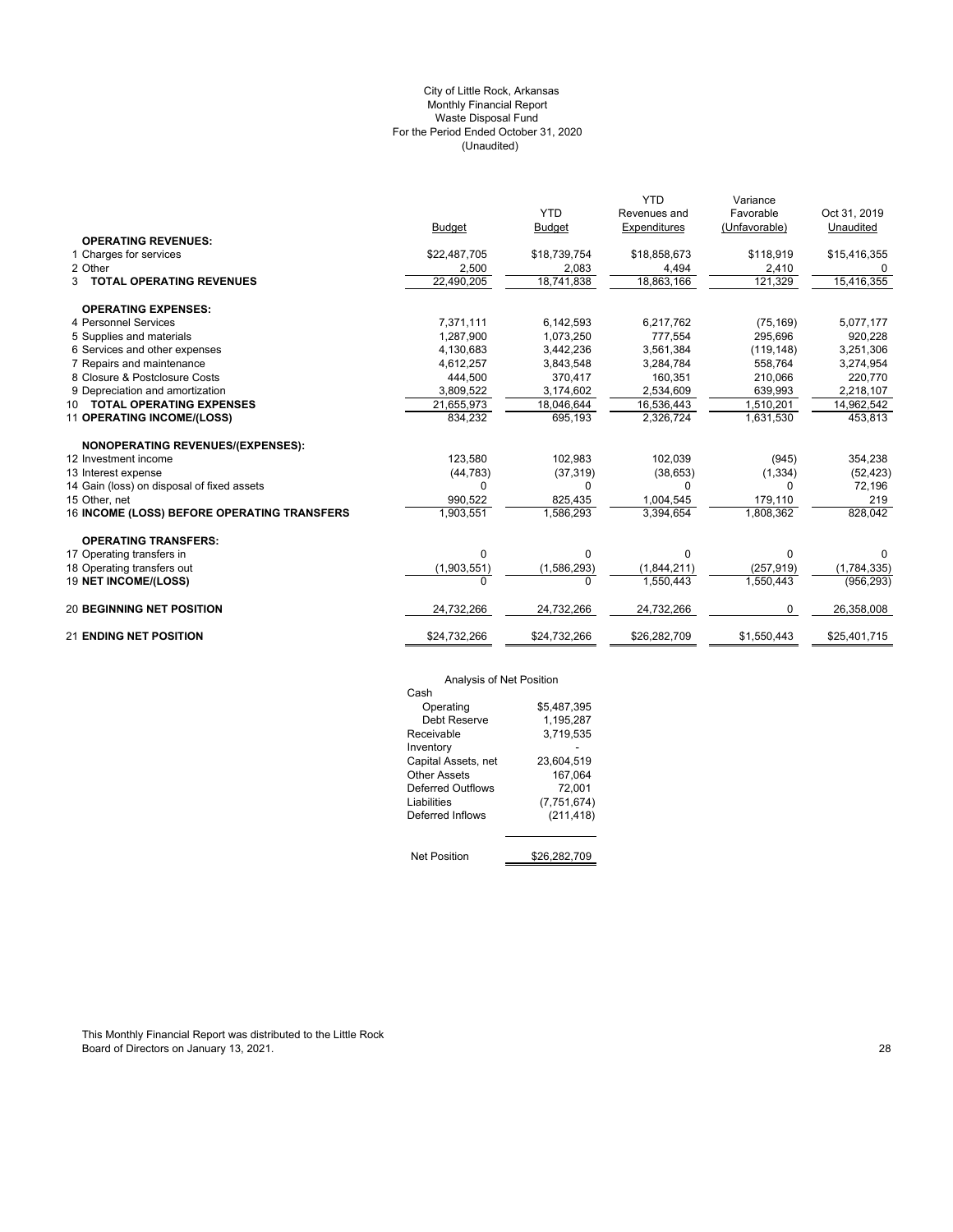# (Unaudited) City of Little Rock, Arkansas Monthly Financial Report Waste Disposal Fund For the Period Ended October 31, 2020

|                                             |               |               | <b>YTD</b>   | Variance      |              |
|---------------------------------------------|---------------|---------------|--------------|---------------|--------------|
|                                             |               | <b>YTD</b>    | Revenues and | Favorable     | Oct 31, 2019 |
|                                             | <b>Budget</b> | <b>Budget</b> | Expenditures | (Unfavorable) | Unaudited    |
| <b>OPERATING REVENUES:</b>                  |               |               |              |               |              |
| 1 Charges for services                      | \$22,487,705  | \$18,739,754  | \$18,858,673 | \$118,919     | \$15,416,355 |
| 2 Other                                     | 2,500         | 2,083         | 4,494        | 2,410         |              |
| 3 TOTAL OPERATING REVENUES                  | 22,490,205    | 18,741,838    | 18,863,166   | 121,329       | 15,416,355   |
| <b>OPERATING EXPENSES:</b>                  |               |               |              |               |              |
| 4 Personnel Services                        | 7,371,111     | 6,142,593     | 6,217,762    | (75, 169)     | 5,077,177    |
| 5 Supplies and materials                    | 1,287,900     | 1,073,250     | 777,554      | 295,696       | 920,228      |
| 6 Services and other expenses               | 4,130,683     | 3,442,236     | 3,561,384    | (119, 148)    | 3,251,306    |
| 7 Repairs and maintenance                   | 4,612,257     | 3,843,548     | 3,284,784    | 558.764       | 3,274,954    |
| 8 Closure & Postclosure Costs               | 444,500       | 370,417       | 160,351      | 210,066       | 220,770      |
| 9 Depreciation and amortization             | 3,809,522     | 3,174,602     | 2,534,609    | 639,993       | 2,218,107    |
| 10 TOTAL OPERATING EXPENSES                 | 21,655,973    | 18,046,644    | 16,536,443   | 1,510,201     | 14,962,542   |
| 11 OPERATING INCOME/(LOSS)                  | 834,232       | 695,193       | 2,326,724    | 1,631,530     | 453,813      |
| <b>NONOPERATING REVENUES/(EXPENSES):</b>    |               |               |              |               |              |
| 12 Investment income                        | 123.580       | 102,983       | 102,039      | (945)         | 354,238      |
| 13 Interest expense                         | (44, 783)     | (37, 319)     | (38, 653)    | (1, 334)      | (52, 423)    |
| 14 Gain (loss) on disposal of fixed assets  | $\Omega$      | 0             | $\Omega$     | 0             | 72,196       |
| 15 Other, net                               | 990,522       | 825,435       | 1,004,545    | 179,110       | 219          |
| 16 INCOME (LOSS) BEFORE OPERATING TRANSFERS | 1,903,551     | 1,586,293     | 3,394,654    | 1,808,362     | 828,042      |
| <b>OPERATING TRANSFERS:</b>                 |               |               |              |               |              |
| 17 Operating transfers in                   | 0             | 0             | 0            | 0             | 0            |
| 18 Operating transfers out                  | (1,903,551)   | (1, 586, 293) | (1,844,211)  | (257, 919)    | (1,784,335)  |
| 19 NET INCOME/(LOSS)                        | $\Omega$      | U             | 1.550.443    | 1,550,443     | (956, 293)   |
| <b>20 BEGINNING NET POSITION</b>            | 24,732,266    | 24,732,266    | 24,732,266   | $\Omega$      | 26,358,008   |
| <b>21 ENDING NET POSITION</b>               | \$24,732,266  | \$24,732,266  | \$26,282,709 | \$1,550,443   | \$25,401,715 |

# Analysis of Net Position

| Analysis of Net Position |              |
|--------------------------|--------------|
| Cash                     |              |
| Operating                | \$5,487,395  |
| Debt Reserve             | 1,195,287    |
| Receivable               | 3.719.535    |
| Inventory                |              |
| Capital Assets, net      | 23.604.519   |
| Other Assets             | 167.064      |
| Deferred Outflows        | 72.001       |
| Liabilities              | (7,751,674)  |
| Deferred Inflows         | (211, 418)   |
|                          |              |
| <b>Net Position</b>      | \$26.282.709 |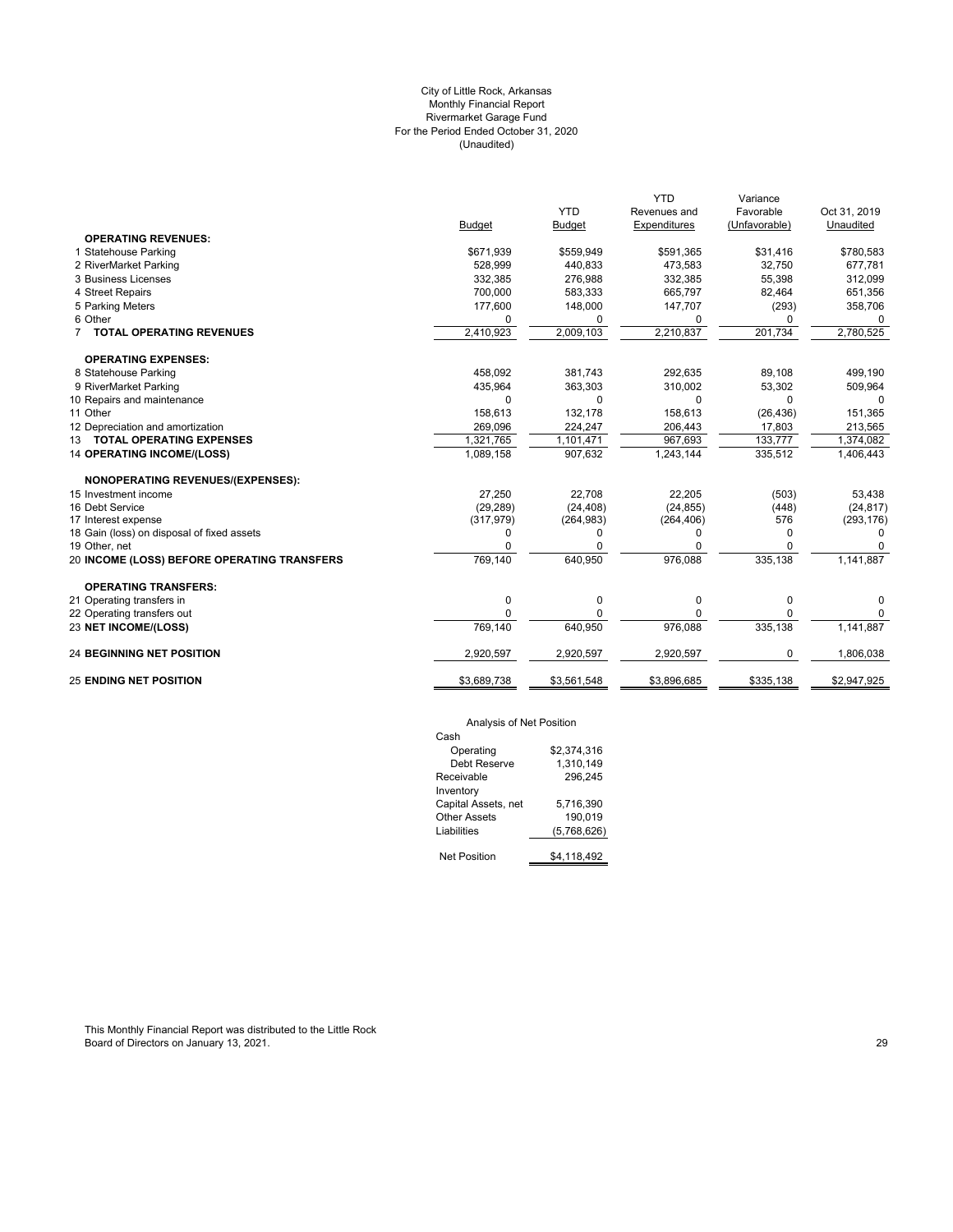# (Unaudited) City of Little Rock, Arkansas Monthly Financial Report Rivermarket Garage Fund For the Period Ended October 31, 2020

| Budget<br>\$671,939<br>528,999 | <b>YTD</b><br><b>Budget</b><br>\$559,949 | Revenues and<br>Expenditures | Favorable<br>(Unfavorable) | Oct 31, 2019<br>Unaudited |
|--------------------------------|------------------------------------------|------------------------------|----------------------------|---------------------------|
|                                |                                          |                              |                            |                           |
|                                |                                          |                              |                            |                           |
|                                |                                          |                              |                            |                           |
|                                |                                          | \$591,365                    | \$31,416                   | \$780,583                 |
|                                | 440,833                                  | 473,583                      | 32,750                     | 677,781                   |
| 332,385                        | 276,988                                  | 332,385                      | 55,398                     | 312,099                   |
| 700,000                        | 583,333                                  | 665,797                      | 82,464                     | 651,356                   |
| 177,600                        | 148,000                                  | 147,707                      | (293)                      | 358,706                   |
| $\Omega$                       | 0                                        | 0                            | $\Omega$                   | $\Omega$                  |
| 2,410,923                      | 2,009,103                                | 2,210,837                    | 201,734                    | 2,780,525                 |
|                                |                                          |                              |                            |                           |
| 458,092                        | 381,743                                  | 292.635                      | 89.108                     | 499,190                   |
| 435,964                        | 363,303                                  | 310,002                      | 53,302                     | 509,964                   |
| $\Omega$                       | 0                                        | $\Omega$                     | $\Omega$                   | $\Omega$                  |
| 158,613                        | 132,178                                  | 158,613                      | (26, 436)                  | 151,365                   |
| 269,096                        | 224,247                                  | 206,443                      | 17,803                     | 213,565                   |
| 1,321,765                      | 1,101,471                                | 967,693                      | 133,777                    | 1,374,082                 |
| 1,089,158                      | 907,632                                  | 1,243,144                    | 335,512                    | 1,406,443                 |
|                                |                                          |                              |                            |                           |
| 27,250                         | 22,708                                   | 22,205                       | (503)                      | 53,438                    |
| (29, 289)                      | (24, 408)                                | (24, 855)                    | (448)                      | (24, 817)                 |
| (317, 979)                     | (264, 983)                               | (264, 406)                   | 576                        | (293, 176)                |
| 0                              | 0                                        | 0                            | 0                          | $\Omega$                  |
| $\Omega$                       | O                                        | ი                            | 0                          |                           |
| 769,140                        |                                          |                              |                            | 1,141,887                 |
|                                |                                          |                              |                            |                           |
| 0                              | 0                                        | 0                            | 0                          | 0                         |
| $\Omega$                       | 0                                        | 0                            | $\mathbf 0$                | 0                         |
| 769,140                        | 640,950                                  | 976,088                      | 335,138                    | 1,141,887                 |
| 2,920,597                      | 2,920,597                                | 2,920,597                    | 0                          | 1,806,038                 |
| \$3,689,738                    | \$3,561,548                              | \$3,896,685                  | \$335,138                  | \$2,947,925               |
|                                |                                          | 640,950                      | 976,088                    | 335,138                   |

# Analysis of Net Position

| Cash                |             |
|---------------------|-------------|
| Operating           | \$2.374.316 |
| Debt Reserve        | 1.310.149   |
| Receivable          | 296.245     |
| Inventory           |             |
| Capital Assets, net | 5.716.390   |
| Other Assets        | 190.019     |
| Liabilities         | (5,768,626) |
|                     |             |
| <b>Net Position</b> | \$4.118.492 |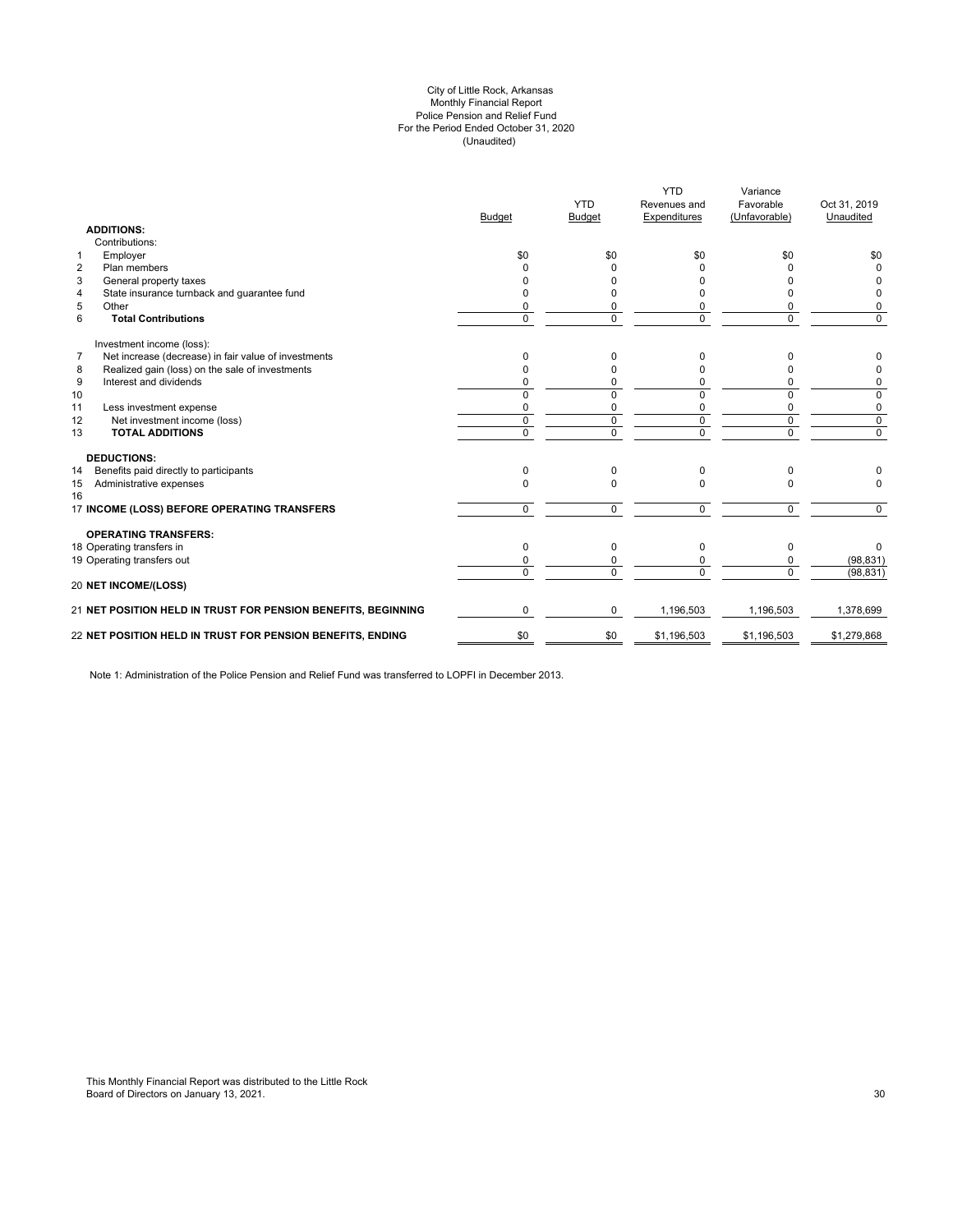#### (Unaudited) City of Little Rock, Arkansas Monthly Financial Report Police Pension and Relief Fund For the Period Ended October 31, 2020

|                | <b>ADDITIONS:</b>                                             | <b>Budget</b>  | <b>YTD</b><br><b>Budget</b> | <b>YTD</b><br>Revenues and<br>Expenditures | Variance<br>Favorable<br>(Unfavorable) | Oct 31, 2019<br>Unaudited |
|----------------|---------------------------------------------------------------|----------------|-----------------------------|--------------------------------------------|----------------------------------------|---------------------------|
|                | Contributions:                                                |                |                             |                                            |                                        |                           |
| $\mathbf{1}$   | Employer                                                      | \$0            | \$0                         | \$0                                        | \$0                                    | \$0                       |
| $\overline{2}$ | Plan members                                                  | <sup>0</sup>   | $\Omega$                    | ŋ                                          | n                                      | $\Omega$                  |
| 3              | General property taxes                                        | n              | U                           | U                                          | n                                      | 0                         |
| 4              | State insurance turnback and guarantee fund                   | <sup>0</sup>   | 0                           |                                            | 0                                      | 0                         |
| 5              | Other                                                         | 0              | 0                           |                                            | 0                                      | 0                         |
| 6              | <b>Total Contributions</b>                                    | $\Omega$       | $\Omega$                    | $\Omega$                                   | 0                                      | $\Omega$                  |
|                | Investment income (loss):                                     |                |                             |                                            |                                        |                           |
| $\overline{7}$ | Net increase (decrease) in fair value of investments          | $\Omega$       | 0                           | <sup>0</sup>                               | U                                      | 0                         |
| 8              | Realized gain (loss) on the sale of investments               | $\Omega$       | 0                           |                                            | O                                      | 0                         |
| 9              | Interest and dividends                                        | $\Omega$       | 0                           | 0                                          | 0                                      | 0                         |
| 10             |                                                               | $\Omega$       | 0                           | $\Omega$                                   | 0                                      | 0                         |
| 11             | Less investment expense                                       | 0              | 0                           | 0                                          | 0                                      | 0                         |
| 12             | Net investment income (loss)                                  | $\mathbf 0$    | $\mathbf 0$                 | $\mathbf 0$                                | $\mathbf 0$                            | $\mathbf 0$               |
| 13             | <b>TOTAL ADDITIONS</b>                                        | $\overline{0}$ | $\overline{0}$              | $\overline{0}$                             | 0                                      | $\overline{0}$            |
|                | <b>DEDUCTIONS:</b>                                            |                |                             |                                            |                                        |                           |
| 14             | Benefits paid directly to participants                        | $\Omega$       | $\Omega$                    | $\Omega$                                   | 0                                      |                           |
| 15<br>16       | Administrative expenses                                       | $\Omega$       | $\Omega$                    | $\Omega$                                   | $\Omega$                               | $\Omega$                  |
|                | 17 INCOME (LOSS) BEFORE OPERATING TRANSFERS                   | $\mathbf 0$    | $\Omega$                    | $\Omega$                                   | $\mathbf 0$                            | $\Omega$                  |
|                | <b>OPERATING TRANSFERS:</b>                                   |                |                             |                                            |                                        |                           |
|                | 18 Operating transfers in                                     | $\Omega$       | $\Omega$                    | 0                                          | 0                                      | $\Omega$                  |
|                | 19 Operating transfers out                                    | 0              | 0                           |                                            | 0                                      | (98, 831)                 |
|                | 20 NET INCOME/(LOSS)                                          | $\Omega$       | $\Omega$                    | $\Omega$                                   | $\Omega$                               | (98, 831)                 |
|                | 21 NET POSITION HELD IN TRUST FOR PENSION BENEFITS, BEGINNING | $\Omega$       | 0                           | 1,196,503                                  | 1,196,503                              | 1,378,699                 |
|                | 22 NET POSITION HELD IN TRUST FOR PENSION BENEFITS, ENDING    | \$0            | \$0                         | \$1,196,503                                | \$1,196,503                            | \$1,279,868               |
|                |                                                               |                |                             |                                            |                                        |                           |

Note 1: Administration of the Police Pension and Relief Fund was transferred to LOPFI in December 2013.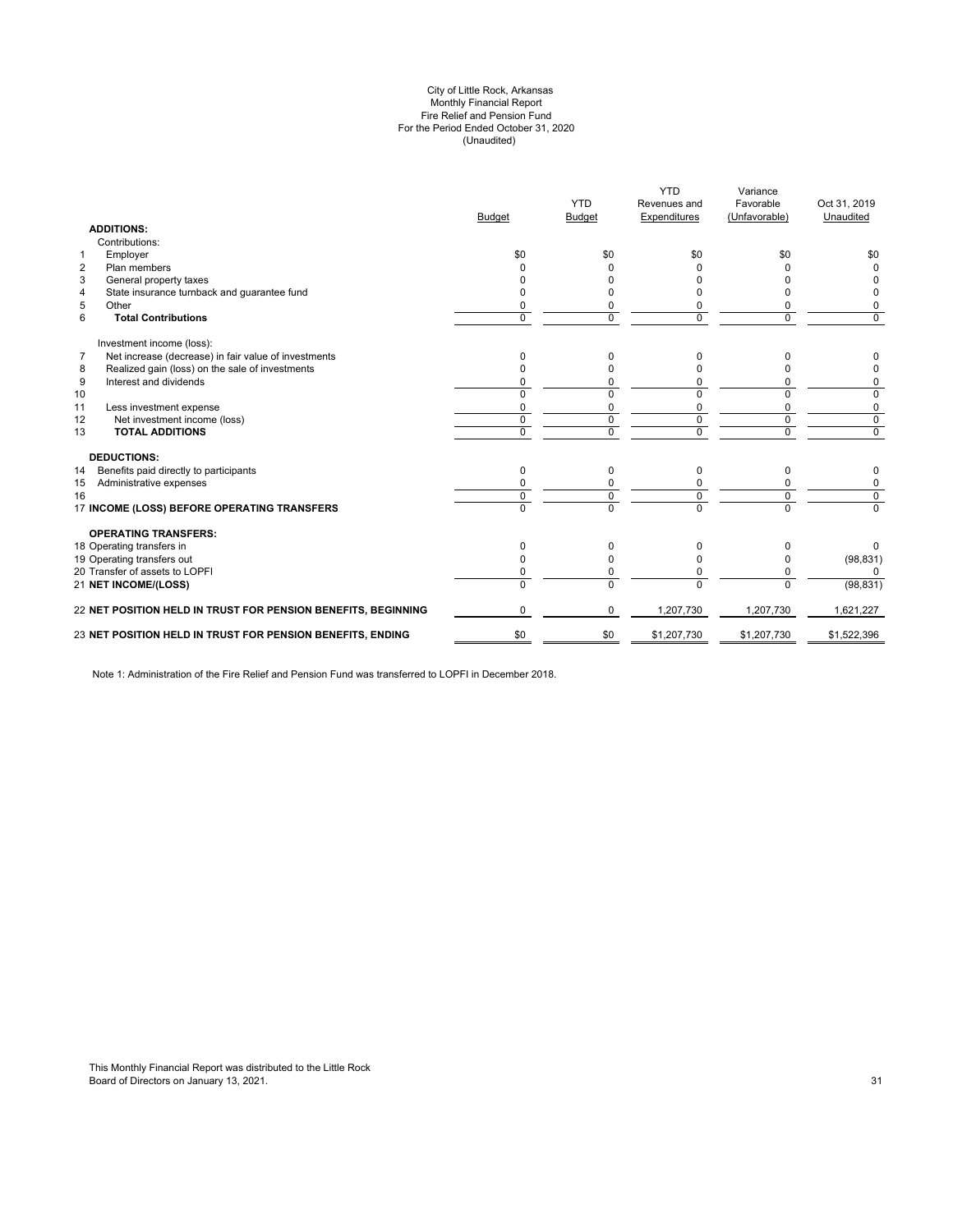#### (Unaudited) City of Little Rock, Arkansas Monthly Financial Report Fire Relief and Pension Fund For the Period Ended October 31, 2020

| <b>ADDITIONS:</b>                            |                                                               | <b>Budget</b> | <b>YTD</b><br><b>Budget</b> | <b>YTD</b><br>Revenues and<br>Expenditures | Variance<br>Favorable<br>(Unfavorable) | Oct 31, 2019<br>Unaudited |
|----------------------------------------------|---------------------------------------------------------------|---------------|-----------------------------|--------------------------------------------|----------------------------------------|---------------------------|
| Contributions:                               |                                                               |               |                             |                                            |                                        |                           |
| Employer<br>$\mathbf{1}$                     |                                                               | \$0           | \$0                         | \$0                                        | \$0                                    | \$0                       |
| $\overline{2}$<br>Plan members               |                                                               |               |                             |                                            |                                        | <sup>0</sup>              |
| 3<br>General property taxes                  |                                                               |               |                             |                                            |                                        |                           |
| 4                                            | State insurance turnback and guarantee fund                   |               |                             |                                            |                                        | 0                         |
| 5<br>Other                                   |                                                               |               | 0                           | 0                                          | 0                                      | 0                         |
| 6<br><b>Total Contributions</b>              |                                                               | $\Omega$      | $\Omega$                    | $\Omega$                                   | $\Omega$                               | $\mathbf 0$               |
| Investment income (loss):                    |                                                               |               |                             |                                            |                                        |                           |
| $\overline{7}$                               | Net increase (decrease) in fair value of investments          | 0             | 0                           | 0                                          | 0                                      | 0                         |
| 8                                            | Realized gain (loss) on the sale of investments               |               | $\Omega$                    |                                            | $\Omega$                               | 0                         |
| 9<br>Interest and dividends                  |                                                               |               | 0                           | 0                                          | $\Omega$                               | 0                         |
| 10                                           |                                                               | $\Omega$      | $\Omega$                    | $\Omega$                                   | $\Omega$                               | 0                         |
| 11<br>Less investment expense                |                                                               | $\Omega$      | $\Omega$                    | $\Omega$                                   | $\mathbf 0$                            | 0                         |
| 12                                           | Net investment income (loss)                                  | $\mathbf 0$   | 0                           | $\mathbf 0$                                | $\mathbf 0$                            | $\mathbf 0$               |
| <b>TOTAL ADDITIONS</b><br>13                 |                                                               | $\Omega$      | $\Omega$                    | $\Omega$                                   | $\Omega$                               | $\mathbf 0$               |
| <b>DEDUCTIONS:</b>                           |                                                               |               |                             |                                            |                                        |                           |
| Benefits paid directly to participants<br>14 |                                                               | $\Omega$      | $\Omega$                    | $\Omega$                                   | 0                                      | 0                         |
| Administrative expenses<br>15                |                                                               |               |                             |                                            | 0                                      | 0                         |
| 16                                           |                                                               | $\Omega$      | 0                           | $\mathbf 0$                                | $\mathbf 0$                            | $\overline{0}$            |
|                                              | 17 INCOME (LOSS) BEFORE OPERATING TRANSFERS                   | $\Omega$      | $\overline{0}$              | $\Omega$                                   | $\overline{0}$                         | $\overline{0}$            |
| <b>OPERATING TRANSFERS:</b>                  |                                                               |               |                             |                                            |                                        |                           |
| 18 Operating transfers in                    |                                                               | $\Omega$      | 0                           | 0                                          | 0                                      | 0                         |
| 19 Operating transfers out                   |                                                               |               | O                           | <sup>0</sup>                               | 0                                      | (98, 831)                 |
| 20 Transfer of assets to LOPFI               |                                                               |               | 0                           | 0                                          | 0                                      | $\Omega$                  |
| <b>21 NET INCOME/(LOSS)</b>                  |                                                               | $\Omega$      | $\Omega$                    | $\Omega$                                   | $\Omega$                               | (98, 831)                 |
|                                              | 22 NET POSITION HELD IN TRUST FOR PENSION BENEFITS, BEGINNING | $\Omega$      | $\Omega$                    | 1,207,730                                  | 1,207,730                              | 1,621,227                 |
|                                              | 23 NET POSITION HELD IN TRUST FOR PENSION BENEFITS, ENDING    | \$0           | \$0                         | \$1,207,730                                | \$1,207,730                            | \$1,522,396               |
|                                              |                                                               |               |                             |                                            |                                        |                           |

Note 1: Administration of the Fire Relief and Pension Fund was transferred to LOPFI in December 2018.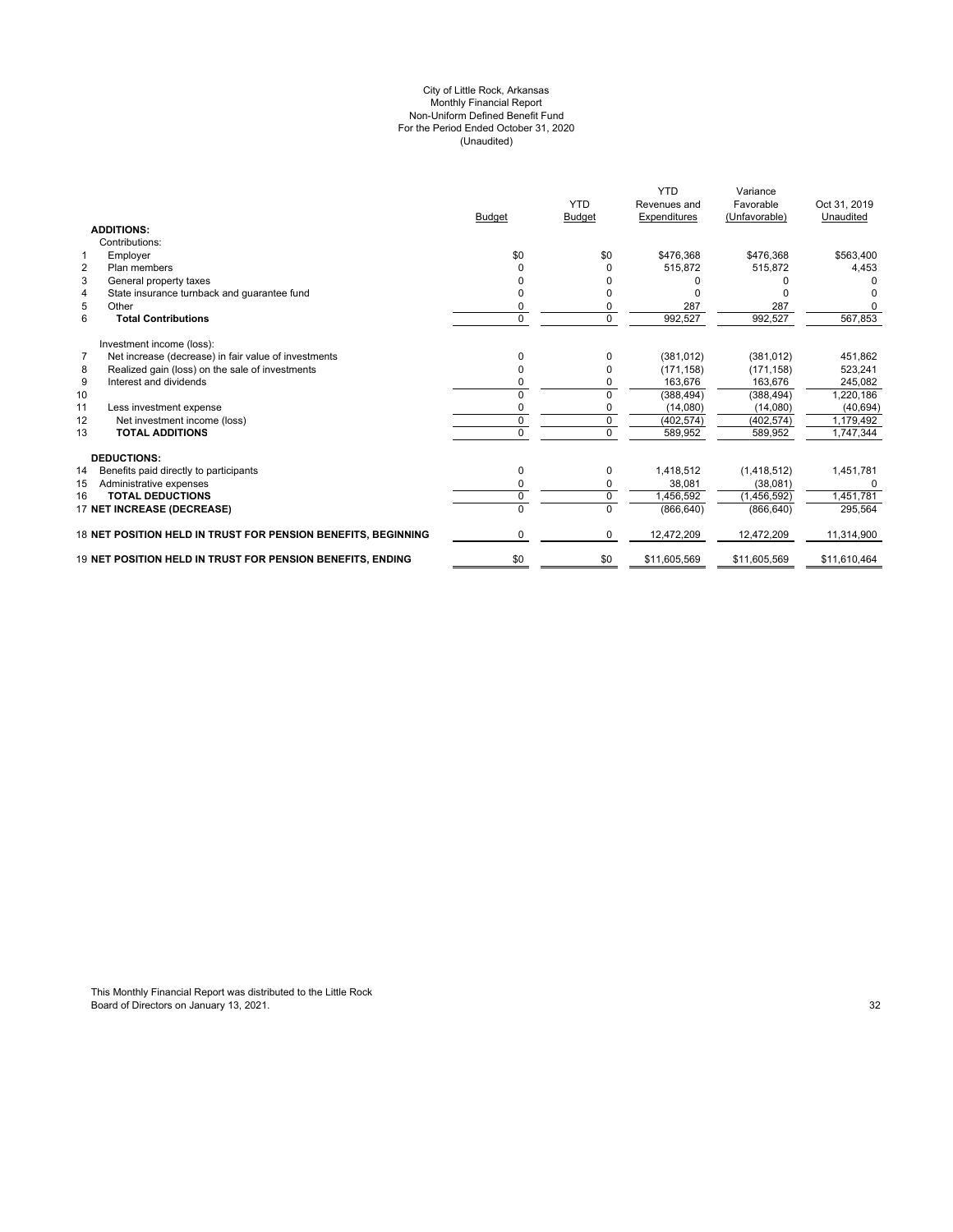#### (Unaudited) For the Period Ended October 31, 2020 City of Little Rock, Arkansas Monthly Financial Report Non-Uniform Defined Benefit Fund

|                                 |                                                               | <b>Budget</b> | <b>YTD</b><br><b>Budget</b> | <b>YTD</b><br>Revenues and<br>Expenditures | Variance<br>Favorable<br>(Unfavorable) | Oct 31, 2019<br>Unaudited |
|---------------------------------|---------------------------------------------------------------|---------------|-----------------------------|--------------------------------------------|----------------------------------------|---------------------------|
| <b>ADDITIONS:</b>               |                                                               |               |                             |                                            |                                        |                           |
| Contributions:                  |                                                               |               |                             |                                            |                                        |                           |
| Employer<br>1                   |                                                               | \$0           | \$0                         | \$476,368                                  | \$476,368                              | \$563,400                 |
| $\overline{2}$<br>Plan members  |                                                               |               | 0                           | 515.872                                    | 515.872                                | 4,453                     |
| 3<br>General property taxes     |                                                               |               |                             |                                            |                                        |                           |
| $\overline{4}$                  | State insurance turnback and quarantee fund                   |               |                             |                                            |                                        |                           |
| 5<br>Other                      |                                                               |               |                             | 287                                        | 287                                    |                           |
| 6<br><b>Total Contributions</b> |                                                               | 0             | 0                           | 992,527                                    | 992,527                                | 567,853                   |
| Investment income (loss):       |                                                               |               |                             |                                            |                                        |                           |
| 7                               | Net increase (decrease) in fair value of investments          | n             | $\Omega$                    | (381, 012)                                 | (381, 012)                             | 451,862                   |
| 8                               | Realized gain (loss) on the sale of investments               |               | 0                           | (171, 158)                                 | (171, 158)                             | 523,241                   |
| 9<br>Interest and dividends     |                                                               | ŋ             | 0                           | 163.676                                    | 163,676                                | 245,082                   |
| 10                              |                                                               |               | 0                           | (388, 494)                                 | (388, 494)                             | 1,220,186                 |
| 11<br>Less investment expense   |                                                               | ŋ             | 0                           | (14,080)                                   | (14,080)                               | (40, 694)                 |
| 12                              | Net investment income (loss)                                  | $\mathbf 0$   | $\mathbf 0$                 | (402, 574)                                 | (402, 574)                             | 1,179,492                 |
| <b>TOTAL ADDITIONS</b><br>13    |                                                               | $\Omega$      | $\Omega$                    | 589,952                                    | 589,952                                | 1,747,344                 |
| <b>DEDUCTIONS:</b>              |                                                               |               |                             |                                            |                                        |                           |
| 14                              | Benefits paid directly to participants                        | 0             | 0                           | 1,418,512                                  | (1,418,512)                            | 1,451,781                 |
| Administrative expenses<br>15   |                                                               | 0             | 0                           | 38.081                                     | (38,081)                               | $\Omega$                  |
| <b>TOTAL DEDUCTIONS</b><br>16   |                                                               | $\mathbf 0$   | $\mathbf 0$                 | 1,456,592                                  | (1,456,592)                            | 1,451,781                 |
| 17 NET INCREASE (DECREASE)      |                                                               | $\Omega$      | $\Omega$                    | (866, 640)                                 | (866, 640)                             | 295,564                   |
|                                 | 18 NET POSITION HELD IN TRUST FOR PENSION BENEFITS, BEGINNING | $\Omega$      | 0                           | 12,472,209                                 | 12,472,209                             | 11,314,900                |
|                                 | 19 NET POSITION HELD IN TRUST FOR PENSION BENEFITS. ENDING    | \$0           | \$0                         | \$11,605,569                               | \$11,605,569                           | \$11,610,464              |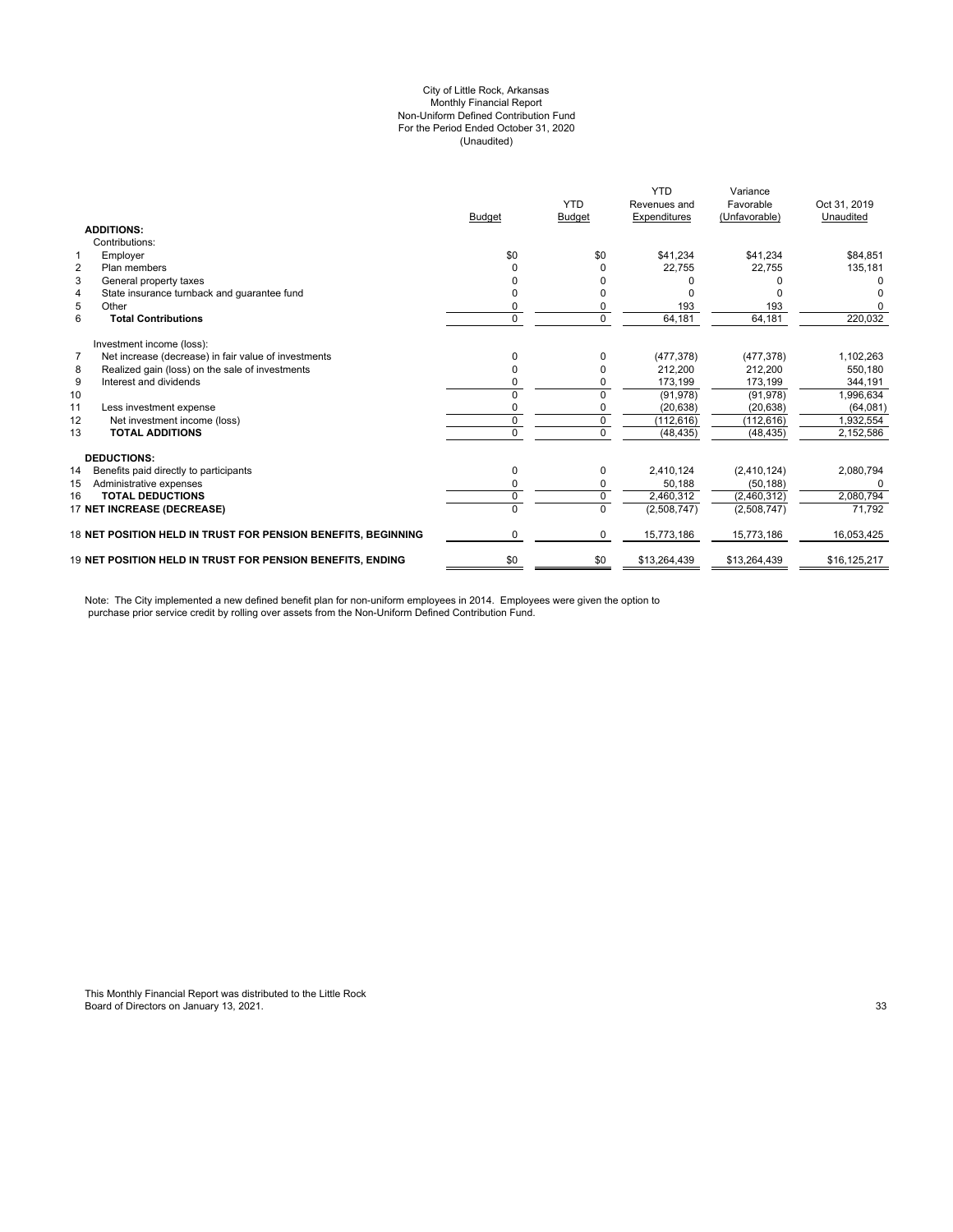#### City of Little Rock, Arkansas (Unaudited) For the Period Ended October 31, 2020 Non-Uniform Defined Contribution Fund Monthly Financial Report

|                                                                        |                                                               |               | <b>YTD</b>    | <b>YTD</b><br>Revenues and | Variance<br>Favorable | Oct 31, 2019 |
|------------------------------------------------------------------------|---------------------------------------------------------------|---------------|---------------|----------------------------|-----------------------|--------------|
|                                                                        |                                                               | <b>Budget</b> | <b>Budget</b> | Expenditures               | (Unfavorable)         | Unaudited    |
| <b>ADDITIONS:</b>                                                      |                                                               |               |               |                            |                       |              |
| Contributions:                                                         |                                                               |               |               |                            |                       |              |
| Employer<br>1                                                          |                                                               | \$0           | \$0           | \$41,234                   | \$41,234              | \$84,851     |
| $\overline{2}$<br>Plan members                                         |                                                               |               |               | 22,755                     | 22,755                | 135,181      |
| 3<br>General property taxes                                            |                                                               |               |               |                            |                       | <sup>0</sup> |
| $\overline{4}$<br>State insurance turnback and quarantee fund          |                                                               |               |               |                            |                       |              |
| 5<br>Other                                                             |                                                               | 0             |               | 193                        | 193                   |              |
| 6<br><b>Total Contributions</b>                                        |                                                               | $\Omega$      | $\Omega$      | 64,181                     | 64,181                | 220,032      |
| Investment income (loss):                                              |                                                               |               |               |                            |                       |              |
| $\overline{7}$<br>Net increase (decrease) in fair value of investments |                                                               |               |               | (477, 378)                 | (477, 378)            | 1,102,263    |
| Realized gain (loss) on the sale of investments<br>8                   |                                                               | 0             |               | 212,200                    | 212,200               | 550,180      |
| Interest and dividends<br>9                                            |                                                               |               |               | 173,199                    | 173,199               | 344.191      |
| 10                                                                     |                                                               | $\Omega$      | <sup>0</sup>  | (91, 978)                  | (91, 978)             | 1,996,634    |
| 11<br>Less investment expense                                          |                                                               | 0             |               | (20, 638)                  | (20, 638)             | (64,081)     |
| 12<br>Net investment income (loss)                                     |                                                               | 0             | $\mathbf 0$   | (112, 616)                 | (112, 616)            | 1.932.554    |
| <b>TOTAL ADDITIONS</b><br>13                                           |                                                               | $\Omega$      | $\Omega$      | (48, 435)                  | (48, 435)             | 2,152,586    |
| <b>DEDUCTIONS:</b>                                                     |                                                               |               |               |                            |                       |              |
| 14<br>Benefits paid directly to participants                           |                                                               | 0             | 0             | 2,410,124                  | (2,410,124)           | 2,080,794    |
| 15<br>Administrative expenses                                          |                                                               | 0             | 0             | 50,188                     | (50, 188)             |              |
| <b>TOTAL DEDUCTIONS</b><br>16                                          |                                                               | 0             | $\Omega$      | 2,460,312                  | (2,460,312)           | 2,080,794    |
| 17 NET INCREASE (DECREASE)                                             |                                                               | $\Omega$      | $\Omega$      | (2,508,747)                | (2,508,747)           | 71,792       |
|                                                                        | 18 NET POSITION HELD IN TRUST FOR PENSION BENEFITS. BEGINNING | 0             | 0             | 15,773,186                 | 15,773,186            | 16.053.425   |
| <b>19 NET POSITION HELD IN TRUST FOR PENSION BENEFITS. ENDING</b>      |                                                               | \$0           | \$0           | \$13,264,439               | \$13,264,439          | \$16.125.217 |

Note: The City implemented a new defined benefit plan for non-uniform employees in 2014. Employees were given the option to purchase prior service credit by rolling over assets from the Non-Uniform Defined Contribution Fund.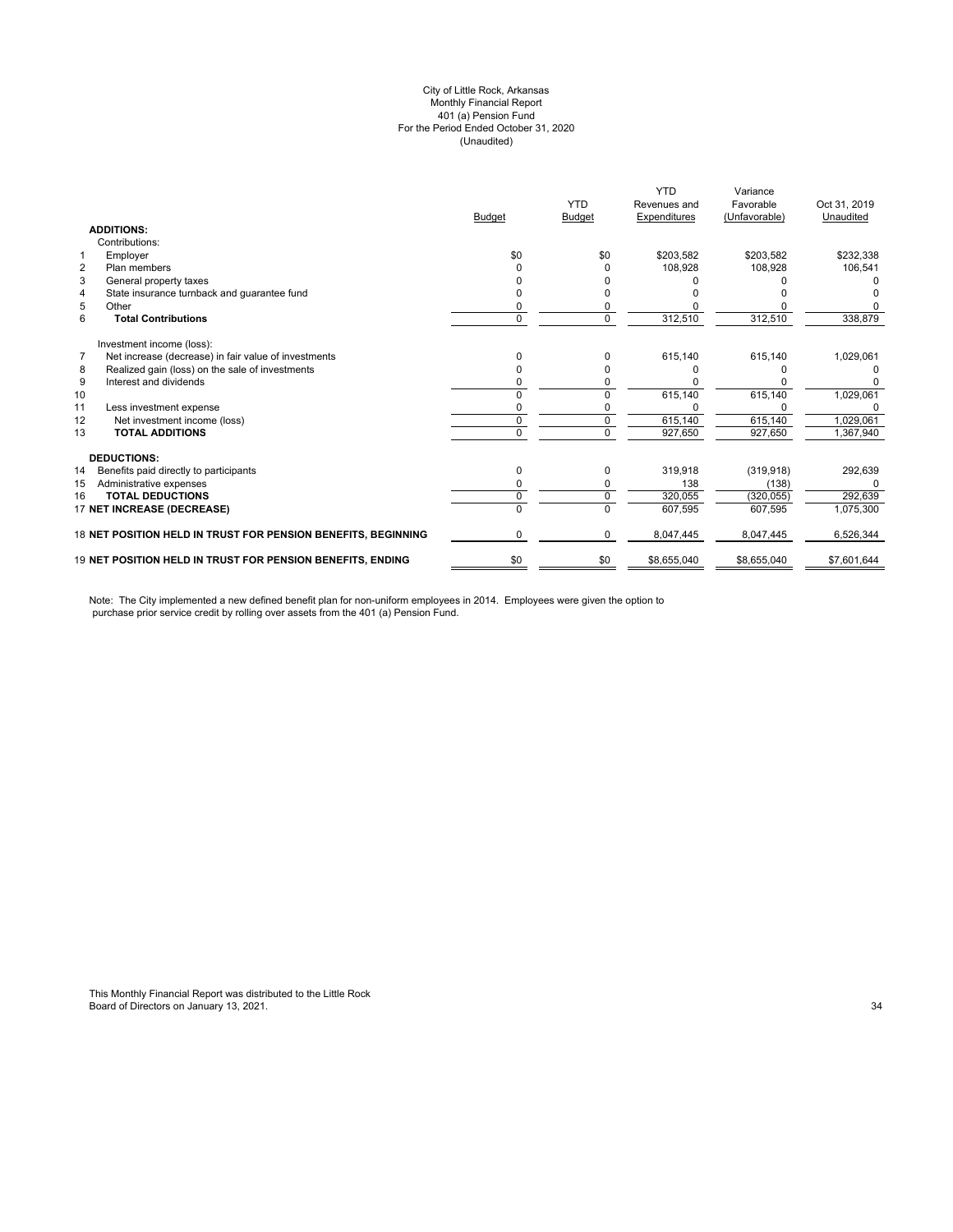#### (Unaudited) City of Little Rock, Arkansas Monthly Financial Report 401 (a) Pension Fund For the Period Ended October 31, 2020

|                |                                                                   | <b>Budget</b> | <b>YTD</b><br><b>Budget</b> | <b>YTD</b><br>Revenues and<br>Expenditures | Variance<br>Favorable<br>(Unfavorable) | Oct 31, 2019<br>Unaudited |
|----------------|-------------------------------------------------------------------|---------------|-----------------------------|--------------------------------------------|----------------------------------------|---------------------------|
|                | <b>ADDITIONS:</b>                                                 |               |                             |                                            |                                        |                           |
|                | Contributions:                                                    |               |                             |                                            |                                        |                           |
| 1              | Employer                                                          | \$0           | \$0                         | \$203,582                                  | \$203,582                              | \$232,338                 |
| $\overline{2}$ | Plan members                                                      |               |                             | 108,928                                    | 108,928                                | 106,541                   |
| 3              | General property taxes                                            |               |                             |                                            |                                        |                           |
| 4              | State insurance turnback and quarantee fund                       |               |                             |                                            |                                        |                           |
| 5              | Other                                                             |               |                             |                                            |                                        |                           |
| 6              | <b>Total Contributions</b>                                        | 0             | 0                           | 312,510                                    | 312,510                                | 338,879                   |
|                | Investment income (loss):                                         |               |                             |                                            |                                        |                           |
| $\overline{7}$ | Net increase (decrease) in fair value of investments              | n             | 0                           | 615,140                                    | 615,140                                | 1,029,061                 |
| 8              | Realized gain (loss) on the sale of investments                   |               |                             |                                            |                                        |                           |
| 9              | Interest and dividends                                            |               |                             |                                            |                                        |                           |
| 10             |                                                                   |               |                             | 615,140                                    | 615,140                                | 1,029,061                 |
| 11             | Less investment expense                                           |               |                             |                                            |                                        |                           |
| 12             | Net investment income (loss)                                      | 0             | 0                           | 615,140                                    | 615,140                                | 1,029,061                 |
| 13             | <b>TOTAL ADDITIONS</b>                                            | U             | $\Omega$                    | 927,650                                    | 927,650                                | 1,367,940                 |
|                | <b>DEDUCTIONS:</b>                                                |               |                             |                                            |                                        |                           |
| 14             | Benefits paid directly to participants                            | 0             | 0                           | 319.918                                    | (319, 918)                             | 292,639                   |
| 15             | Administrative expenses                                           |               |                             | 138                                        | (138)                                  | U                         |
| 16             | <b>TOTAL DEDUCTIONS</b>                                           | 0             | 0                           | 320,055                                    | (320, 055)                             | 292,639                   |
|                | 17 NET INCREASE (DECREASE)                                        | 0             | $\Omega$                    | 607,595                                    | 607,595                                | 1,075,300                 |
|                | 18 NET POSITION HELD IN TRUST FOR PENSION BENEFITS, BEGINNING     | 0             | 0                           | 8,047,445                                  | 8,047,445                              | 6,526,344                 |
|                | <b>19 NET POSITION HELD IN TRUST FOR PENSION BENEFITS. ENDING</b> | \$0           | \$0                         | \$8,655,040                                | \$8,655,040                            | \$7,601,644               |

Note: The City implemented a new defined benefit plan for non-uniform employees in 2014. Employees were given the option to purchase prior service credit by rolling over assets from the 401 (a) Pension Fund.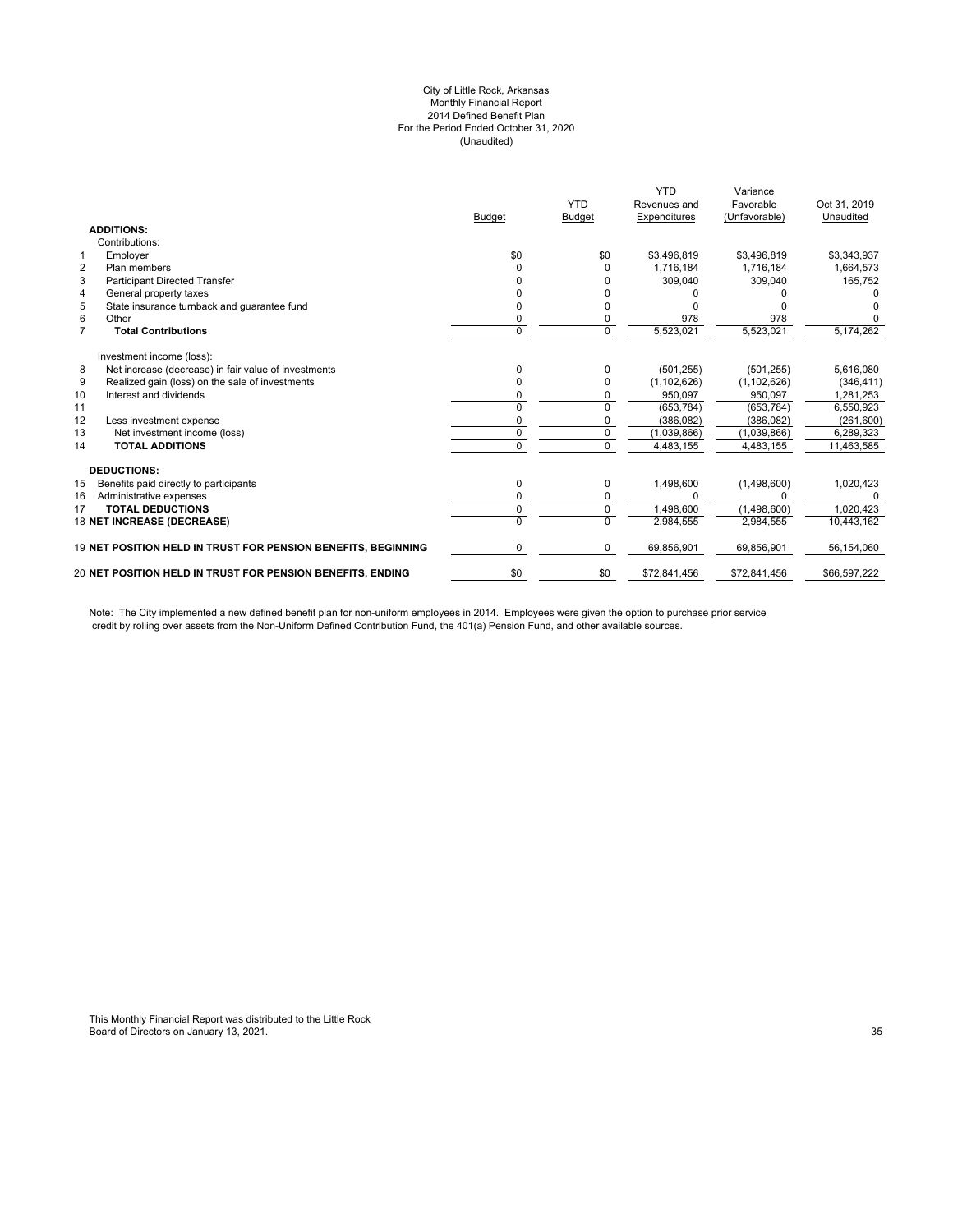#### City of Little Rock, Arkansas Monthly Financial Report 2014 Defined Benefit Plan For the Period Ended October 31, 2020 (Unaudited)

|                |                                                               | <b>Budget</b> | <b>YTD</b><br><b>Budget</b> | <b>YTD</b><br>Revenues and<br>Expenditures | Variance<br>Favorable<br>(Unfavorable) | Oct 31, 2019<br>Unaudited |
|----------------|---------------------------------------------------------------|---------------|-----------------------------|--------------------------------------------|----------------------------------------|---------------------------|
|                | <b>ADDITIONS:</b>                                             |               |                             |                                            |                                        |                           |
|                | Contributions:                                                |               |                             |                                            |                                        |                           |
| $\mathbf{1}$   | Employer                                                      | \$0           | \$0                         | \$3,496,819                                | \$3,496,819                            | \$3,343,937               |
| $\overline{2}$ | Plan members                                                  | U             | $\Omega$                    | 1.716.184                                  | 1.716.184                              | 1,664,573                 |
| 3              | <b>Participant Directed Transfer</b>                          |               |                             | 309,040                                    | 309,040                                | 165,752                   |
| 4              | General property taxes                                        |               |                             |                                            |                                        |                           |
| 5              | State insurance turnback and quarantee fund                   |               | n                           |                                            |                                        |                           |
| 6              | Other                                                         | U             | 0                           | 978                                        | 978                                    |                           |
| $\overline{7}$ | <b>Total Contributions</b>                                    | $\Omega$      | $\Omega$                    | 5,523,021                                  | 5,523,021                              | 5,174,262                 |
|                | Investment income (loss):                                     |               |                             |                                            |                                        |                           |
| 8              | Net increase (decrease) in fair value of investments          | 0             | $\Omega$                    | (501, 255)                                 | (501, 255)                             | 5,616,080                 |
| 9              | Realized gain (loss) on the sale of investments               |               | $\Omega$                    | (1, 102, 626)                              | (1, 102, 626)                          | (346, 411)                |
| 10             | Interest and dividends                                        |               |                             | 950,097                                    | 950,097                                | 1,281,253                 |
| 11             |                                                               |               |                             | (653, 784)                                 | (653, 784)                             | 6,550,923                 |
| 12             | Less investment expense                                       |               |                             | (386, 082)                                 | (386, 082)                             | (261, 600)                |
| 13             | Net investment income (loss)                                  | $\Omega$      | $\Omega$                    | (1,039,866)                                | (1,039,866)                            | 6,289,323                 |
| 14             | <b>TOTAL ADDITIONS</b>                                        | O             | $\Omega$                    | 4,483,155                                  | 4,483,155                              | 11,463,585                |
|                | <b>DEDUCTIONS:</b>                                            |               |                             |                                            |                                        |                           |
| 15             | Benefits paid directly to participants                        | 0             | 0                           | 1,498,600                                  | (1,498,600)                            | 1,020,423                 |
| 16             | Administrative expenses                                       | 0             | $\Omega$                    | <sup>0</sup>                               | ŋ                                      |                           |
| 17             | <b>TOTAL DEDUCTIONS</b>                                       | 0             | $\mathbf 0$                 | 1.498.600                                  | (1,498,600)                            | 1.020.423                 |
|                | 18 NET INCREASE (DECREASE)                                    |               | $\Omega$                    | 2,984,555                                  | 2,984,555                              | 10,443,162                |
|                | 19 NET POSITION HELD IN TRUST FOR PENSION BENEFITS, BEGINNING | 0             | $\mathbf 0$                 | 69,856,901                                 | 69,856,901                             | 56,154,060                |
|                | 20 NET POSITION HELD IN TRUST FOR PENSION BENEFITS, ENDING    | \$0           | \$0                         | \$72,841,456                               | \$72,841,456                           | \$66,597,222              |
|                |                                                               |               |                             |                                            |                                        |                           |

Note: The City implemented a new defined benefit plan for non-uniform employees in 2014. Employees were given the option to purchase prior service credit by rolling over assets from the Non-Uniform Defined Contribution Fund, the 401(a) Pension Fund, and other available sources.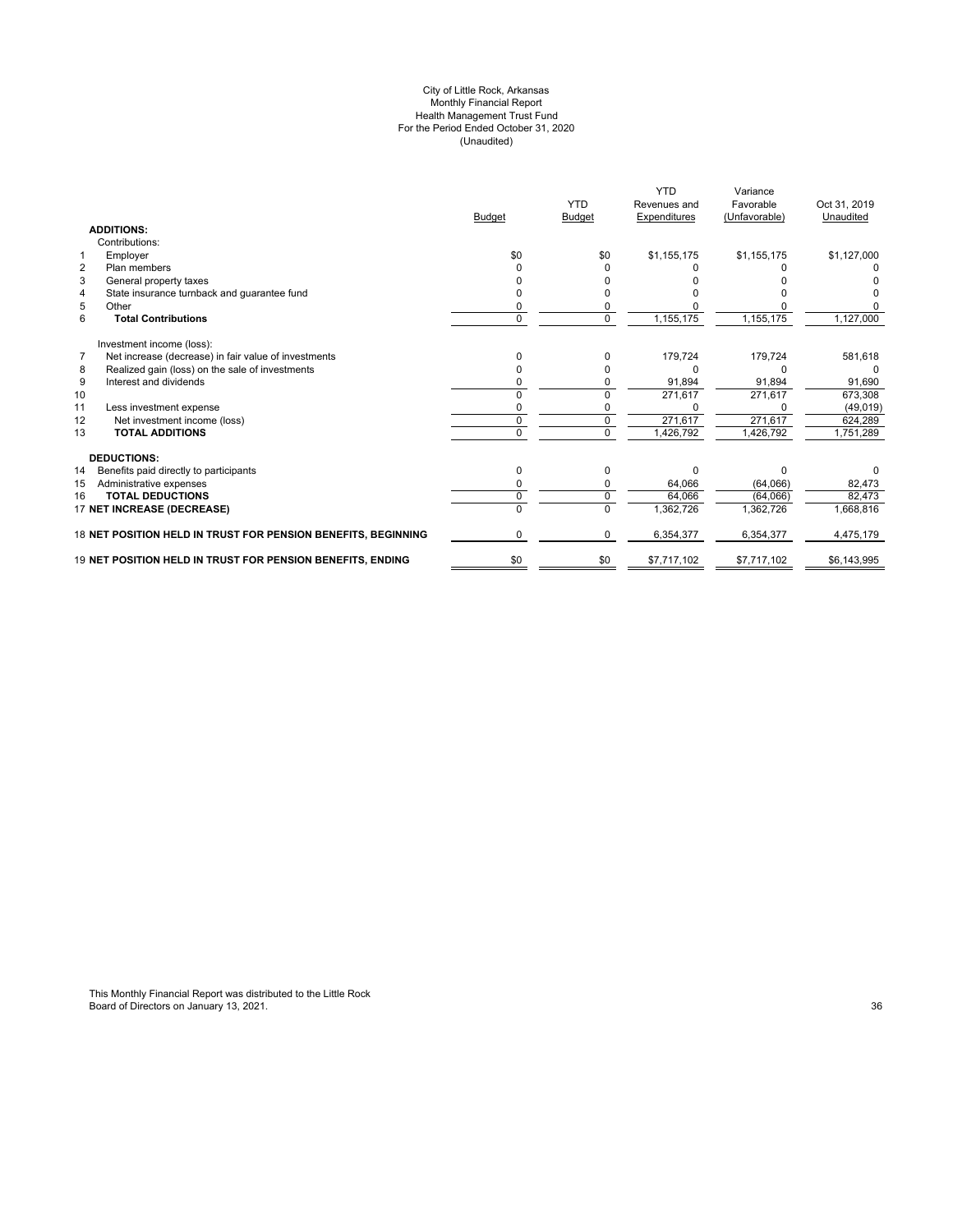#### City of Little Rock, Arkansas Monthly Financial Report Health Management Trust Fund For the Period Ended October 31, 2020 (Unaudited)

|                                                                        | <b>Budget</b> | <b>YTD</b><br><b>Budget</b> | <b>YTD</b><br>Revenues and<br>Expenditures | Variance<br>Favorable<br>(Unfavorable) | Oct 31, 2019<br>Unaudited |
|------------------------------------------------------------------------|---------------|-----------------------------|--------------------------------------------|----------------------------------------|---------------------------|
| <b>ADDITIONS:</b>                                                      |               |                             |                                            |                                        |                           |
| Contributions:                                                         |               |                             |                                            |                                        |                           |
| $\mathbf{1}$<br>Employer                                               | \$0           | \$0                         | \$1,155,175                                | \$1,155,175                            | \$1,127,000               |
| $\overline{2}$<br>Plan members                                         |               |                             |                                            |                                        |                           |
| 3<br>General property taxes                                            |               |                             |                                            |                                        |                           |
| State insurance turnback and guarantee fund<br>4                       |               |                             |                                            |                                        |                           |
| 5<br>Other                                                             |               |                             |                                            |                                        |                           |
| 6<br><b>Total Contributions</b>                                        | 0             | $\Omega$                    | 1,155,175                                  | 1,155,175                              | 1,127,000                 |
| Investment income (loss):                                              |               |                             |                                            |                                        |                           |
| $\overline{7}$<br>Net increase (decrease) in fair value of investments | 0             |                             | 179,724                                    | 179,724                                | 581,618                   |
| Realized gain (loss) on the sale of investments<br>8                   |               |                             |                                            |                                        | $\Omega$                  |
| 9<br>Interest and dividends                                            |               |                             | 91,894                                     | 91,894                                 | 91,690                    |
| 10                                                                     | ŋ             |                             | 271,617                                    | 271,617                                | 673,308                   |
| 11<br>Less investment expense                                          |               |                             |                                            |                                        | (49, 019)                 |
| 12<br>Net investment income (loss)                                     | 0             | $\Omega$                    | 271,617                                    | 271,617                                | 624,289                   |
| <b>TOTAL ADDITIONS</b><br>13                                           | 0             | $\Omega$                    | 1,426,792                                  | 1,426,792                              | 1,751,289                 |
| <b>DEDUCTIONS:</b>                                                     |               |                             |                                            |                                        |                           |
| 14<br>Benefits paid directly to participants                           | 0             | O                           | $\Omega$                                   | U                                      |                           |
| 15<br>Administrative expenses                                          |               |                             | 64,066                                     | (64,066)                               | 82,473                    |
| <b>TOTAL DEDUCTIONS</b><br>16                                          | $\Omega$      |                             | 64.066                                     | (64,066)                               | 82,473                    |
| 17 NET INCREASE (DECREASE)                                             |               |                             | 1,362,726                                  | 1,362,726                              | 1,668,816                 |
| 18 NET POSITION HELD IN TRUST FOR PENSION BENEFITS, BEGINNING          | 0             | $\Omega$                    | 6,354,377                                  | 6,354,377                              | 4,475,179                 |
| 19 NET POSITION HELD IN TRUST FOR PENSION BENEFITS, ENDING             | \$0           | \$0                         | \$7,717,102                                | \$7,717,102                            | \$6,143,995               |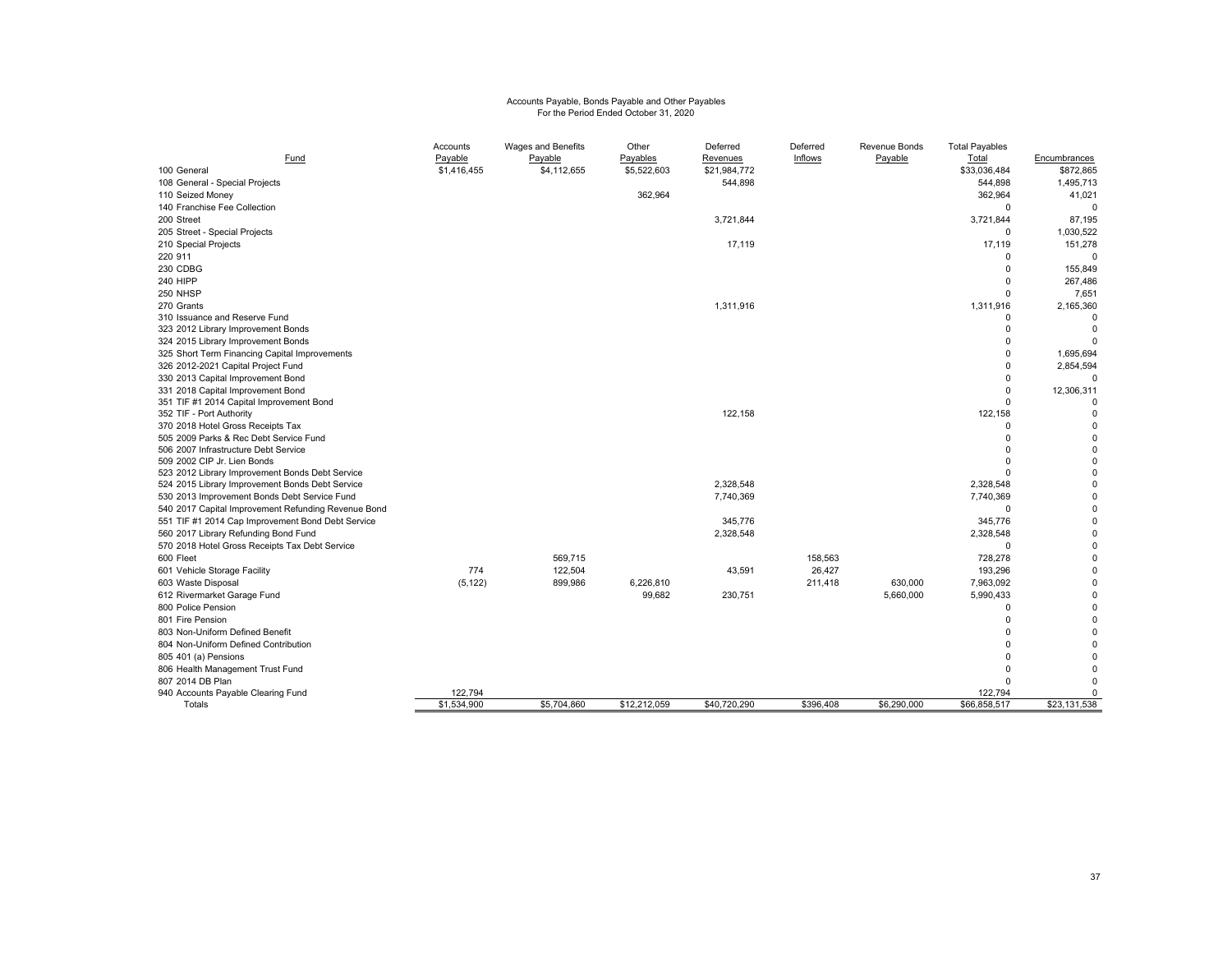# Accounts Payable, Bonds Payable and Other Payables For the Period Ended October 31, 2020

| Fund                                                                                                     | Accounts<br>Payable | Wages and Benefits<br>Payable | Other<br>Payables | Deferred<br><u>Revenues</u> | Deferred<br>Inflows | Revenue Bonds<br>Payable | <b>Total Payables</b><br>Total | Encumbrances         |
|----------------------------------------------------------------------------------------------------------|---------------------|-------------------------------|-------------------|-----------------------------|---------------------|--------------------------|--------------------------------|----------------------|
| 100 General                                                                                              | \$1,416,455         | \$4,112,655                   | \$5,522,603       | \$21,984,772                |                     |                          | \$33,036,484                   | \$872,865            |
| 108 General - Special Projects                                                                           |                     |                               |                   | 544,898                     |                     |                          | 544,898                        | 1,495,713            |
| 110 Seized Money                                                                                         |                     |                               | 362,964           |                             |                     |                          | 362,964                        | 41,021               |
| 140 Franchise Fee Collection                                                                             |                     |                               |                   |                             |                     |                          | $\mathbf 0$                    | 0                    |
| 200 Street                                                                                               |                     |                               |                   | 3,721,844                   |                     |                          | 3,721,844                      | 87,195               |
| 205 Street - Special Projects                                                                            |                     |                               |                   |                             |                     |                          | $\mathbf 0$                    | 1,030,522            |
| 210 Special Projects                                                                                     |                     |                               |                   | 17,119                      |                     |                          | 17,119                         | 151,278              |
| 220 911                                                                                                  |                     |                               |                   |                             |                     |                          | $\Omega$                       | $\Omega$             |
| 230 CDBG                                                                                                 |                     |                               |                   |                             |                     |                          | $\mathbf 0$                    | 155,849              |
| 240 HIPP                                                                                                 |                     |                               |                   |                             |                     |                          | $\Omega$                       | 267,486              |
| 250 NHSP                                                                                                 |                     |                               |                   |                             |                     |                          | $\mathbf 0$                    | 7,651                |
| 270 Grants                                                                                               |                     |                               |                   | 1,311,916                   |                     |                          | 1,311,916                      | 2,165,360            |
| 310 Issuance and Reserve Fund                                                                            |                     |                               |                   |                             |                     |                          | $\Omega$                       |                      |
| 323 2012 Library Improvement Bonds                                                                       |                     |                               |                   |                             |                     |                          | $\Omega$                       | $\Omega$             |
| 324 2015 Library Improvement Bonds                                                                       |                     |                               |                   |                             |                     |                          | $\Omega$                       |                      |
| 325 Short Term Financing Capital Improvements                                                            |                     |                               |                   |                             |                     |                          | $\Omega$                       | 1,695,694            |
| 326 2012-2021 Capital Project Fund                                                                       |                     |                               |                   |                             |                     |                          | $\Omega$                       | 2,854,594            |
| 330 2013 Capital Improvement Bond                                                                        |                     |                               |                   |                             |                     |                          | $\Omega$                       |                      |
| 331 2018 Capital Improvement Bond                                                                        |                     |                               |                   |                             |                     |                          | $\Omega$                       | 12,306,311           |
| 351 TIF #1 2014 Capital Improvement Bond                                                                 |                     |                               |                   |                             |                     |                          | $\Omega$                       |                      |
| 352 TIF - Port Authority                                                                                 |                     |                               |                   | 122,158                     |                     |                          | 122,158                        | $\Omega$             |
| 370 2018 Hotel Gross Receipts Tax                                                                        |                     |                               |                   |                             |                     |                          | $\Omega$                       | $\Omega$             |
| 505 2009 Parks & Rec Debt Service Fund                                                                   |                     |                               |                   |                             |                     |                          | $\Omega$                       | $\Omega$             |
| 506 2007 Infrastructure Debt Service                                                                     |                     |                               |                   |                             |                     |                          | $\Omega$                       | $\Omega$             |
| 509 2002 CIP Jr. Lien Bonds                                                                              |                     |                               |                   |                             |                     |                          | $\Omega$<br>$\Omega$           | $\Omega$<br>$\Omega$ |
| 523 2012 Library Improvement Bonds Debt Service                                                          |                     |                               |                   | 2,328,548                   |                     |                          | 2,328,548                      | $\Omega$             |
| 524 2015 Library Improvement Bonds Debt Service<br>530 2013 Improvement Bonds Debt Service Fund          |                     |                               |                   | 7,740,369                   |                     |                          | 7,740,369                      | 0                    |
|                                                                                                          |                     |                               |                   |                             |                     |                          | $\Omega$                       | $\Omega$             |
| 540 2017 Capital Improvement Refunding Revenue Bond<br>551 TIF #1 2014 Cap Improvement Bond Debt Service |                     |                               |                   | 345,776                     |                     |                          | 345,776                        | $\Omega$             |
| 560 2017 Library Refunding Bond Fund                                                                     |                     |                               |                   | 2,328,548                   |                     |                          | 2,328,548                      | 0                    |
| 570 2018 Hotel Gross Receipts Tax Debt Service                                                           |                     |                               |                   |                             |                     |                          | $\Omega$                       | $\Omega$             |
| 600 Fleet                                                                                                |                     | 569,715                       |                   |                             | 158,563             |                          | 728,278                        | $\Omega$             |
| 601 Vehicle Storage Facility                                                                             | 774                 | 122,504                       |                   | 43,591                      | 26,427              |                          | 193,296                        | $\Omega$             |
| 603 Waste Disposal                                                                                       | (5, 122)            | 899,986                       | 6,226,810         |                             | 211,418             | 630,000                  | 7,963,092                      | $\Omega$             |
| 612 Rivermarket Garage Fund                                                                              |                     |                               | 99,682            | 230,751                     |                     | 5,660,000                | 5,990,433                      | $\Omega$             |
| 800 Police Pension                                                                                       |                     |                               |                   |                             |                     |                          | $\Omega$                       | $\Omega$             |
| 801 Fire Pension                                                                                         |                     |                               |                   |                             |                     |                          | $\Omega$                       | $\Omega$             |
| 803 Non-Uniform Defined Benefit                                                                          |                     |                               |                   |                             |                     |                          | $\Omega$                       | $\Omega$             |
| 804 Non-Uniform Defined Contribution                                                                     |                     |                               |                   |                             |                     |                          | $\Omega$                       |                      |
| 805 401 (a) Pensions                                                                                     |                     |                               |                   |                             |                     |                          | $\Omega$                       | $\Omega$             |
| 806 Health Management Trust Fund                                                                         |                     |                               |                   |                             |                     |                          | $\Omega$                       |                      |
| 807 2014 DB Plan                                                                                         |                     |                               |                   |                             |                     |                          | $\Omega$                       | $\Omega$             |
| 940 Accounts Payable Clearing Fund                                                                       | 122,794             |                               |                   |                             |                     |                          | 122,794                        | 0                    |
| Totals                                                                                                   | \$1,534,900         | \$5,704,860                   | \$12,212,059      | \$40.720.290                | \$396.408           | \$6,290,000              | \$66,858,517                   | \$23,131,538         |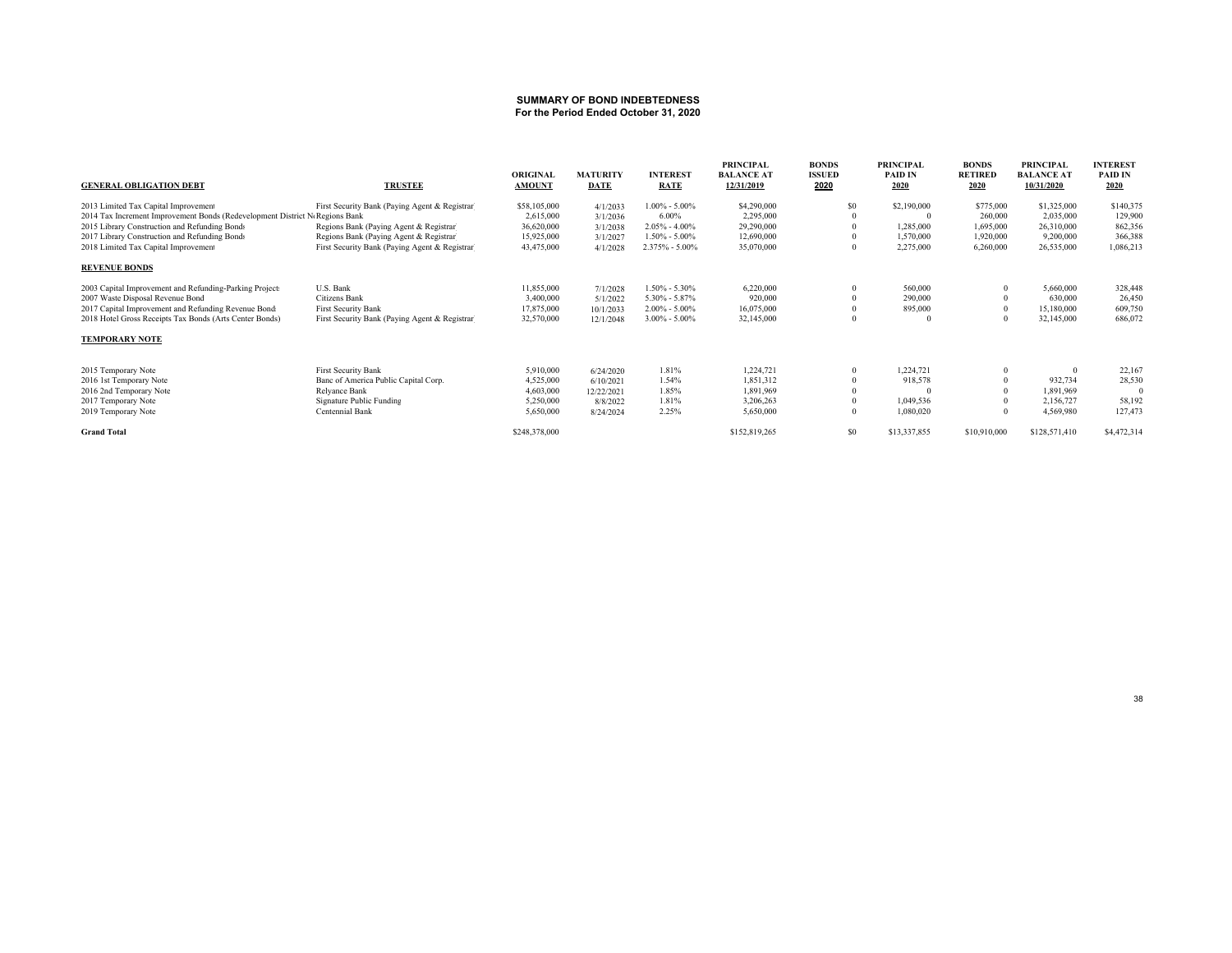# **SUMMARY OF BOND INDEBTEDNESS For the Period Ended October 31, 2020**

| <b>GENERAL OBLIGATION DEBT</b>                                              | <b>TRUSTEE</b>                                 | <b>ORIGINAL</b><br><b>AMOUNT</b> | <b>MATURITY</b><br><b>DATE</b> | <b>INTEREST</b><br><b>RATE</b> | <b>PRINCIPAL</b><br><b>BALANCE AT</b><br>12/31/2019 | <b>BONDS</b><br><b>ISSUED</b><br>2020 | <b>PRINCIPAL</b><br><b>PAID IN</b><br>2020 | <b>BONDS</b><br><b>RETIRED</b><br>2020 | <b>PRINCIPAL</b><br><b>BALANCE AT</b><br>10/31/2020 | <b>INTEREST</b><br><b>PAID IN</b><br>2020 |
|-----------------------------------------------------------------------------|------------------------------------------------|----------------------------------|--------------------------------|--------------------------------|-----------------------------------------------------|---------------------------------------|--------------------------------------------|----------------------------------------|-----------------------------------------------------|-------------------------------------------|
| 2013 Limited Tax Capital Improvement                                        | First Security Bank (Paying Agent & Registrar) | \$58,105,000                     | 4/1/2033                       | $1.00\% - 5.00\%$              | \$4,290,000                                         | \$0                                   | \$2,190,000                                | \$775,000                              | \$1,325,000                                         | \$140,375                                 |
| 2014 Tax Increment Improvement Bonds (Redevelopment District NoRegions Bank |                                                | 2,615,000                        | 3/1/2036                       | 6.00%                          | 2,295,000                                           |                                       |                                            | 260,000                                | 2.035,000                                           | 129,900                                   |
| 2015 Library Construction and Refunding Bonds                               | Regions Bank (Paying Agent & Registrar)        | 36,620,000                       | 3/1/2038                       | $2.05\% - 4.00\%$              | 29,290,000                                          |                                       | 1,285,000                                  | 1,695,000                              | 26,310,000                                          | 862,356                                   |
| 2017 Library Construction and Refunding Bonds                               | Regions Bank (Paying Agent & Registrar)        | 15,925,000                       | 3/1/2027                       | $1.50\% - 5.00\%$              | 12,690,000                                          |                                       | 1,570,000                                  | 1,920,000                              | 9,200,000                                           | 366,388                                   |
| 2018 Limited Tax Capital Improvement                                        | First Security Bank (Paying Agent & Registrar) | 43,475,000                       | 4/1/2028                       | 2.375% - 5.00%                 | 35,070,000                                          |                                       | 2,275,000                                  | 6,260,000                              | 26,535,000                                          | 1,086,213                                 |
| <b>REVENUE BONDS</b>                                                        |                                                |                                  |                                |                                |                                                     |                                       |                                            |                                        |                                                     |                                           |
| 2003 Capital Improvement and Refunding-Parking Projects                     | U.S. Bank                                      | 11,855,000                       | 7/1/2028                       | $1.50\% - 5.30\%$              | 6,220,000                                           |                                       | 560,000                                    |                                        | 5,660,000                                           | 328,448                                   |
| 2007 Waste Disposal Revenue Bond                                            | Citizens Bank                                  | 3,400,000                        | 5/1/2022                       | $5.30\% - 5.87\%$              | 920,000                                             |                                       | 290,000                                    |                                        | 630,000                                             | 26,450                                    |
| 2017 Capital Improvement and Refunding Revenue Bond:                        | <b>First Security Bank</b>                     | 17,875,000                       | 10/1/2033                      | $2.00\% - 5.00\%$              | 16,075,000                                          |                                       | 895,000                                    |                                        | 15,180,000                                          | 609,750                                   |
| 2018 Hotel Gross Receipts Tax Bonds (Arts Center Bonds)                     | First Security Bank (Paying Agent & Registrar) | 32,570,000                       | 12/1/2048                      | $3.00\% - 5.00\%$              | 32,145,000                                          |                                       |                                            |                                        | 32,145,000                                          | 686,072                                   |
| <b>TEMPORARY NOTE</b>                                                       |                                                |                                  |                                |                                |                                                     |                                       |                                            |                                        |                                                     |                                           |
| 2015 Temporary Note                                                         | <b>First Security Bank</b>                     | 5,910,000                        | 6/24/2020                      | 1.81%                          | 1,224,721                                           |                                       | 1,224,721                                  |                                        |                                                     | 22,167                                    |
| 2016 1st Temporary Note                                                     | Banc of America Public Capital Corp.           | 4,525,000                        | 6/10/2021                      | 1.54%                          | 1,851,312                                           |                                       | 918,578                                    |                                        | 932,734                                             | 28,530                                    |
| 2016 2nd Temporary Note                                                     | Relyance Bank                                  | 4,603,000                        | 12/22/2021                     | 1.85%                          | 1,891,969                                           |                                       |                                            |                                        | 1,891,969                                           |                                           |
| 2017 Temporary Note                                                         | Signature Public Funding                       | 5,250,000                        | 8/8/2022                       | 1.81%                          | 3,206,263                                           |                                       | 1.049.536                                  |                                        | 2,156,727                                           | 58,192                                    |
| 2019 Temporary Note                                                         | Centennial Bank                                | 5,650,000                        | 8/24/2024                      | 2.25%                          | 5,650,000                                           |                                       | 1,080,020                                  |                                        | 4,569,980                                           | 127,473                                   |
| <b>Grand Total</b>                                                          |                                                | \$248,378,000                    |                                |                                | \$152,819,265                                       | \$0                                   | \$13,337,855                               | \$10,910,000                           | \$128,571,410                                       | \$4,472,314                               |